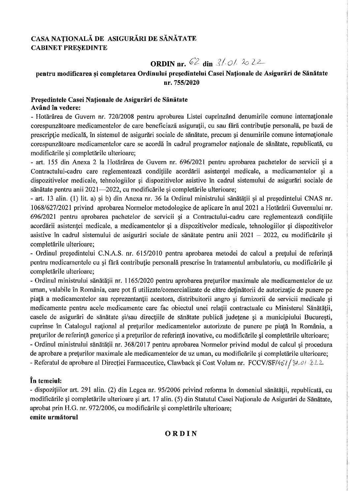# CASA NAȚIONALĂ DE ASIGURĂRI DE SĂNĂTATE **CABINET PRESEDINTE**

ORDIN nr. 62 din  $3/0/2$ 

# pentru modificarea și completarea Ordinului președintelui Casei Naționale de Asigurări de Sănătate nr. 755/2020

## Președintele Casei Naționale de Asigurări de Sănătate Având în vedere:

- Hotărârea de Guvern nr. 720/2008 pentru aprobarea Listei cuprinzând denumirile comune internaționale corespunzătoare medicamentelor de care beneficiază asigurații, cu sau fără contribuție personală, pe bază de prescriptie medicală, în sistemul de asigurări sociale de sănătate, precum și denumirile comune internaționale corespunzătoare medicamentelor care se acordă în cadrul programelor naționale de sănătate, republicată, cu modificările si completările ulterioare;

- art. 155 din Anexa 2 la Hotărârea de Guvern nr. 696/2021 pentru aprobarea pachetelor de servicii și a Contractului-cadru care reglementează conditiile acordării asistentei medicale, a medicamentelor și a dispozitivelor medicale, tehnologiilor și dispozitivelor asistive în cadrul sistemului de asigurări sociale de sănătate pentru anii 2021—2022, cu modificările și completările ulterioare;

- art. 13 alin. (1) lit. a) și b) din Anexa nr. 36 la Ordinul ministrului sănătății și al președintelui CNAS nr. 1068/627/2021 privind aprobarea Normelor metodologice de aplicare în anul 2021 a Hotărârii Guvernului nr. 696/2021 pentru aprobarea pachetelor de servicii și a Contractului-cadru care reglementează condițiile acordării asistenței medicale, a medicamentelor și a dispozitivelor medicale, tehnologiilor și dispozitivelor asistive în cadrul sistemului de asigurări sociale de sănătate pentru anii 2021 – 2022, cu modificările și completările ulterioare:

- Ordinul președintelui C.N.A.S. nr. 615/2010 pentru aprobarea metodei de calcul a prețului de referință pentru medicamentele cu și fără contribuție personală prescrise în tratamentul ambulatoriu, cu modificările și completările ulterioare;

- Ordinul ministrului sănătății nr. 1165/2020 pentru aprobarea preturilor maximale ale medicamentelor de uz uman, valabile în România, care pot fi utilizate/comercializate de către deținătorii de autorizație de punere pe piață a medicamentelor sau reprezentanții acestora, distribuitorii angro și furnizorii de servicii medicale și medicamente pentru acele medicamente care fac obiectul unei relații contractuale cu Ministerul Sănătății, casele de asigurări de sănătate și/sau direcțiile de sănătate publică județene și a municipiului București, cuprinse în Catalogul național al prețurilor medicamentelor autorizate de punere pe piață în România, a preturilor de referință generice și a preturilor de referință inovative, cu modificările și completările ulterioare; - Ordinul ministrului sănătății nr. 368/2017 pentru aprobarea Normelor privind modul de calcul și procedura de aprobare a preturilor maximale ale medicamentelor de uz uman, cu modificările și completările ulterioare; - Referatul de aprobare al Direcției Farmaceutice, Clawback și Cost Volum nr. FCCV/SF/451/31.01.22

# În temeiul:

- dispozițiilor art. 291 alin. (2) din Legea nr. 95/2006 privind reforma în domeniul sănătății, republicată, cu modificările și completările ulterioare și art. 17 alin. (5) din Statutul Casei Naționale de Asigurări de Sănătate, aprobat prin H.G. nr. 972/2006, cu modificările și completările ulterioare;

# emite următorul

# ORDIN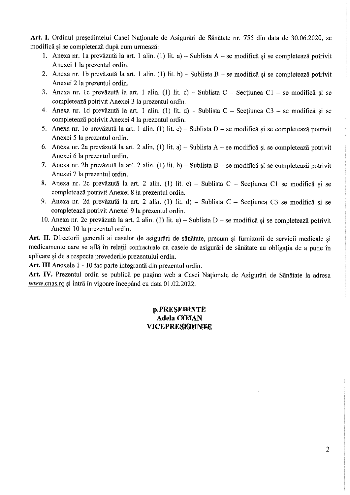Art. I. Ordinul președintelui Casei Naționale de Asigurări de Sănătate nr. 755 din data de 30.06.2020, se modifică și se completează după cum urmează:

- 1. Anexa nr. 1a prevăzută la art. 1 alin. (1) lit. a) Sublista A se modifică și se completează potrivit Anexei 1 la prezentul ordin.
- 2. Anexa nr. 1b prevăzută la art. 1 alin. (1) lit. b) Sublista B se modifică și se completează potrivit Anexei 2 la prezentul ordin.
- 3. Anexa nr. 1c prevăzută la art. 1 alin. (1) lit. c) Sublista C Secțiunea C1 se modifică și se completează potrivit Anexei 3 la prezentul ordin.
- 4. Anexa nr. 1d prevăzută la art. 1 alin. (1) lit. d) Sublista C Secțiunea C3 se modifică și se completează potrivit Anexei 4 la prezentul ordin.
- 5. Anexa nr. le prevăzută la art. 1 alin. (1) lit. e) Sublista D se modifică și se completează potrivit Anexei 5 la prezentul ordin.
- 6. Anexa nr. 2a prevăzută la art. 2 alin. (1) lit. a) Sublista A se modifică și se completează potrivit Anexei 6 la prezentul ordin.
- 7. Anexa nr. 2b prevăzută la art. 2 alin. (1) lit. b) Sublista B se modifică și se completează potrivit Anexei 7 la prezentul ordin.
- 8. Anexa nr. 2c prevăzută la art. 2 alin. (1) lit. c) Sublista C Secțiunea C1 se modifică și se completează potrivit Anexei 8 la prezentul ordin.
- 9. Anexa nr. 2d prevăzută la art. 2 alin. (1) lit. d) Sublista C Secțiunea C3 se modifică și se completează potrivit Anexei 9 la prezentul ordin.
- 10. Anexa nr. 2e prevăzută la art. 2 alin. (1) lit. e) Sublista D se modifică și se completează potrivit Anexei 10 la prezentul ordin.

Art. II. Directorii generali ai caselor de asigurări de sănătate, precum și furnizorii de servicii medicale și medicamente care se află în relații contractuale cu casele de asigurări de sănătate au obligația de a pune în aplicare și de a respecta prevederile prezentului ordin.

Art. III Anexele 1 - 10 fac parte integrantă din prezentul ordin.

Art. IV. Prezentul ordin se publică pe pagina web a Casei Naționale de Asigurări de Sănătate la adresa www.cnas.ro și intră în vigoare începând cu data 01.02.2022.

# p.PRESEDINTE Adela COMAN VICEPRESEDINFEE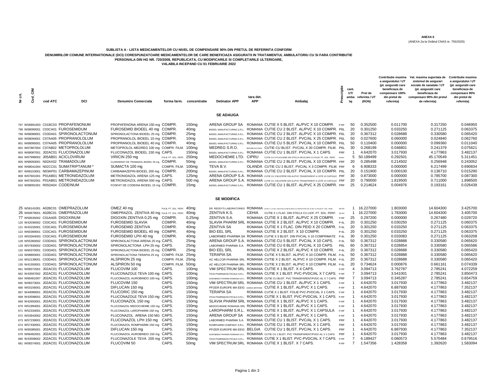(ANEXA 2a la Ordinul CNAS nr. 755/2020)

#### **SUBLISTA A - LISTA MEDICAMENTELOR CU NIVEL DE COMPENSARE 90% DIN PRETUL DE REFERINTA CONFORM**

**DENUMIRILOR COMUNE INTERNATIONALE (DCI) CORESPUNZATOARE MEDICAMENTELOR DE CARE BENEFICIAZA ASIGURATII IN TRATAMENTUL AMBULATORIU CU SI FARA CONTRIBUTIE** 

**PERSONALA DIN HG NR. 720/2008, REPUBLICATA, CU MODIFICARILE SI COMPLETARILE ULTERIOARE,**

**VALABILA INCEPAND CU 01 FEBRUARIE 2022**

| É<br>ż | Ξ,<br>င္ပီ | cod ATC | DCI                                                                                                                                                                                                                                                                                                                                                                                                                                                                                                                                                  | <b>Denumire Comerciala</b>                                                                                                                                                                                                                                                                                                                                                                                                                                                                    |                                       | forma farm. concentratie                                                                                                                                                                                                                                              | <b>Detinator APP</b>                                                                                                                | tara det.<br>APP | Ambalaj                                                                                                                                                                                                                                                                                                                                                                                                                                                                                                                                                                                                                                                                                                                                                                                                                                                                                                                                                                                                                                | criptie<br>ä                | cant.<br>UT/<br>amba<br>laj                                                                | Pret de<br>referinta / UT<br>(RON)                                                                                                                                    | Contributie maxima<br>a asiguratului / UT<br>(pt. asiguratii care<br>beneficiaza de<br>compensare 100%<br>din pretul de<br>referinta)                                | Val. maxima suportata de<br>sistemul de asigurari<br>sociale de sanatate / UT<br>(pt. asiguratii care<br>beneficiaza de<br>compensare 90% din pretul<br>de referinta) | Contributie maxima<br>a asiguratului / UT<br>(pt. asiguratii care<br>beneficiaza de<br>compensare 90%<br>din pretul de<br>referinta)                                 |
|--------|------------|---------|------------------------------------------------------------------------------------------------------------------------------------------------------------------------------------------------------------------------------------------------------------------------------------------------------------------------------------------------------------------------------------------------------------------------------------------------------------------------------------------------------------------------------------------------------|-----------------------------------------------------------------------------------------------------------------------------------------------------------------------------------------------------------------------------------------------------------------------------------------------------------------------------------------------------------------------------------------------------------------------------------------------------------------------------------------------|---------------------------------------|-----------------------------------------------------------------------------------------------------------------------------------------------------------------------------------------------------------------------------------------------------------------------|-------------------------------------------------------------------------------------------------------------------------------------|------------------|----------------------------------------------------------------------------------------------------------------------------------------------------------------------------------------------------------------------------------------------------------------------------------------------------------------------------------------------------------------------------------------------------------------------------------------------------------------------------------------------------------------------------------------------------------------------------------------------------------------------------------------------------------------------------------------------------------------------------------------------------------------------------------------------------------------------------------------------------------------------------------------------------------------------------------------------------------------------------------------------------------------------------------------|-----------------------------|--------------------------------------------------------------------------------------------|-----------------------------------------------------------------------------------------------------------------------------------------------------------------------|----------------------------------------------------------------------------------------------------------------------------------------------------------------------|-----------------------------------------------------------------------------------------------------------------------------------------------------------------------|----------------------------------------------------------------------------------------------------------------------------------------------------------------------|
|        |            |         |                                                                                                                                                                                                                                                                                                                                                                                                                                                                                                                                                      |                                                                                                                                                                                                                                                                                                                                                                                                                                                                                               |                                       |                                                                                                                                                                                                                                                                       | <b>SE ADAUGA</b>                                                                                                                    |                  |                                                                                                                                                                                                                                                                                                                                                                                                                                                                                                                                                                                                                                                                                                                                                                                                                                                                                                                                                                                                                                        |                             |                                                                                            |                                                                                                                                                                       |                                                                                                                                                                      |                                                                                                                                                                       |                                                                                                                                                                      |
|        |            |         | 797 W56891003 C01BC03 PROPAFENONUM<br>798 W68090001 C03CA01 FUROSEMIDUM<br>799 W68089001 C03DA01 SPIRONOLACTONUM<br>800 W68094001 C07AA05 PROPRANOLOLUM<br>801 W68095001 C07AA05 PROPRANOLOLUM<br>802 W67867004 C07AB02 METOPROLOLUM<br>803 W68087001 J02AC01 FLUCONAZOLUM<br>804 W67998002 J05AB01 ACICLOVIRUM<br>805 W68093001 N02AX02 TRAMADOLUM<br>806 W68041004 N02CC01 SUMATRIPTANUM<br>807 W68153001 N03AF01 CARBAMAZEPINUM<br>808 W67601001 P01AB01 METRONIDAZOLUM<br>809 W67602001 P01AB01 METRONIDAZOLUM<br>810 W68091001 R05DA04 CODEINUM | PROPAFENONA ARENA 150 mg COMPR.<br>FUROSEMID BIOEEL 40 mg COMPR.<br>SPIRONOLACTONA BIOEEL 25 mg COMPR.<br>PROPRANOLOL BIOEEL 10 mg COMPR.<br>PROPRANOLOL BIOEEL 40 mg COMPR.<br>METOPROLOL MEDREG 100 mg COMPR. FILM.<br>FLUCONAZOL BIOEEL 150 mg CAPS.<br>VIRICIN 250 mg<br>CLORHIDRAT DE TRAMADOL BIOEEL 50 mg COMPR.<br>SUMACTA 100 mg<br>CARBAMAZEPIN BIOEEL 200 mg COMPR.<br>METRONIDAZOL ARENA 125 mg CAPS.<br>METRONIDAZOL ARENA 500 mg CAPS.<br>FOSFAT DE CODEINA BIOEEL 15 mg COMPR. | PULB. PT. SOL. PERF.<br>COMPR. FILM.  | 150 <sub>mg</sub><br>40 <sub>mq</sub><br>25 <sub>mg</sub><br>10 <sub>mq</sub><br>40 <sub>mq</sub><br>100 <sub>mg</sub><br>150 <sub>mg</sub><br>250 <sub>mg</sub><br>50 <sub>mq</sub><br>100mg<br>200 <sub>mg</sub><br>125 <sub>mg</sub><br>500 mg<br>15 <sub>mq</sub> | ARENA GROUP SA<br>BIOEEL MANUFACTURING S.R.L.<br>BIOEEL MANUFACTURING S.R.L.<br>MEDREG S.R.O.<br>MEDOCHEMIE LTD. CIPRU<br>TEVA B.V. |                  | ROMANIA CUTIE X 5 BLIST. AL/PVC X 10 COMPR.<br>ROMANIA CUTIE CU 2 BLIST. AL/PVC X 10 COMPR. P6L<br>BIOEEL MANUFACTURING S.R.L. ROMANIA CUTIE CU 2 BLIST. AL/PVC X 10 COMPR. P6L<br>ROMANIA CUTIE CU 2 BLIST. PVC/AL X 25 COMPR. P6L<br>BIOEEL MANUFACTURING S.R.L. ROMANIA CUTIE CU 5 BLIST, PVC/AL X 10 COMPR, P6L<br>REPUBLICA CEHA CUTIE CU BLIST. PVC/AL X 30 COMPR. FILM. P6L<br>BIOEEL MANUFACTURING S.R.L. ROMANIA CUTIE CU 1 BLIST. PVC/AL X 1 CAPS.<br>CUTIE CU 5 FLACOANE DIN STICLA INCOLORA CU PULB. PT. SOL. PERF. PRPRF<br>BIOEEL MANUFACTURING S.R.L. ROMANIA CUTIE CU 2 BLIST. PVC/AL X 10 COMPR. PRF<br>OLANDA CUTIE CU 2 BLIST. PVC/AL X 3 COMPR. FILM. PRF<br>BIOEEL MANUFACTURING S.R.L. ROMANIA CUTIE CU 2 BLIST. PVC/AL X 10 COMPR. P6L<br>ARENA GROUP S.A. ROMANIA CUTIE CU 3 BLISTERE DIN AL/PVC TRANSPARENT A CÂTE 10 CAPSULE PRF<br>ARENA GROUP S.A. ROMANIA CUTIE CU2 BLISTERE DIN AL/PVC TRANSPARENT A CÂTE 10 CAPSULE PRF<br>BIOEEL MANUFACTURING S.R.L. ROMANIA CUTIE CU 1 BLIST, AL/PVC X 25 COMPR. PRF | P-RF<br>PRF                 | 50<br>20<br>20<br>50<br>50<br>30<br>$\overline{1}$<br>5<br>20<br>6<br>20<br>30<br>20<br>25 | 0.352500<br>0.301250<br>0.367312<br>0.027600<br>0.110400<br>0.268199<br>4.642070<br>50.189499<br>0.285498<br>6.908333<br>0.151900<br>0.873000<br>0.790000<br>0.214624 | 0.011700<br>0.033250<br>0.028688<br>0.060000<br>0.000000<br>0.048801<br>3.017930<br>0.292501<br>0.214502<br>0.000000<br>0.000100<br>0.000000<br>1.819500<br>0.004976 | 0.317250<br>0.271125<br>0.330580<br>0.024840<br>0.099360<br>0.241379<br>4.177863<br>45.170549<br>0.256948<br>6.217499<br>0.136710<br>0.785700<br>0.711000<br>0.193161 | 0.046950<br>0.063375<br>0.065420<br>0.062760<br>0.011040<br>0.075621<br>3.482137<br>5.311451<br>0.243052<br>0.690834<br>0.015290<br>0.087300<br>1.898500<br>0.026439 |
|        |            |         |                                                                                                                                                                                                                                                                                                                                                                                                                                                                                                                                                      |                                                                                                                                                                                                                                                                                                                                                                                                                                                                                               |                                       |                                                                                                                                                                                                                                                                       | <b>SE MODIFICA</b>                                                                                                                  |                  |                                                                                                                                                                                                                                                                                                                                                                                                                                                                                                                                                                                                                                                                                                                                                                                                                                                                                                                                                                                                                                        |                             |                                                                                            |                                                                                                                                                                       |                                                                                                                                                                      |                                                                                                                                                                       |                                                                                                                                                                      |
|        |            |         | 25 W56141001 A02BC01 OMEPRAZOLUM<br>26 W60679001 A02BC01 OMEPRAZOLUM<br>77 W58535002 C01AA05 DIGOXINUM                                                                                                                                                                                                                                                                                                                                                                                                                                               | OMEZ 40 mg<br>OMEPRAZOL ZENTIVA 40 mg PULB. PT. SOL. PERF.<br>DIGOXIN ZENTIVA 0,25 mg                                                                                                                                                                                                                                                                                                                                                                                                         | PULB. PT. SOL. PERF.<br>COMPR.        | 40 <sub>mq</sub><br>40 <sub>mq</sub><br>$0,25$ mq                                                                                                                                                                                                                     | ZENTIVA K.S.<br>ZENTIVA S.A.                                                                                                        | <b>CEHIA</b>     | DR. REDDY'S LABORATORIES ROMANIA CUTE X 1 FLAC. DIN STICLA INCOLORA CU CAPACITATE DE 15 ML CU PULB.PT. SOL. PERF.<br>CUTIE X 1 FLAC, DIN STICLA CU LIOF, PT, SOL, PERF.<br>ROMANIA CUTIE X 1 BLIST. AL/PVC X 25 COMPR.                                                                                                                                                                                                                                                                                                                                                                                                                                                                                                                                                                                                                                                                                                                                                                                                                 | S/P-RF<br>S/P-RF<br>P-RF    | $\mathbf{1}$<br>$\overline{1}$<br>25                                                       | 16.227000<br>16.227000<br>0.297200                                                                                                                                    | 1.803000<br>1.783000<br>0.000000                                                                                                                                     | 14.604300<br>14.604300<br>0.267480                                                                                                                                    | 3.425700<br>3.405700<br>0.029720                                                                                                                                     |
|        |            |         | 120 W42036002 C03CA01 FUROSEMIDUM<br>121 W43155001 C03CA01 FUROSEMIDUM<br>122 W60369001 C03CA01 FUROSEMIDUM<br>123 W03264003 C03CA01 FUROSEMIDUM                                                                                                                                                                                                                                                                                                                                                                                                     | <b>FUROSEMID SLAVIA</b><br><b>FUROSEMID ZENTIVA</b><br>FUROSEMID BIOEEL 40 mg COMPR.<br>FUROSEMID LPH 40 mg                                                                                                                                                                                                                                                                                                                                                                                   | COMPR.<br>COMPR.<br>COMPR.            | 40 <sub>mq</sub><br>40 <sub>mq</sub><br>40 <sub>mq</sub><br>40 <sub>ma</sub>                                                                                                                                                                                          | <b>ZENTIVA SA</b><br><b>BIO EEL SRL</b>                                                                                             |                  | SLAVIA PHARM SRL ROMANIA CUTIE X 2 BLIST. AL/PVC X 10 COMPR.<br>ROMANIA CUTIE X 1 FLAC. DIN PEID X 20 COMPR. P-6L<br>ROMANIA CUTIE X 2 BLIST. X 10 COMPR.<br>LABORMED PHARMA SA ROMANIA CUTIE X 3 BLIST. DIN PVC/AL X 10 COMPRIMATE P-6L                                                                                                                                                                                                                                                                                                                                                                                                                                                                                                                                                                                                                                                                                                                                                                                               | $P-6L$<br>$P - 6L$          | 20<br>20<br>20<br>30                                                                       | 0.301250<br>0.301250<br>0.301250<br>0.301250                                                                                                                          | 0.030250<br>0.033250<br>0.033250<br>0.033083                                                                                                                         | 0.271125<br>0.271125<br>0.271125<br>0.271125                                                                                                                          | 0.060375<br>0.063375<br>0.063375<br>0.063208                                                                                                                         |
|        |            |         | 128 W55360002 C03DA01 SPIRONOLACTONUM<br>129 W57830002 C03DA01 SPIRONOLACTONUM<br>132 W60370001 C03DA01 SPIRONOLACTONUM<br>133 W08893001 C03DA01 SPIRONOLACTONUM                                                                                                                                                                                                                                                                                                                                                                                     | SPIRONOLACTONA ARENA 25 mg CAPS.<br>SPIRONOLACTONA LPH 25 mg CAPS.<br>SPIRONOLACTONA BIOEEL 25 mg COMPR.<br>SPIRONOLACTONA TERAPIA 25 mg                                                                                                                                                                                                                                                                                                                                                      | COMPR. FILM.                          | 25 <sub>mg</sub><br>25 <sub>mg</sub><br>25 <sub>mg</sub><br>25 <sub>mg</sub>                                                                                                                                                                                          | <b>BIO EEL SRL</b><br><b>TERAPIA SA</b>                                                                                             |                  | ARENA GROUP S.A. ROMANIA CUTIE CU 5 BLIST. PVC/AL X 10 CAPS.<br>LABORMED PHARMA S.A. ROMANIA CUTIE CU 6 BLIST. PVC/AL X 10 CAPS.<br>ROMANIA CUTIE X 2 BLIST. AL/PVC X 10 COMPR.<br>ROMANIA CUTIE X 5 BLIST. AL/PVC X 10 COMPR. FILM. P-6L                                                                                                                                                                                                                                                                                                                                                                                                                                                                                                                                                                                                                                                                                                                                                                                              | $P - 6L$<br>P6L<br>$P - 6L$ | 50<br>60<br>20<br>50                                                                       | 0.367312<br>0.367312<br>0.367312<br>0.367312                                                                                                                          | 0.028888<br>0.028854<br>0.028688<br>0.028888                                                                                                                         | 0.330580<br>0.330580<br>0.330580<br>0.330580                                                                                                                          | 0.065620<br>0.065586<br>0.065420<br>0.065620                                                                                                                         |
|        |            |         | 134 W52138001 C03DA01 SPIRONOLACTONUM<br>135 W41550001 C03DA01 SPIRONOLACTONUM<br>661 W08372001 J02AC01 FLUCONAZOLUM                                                                                                                                                                                                                                                                                                                                                                                                                                 | ALSPIRON 25 mg<br>ALSPIRON 50 mg<br>FLUCOVIM 100                                                                                                                                                                                                                                                                                                                                                                                                                                              | COMPR. FILM.<br>COMPR. FILM.<br>CAPS. | 25 <sub>mg</sub><br>50 <sub>mq</sub><br>100 <sub>mg</sub>                                                                                                                                                                                                             |                                                                                                                                     |                  | AC HELCOR PHARMA SRL ROMANIA CUTIE X 2 BLIST, AL/PVC X 10 COMPR, FILM, P-6L<br>AC HELCOR PHARMA SRL ROMANIA CUTIE X 2 BLIST. AL/PVC X 10 COMPR. FILM. P-6L<br>VIM SPECTRUM SRL ROMANIA CUTIE X 1 BLIST, X 4 CAPS.                                                                                                                                                                                                                                                                                                                                                                                                                                                                                                                                                                                                                                                                                                                                                                                                                      | P-RF                        | 20<br>20<br>$\overline{4}$                                                                 | 0.367312<br>0.734624<br>3.094713                                                                                                                                      | 0.028688<br>0.000876<br>3.762787                                                                                                                                     | 0.330580<br>0.661161<br>2.785241                                                                                                                                      | 0.065420<br>0.074339<br>4.072259                                                                                                                                     |
|        |            |         | 662 W43597002 J02AC01 FLUCONAZOLUM<br>664 W66461007 J02AC01 FLUCONAZOLUM<br>665 W08373001 J02AC01 FLUCONAZOLUM<br>666 W03156001 J02AC01 FLUCONAZOLUM                                                                                                                                                                                                                                                                                                                                                                                                 | FLUCONAZOLE TEVA 100 mg CAPS.<br>FLUCONAZOL AUROBINDO 100 mg CAPS.<br>FLUCOVIM 150<br>DIFLUCAN 150 mg                                                                                                                                                                                                                                                                                                                                                                                         | CAPS.<br>CAPS.                        | 100 <sub>mg</sub><br>100 <sub>mg</sub><br>150 <sub>mg</sub><br>150 <sub>mg</sub>                                                                                                                                                                                      |                                                                                                                                     |                  | TEVA PHARMACEUTICALS S.R.L. ROMANIA CUTIE X 1 BLIST. PVC-PVDC/AL X 7 CAPS. P-RF<br>AUROBINDO PHARMA ROMANIA S.R.L. ROMANIA CUTIE CU BLIST, PVC TRANSPARENT/PVDC-AL X 7 CAPS. PRF<br>VIM SPECTRUM SRL ROMANIA CUTIE CU 1 BLIST. AL/PVC X 1 CAPS.<br>PFIZER EUROPE MA EEIG MAREA BRITANIE CUTIE X 1 BLIST. AL/PVC X 1 CAPS.                                                                                                                                                                                                                                                                                                                                                                                                                                                                                                                                                                                                                                                                                                              | P-RF<br>P-RF                | 7<br>$\overline{7}$<br>$\overline{1}$<br>$\overline{1}$                                    | 3.094713<br>3.094713<br>4.642070<br>4.642070                                                                                                                          | 3.541001<br>0.345287<br>3.017930<br>6.887930                                                                                                                         | 2.785241<br>2.785241<br>4.177863<br>4.177863                                                                                                                          | 3.850473<br>0.654759<br>3.482137<br>7.352137                                                                                                                         |
|        |            |         | 667 W44089001 J02AC01 FLUCONAZOLUM<br>668 W43598001 J02AC01 FLUCONAZOLUM<br>669 W42693001 J02AC01 FLUCONAZOLUM                                                                                                                                                                                                                                                                                                                                                                                                                                       | FLUCORIC 150 mg<br>FLUCONAZOLE TEVA 150 mg CAPS.<br>FLUCONAZOL 150 mg                                                                                                                                                                                                                                                                                                                                                                                                                         | CAPS.<br>CAPS.                        | 150 <sub>mg</sub><br>150 <sub>mg</sub><br>150 <sub>mg</sub>                                                                                                                                                                                                           | <b>TERAPIA SA</b>                                                                                                                   |                  | ROMANIA CUTIE X 1 BLIST. FOLIE PVC-PVDC/AL X 1 CAPS. P-RF<br>TEVA PHARMACEUTICALS S.R.L. ROMANIA CUTIE X 1 BLIST. PVC-PVDC/AL X 1 CAPS. P-RF<br>SLAVIA PHARM SRL ROMANIA CUTIE X 1 BLIST. AL/PVC X 1 CAPS.                                                                                                                                                                                                                                                                                                                                                                                                                                                                                                                                                                                                                                                                                                                                                                                                                             | P-RF                        | $\overline{1}$<br>$\overline{1}$<br>$\overline{1}$                                         | 4.642070<br>4.642070<br>4.642070                                                                                                                                      | 3.017930<br>3.017930<br>3.017930                                                                                                                                     | 4.177863<br>4.177863<br>4.177863                                                                                                                                      | 3.482137<br>3.482137<br>3.482137                                                                                                                                     |
|        |            |         | 670 W51994001 J02AC01 FLUCONAZOLUM<br>671 W52334001 J02AC01 FLUCONAZOLUM<br>672 W53943002 J02AC01 FLUCONAZOLUM<br>673 W57239001 J02AC01 FLUCONAZOLUM                                                                                                                                                                                                                                                                                                                                                                                                 | FLUCONAZOL MEDOCHEMIE 150 mg CAPS.<br>FLUCONAZOL LAROPHARM 150 mg CAPS.<br>FLUCONAZOL ARENA 150 MG CAPS.<br>FLUCONAZOL LPH 150 mg                                                                                                                                                                                                                                                                                                                                                             | CAPS.                                 | 150 <sub>mq</sub><br>150 <sub>mg</sub><br>150 <sub>mq</sub><br>150 <sub>mg</sub>                                                                                                                                                                                      |                                                                                                                                     |                  | MEDOCHEMIE ROMANIA SRL ROMANIA CUTIE X 1 BLIST, AL/PVC X 1 CAPS.<br>LAROPHARM S.R.L. ROMANIA CUTIE X 1 BLIST, AL/PVC X 1 CAPSULA<br>ARENA GROUP SA ROMANIA CUTIE X 1 BLIST. AL/PVC X 1 CAPS.<br>LABORMED PHARMA S.A. ROMANIA CUTIE CU 1 BLIST. PVC/AL X 1 CAPS.                                                                                                                                                                                                                                                                                                                                                                                                                                                                                                                                                                                                                                                                                                                                                                        | P-RF<br>P-RF<br>P-RF<br>PRF | $\overline{1}$<br>$\overline{1}$<br>$\overline{1}$<br>$\overline{1}$                       | 4.642070<br>4.642070<br>4.642070<br>4.642070                                                                                                                          | 3.017930<br>3.017930<br>3.017930<br>3.017930                                                                                                                         | 4.177863<br>4.177863<br>4.177863<br>4.177863                                                                                                                          | 3.482137<br>3.482137<br>3.482137<br>3.482137                                                                                                                         |
|        |            |         | 674 W57430001 J02AC01 FLUCONAZOLUM<br>678 W65085001 J02AC01 FLUCONAZOLUM<br>679 W66462001 J02AC01 FLUCONAZOLUM                                                                                                                                                                                                                                                                                                                                                                                                                                       | FLUCONAZOL ROMPHARM 150 mg CAPS.<br>DIFLUCAN 150 mg<br>FLUCONAZOL AUROBINDO 150 mg CAPS.                                                                                                                                                                                                                                                                                                                                                                                                      | CAPS.                                 | 150 <sub>mg</sub><br>150 <sub>mg</sub><br>150 <sub>mg</sub>                                                                                                                                                                                                           |                                                                                                                                     |                  | ROMPHARM COMPANY S.R.L. ROMANIA CUTIE CU 1 BLIST. PVC/AL X 1 CAPS.<br>PFIZER EUROPE MA EEIG BELGIA CUTIE CU 1 BLIST. PVC/AL X 1 CAPS.<br>AUROBINDO PHARMA ROMANIA S.R.L. ROMANIA CUTIE CU 1 BLIST. PVC TRANSPARENT/PVDC-AL X 1 CAPS.                                                                                                                                                                                                                                                                                                                                                                                                                                                                                                                                                                                                                                                                                                                                                                                                   | PRF<br>PRF<br>PRF           | $\overline{1}$<br>$\overline{1}$<br>$\overline{1}$                                         | 4.642070<br>4.642070<br>4.642070                                                                                                                                      | 3.017930<br>6.887930<br>3.017930                                                                                                                                     | 4.177863<br>4.177863<br>4.177863                                                                                                                                      | 3.482137<br>7.352137<br>3.482137                                                                                                                                     |
|        |            |         | 680 W43599002 J02AC01 FLUCONAZOLUM<br>681 W08374001 J02AC01 FLUCONAZOLUM                                                                                                                                                                                                                                                                                                                                                                                                                                                                             | FLUCONAZOLE TEVA 200 mg CAPS.<br>FLUCOVIM 50                                                                                                                                                                                                                                                                                                                                                                                                                                                  | CAPS.                                 | 200 <sub>mq</sub><br>50 <sub>mq</sub>                                                                                                                                                                                                                                 |                                                                                                                                     |                  | TEVA PHARMACEUTICALS S.R.L. ROMANIA CUTIE X 1 BLIST, PVC-PVDC/AL X 7 CAPS.<br>VIM SPECTRUM SRL ROMANIA CUTIE X 1 BLIST. X 7 CAPS.                                                                                                                                                                                                                                                                                                                                                                                                                                                                                                                                                                                                                                                                                                                                                                                                                                                                                                      | P-RE<br>P-RF                | 7<br>$\overline{7}$                                                                        | 6.189427<br>1.547356                                                                                                                                                  | 0.060573<br>1.428358                                                                                                                                                 | 5.570484<br>1.392620                                                                                                                                                  | 0.679516<br>1.583094                                                                                                                                                 |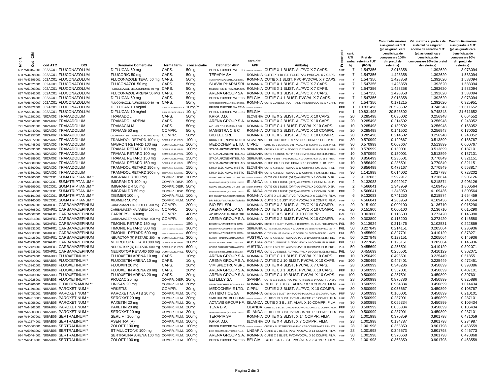|               |                                       |                                                        |                               |                   |                                                           |            |                                                                                                   |                  |                |                | Contributie maxima                     | Val. maxima suportata de                         | <b>Contributie maxima</b>              |
|---------------|---------------------------------------|--------------------------------------------------------|-------------------------------|-------------------|-----------------------------------------------------------|------------|---------------------------------------------------------------------------------------------------|------------------|----------------|----------------|----------------------------------------|--------------------------------------------------|----------------------------------------|
|               |                                       |                                                        |                               |                   |                                                           |            |                                                                                                   |                  |                |                | a asiguratului / UT                    | sistemul de asigurari                            | a asiguratului / UT                    |
|               |                                       |                                                        |                               |                   |                                                           |            |                                                                                                   | å                | cant.          |                | (pt. asiguratii care<br>beneficiaza de | sociale de sanatate / UT<br>(pt. asiguratii care | (pt. asiguratii care<br>beneficiaza de |
| ₹.            |                                       |                                                        |                               |                   |                                                           |            |                                                                                                   |                  | UT/            | Pret de        | compensare 100%                        | beneficiaza de                                   | compensare 90%                         |
| 븅             |                                       |                                                        |                               |                   |                                                           | tara det.  |                                                                                                   |                  | amba           | referinta / UT | din pretul de                          | compensare 90% din pretul                        | din pretul de                          |
| ž<br>ŏ        | cod ATC<br><b>DCI</b>                 | <b>Denumire Comerciala</b>                             | forma farm.                   | concentratie      | <b>Detinator APP</b>                                      | <b>APP</b> | Ambalai                                                                                           | $\mathbf{a}$     | laj            | (RON)          | referinta)                             | de referinta)                                    | referinta)                             |
| 682 W03157001 | J02AC01 FLUCONAZOLUM                  | DIFLUCAN 50 mg                                         | CAPS.                         | 50 <sub>mg</sub>  |                                                           |            | PFIZER EUROPE MA EEIG MAREA BRITANIE CUTIE X 1 BLIST. AL/PVC X 7 CAPS.                            | $P-RF$           | $\overline{7}$ | 1.547356       | 2.918358                               | 1.392620                                         | 3.073094                               |
| 683 W44098001 | J02AC01 FLUCONAZOLUM                  | FLUCORIC 50 mg                                         | CAPS.                         | 50 <sub>mq</sub>  | <b>TERAPIA SA</b>                                         |            | ROMANIA CUTIE X 1 BLIST. FOLIE PVC-PVDC/AL X 7 CAPS.                                              | P-RE             | $\overline{7}$ | 1.547356       | 1.428358                               | 1.392620                                         | 1.583094                               |
|               | 684 W43596001 J02AC01 FLUCONAZOLUM    | FLUCONAZOLE TEVA 50 mg CAPS.                           |                               | 50 <sub>mq</sub>  |                                                           |            | TEVA PHARMACEUTICALS S.R.L. ROMANIA CUTIE X 1 BLIST. PVC-PVDC/AL X 7 CAPS. P-RF                   |                  | $\overline{7}$ | 1.547356       | 1.428358                               | 1.392620                                         | 1.583094                               |
|               | 685 W42321001 J02AC01 FLUCONAZOLUM    | FLUCONAZOL 50 mg                                       | CAPS.                         | 50 <sub>mq</sub>  |                                                           |            | SLAVIA PHARM SRL ROMANIA CUTIE X 1 BLIST, AL/PVC X 7 CAPS.                                        | $P-RF$           | $\overline{7}$ | 1.547356       | 1.428358                               | 1.392620                                         | 1.583094                               |
|               | 686 W51993001 J02AC01 FLUCONAZOLUM    | FLUCONAZOL MEDOCHEMIE 50 mg                            | CAPS.                         | 50 <sub>mg</sub>  |                                                           |            | MEDOCHEMIE ROMANIA SRL ROMANIA CUTIE X 1 BLIST. AL/PVC X 7 CAPS.                                  | P-RF             | $\overline{7}$ | 1.547356       | 1.428358                               | 1.392620                                         | 1.583094                               |
|               | 687 W53942002 J02AC01 FLUCONAZOLUM    | FLUCONAZOL ARENA 50 MG CAPS.                           |                               | 50 <sub>mq</sub>  |                                                           |            | ARENA GROUP SA ROMANIA CUTIE X 1 BLIST. AL/PVC X 7 CAPS.                                          | $P-RF$           | $\overline{7}$ | 1.547356       | 1.428358                               | 1.392620                                         | 1.583094                               |
|               | 689 W65084001 J02AC01 FLUCONAZOLUM    | DIFLUCAN 50 mg                                         | CAPS.                         | 50 <sub>mq</sub>  |                                                           |            | PFIZER EUROPE MA EEIG BELGIA CUTIE CU 1 BLIST, PVC/AL X 7 CAPS.                                   | PRF              | $\overline{7}$ | 1.547356       | 2.918358                               | 1.392620                                         | 3.073094                               |
|               | 690 W66460007 J02AC01 FLUCONAZOLUM    | FLUCONAZOL AUROBINDO 50 mg                             | CAPS.                         | 50 <sub>mg</sub>  |                                                           |            | AUROBINDO PHARMA ROMANIA S.R.L. ROMANIA CUTIE CU BLIST. PVC TRANSPARENT/PVDC-AL X 7 CAPS.         | PRF              | $\overline{7}$ | 1.547356       | 0.171215                               | 1.392620                                         | 0.325951                               |
|               | 691 W58322002 J02AC01 FLUCONAZOLUM    | DIFLUCAN 10 mg/ml                                      | PULB PT SUSP ORALA            | 10ma/ml           | PFIZER EUROPE MA EEIG MAREA BRITANIE                      |            |                                                                                                   | PRF              | $\overline{1}$ | 10.831498      | 20.528502                              | 9.748348                                         | 21.611652                              |
|               |                                       |                                                        |                               |                   |                                                           |            |                                                                                                   |                  |                |                |                                        |                                                  |                                        |
|               | 692 W65087001 J02AC01 FLUCONAZOLUM    | DIFLUCAN 10 mg/ml                                      | PULB. PT. SUSP. ORALA         | 10mg/ml           | PFIZER EUROPE MA EEIG BELGIA                              |            |                                                                                                   | PRF              | $\overline{1}$ | 10.831498      | 20.528502                              | 9.748348                                         | 21.611652                              |
|               | 769 W12691002 N02AX02 TRAMADOLUM      | <b>TRAMADOL</b>                                        | CAPS.                         | 50 <sub>mg</sub>  | KRKA D.D.                                                 |            | SLOVENIA CUTIE X 2 BLIST. AL/PVC X 10 CAPS.                                                       | P-RF             | 20             | 0.285498       | 0.036002                               | 0.256948                                         | 0.064552                               |
|               | 770 W52049001 N02AX02 TRAMADOLUM      | <b>TRAMADOL ARENA</b>                                  | CAPS.                         | 50 <sub>mg</sub>  |                                                           |            | ARENA GROUP S.A. ROMANIA CUTIE X 2 BLIST. AL/PVC X 10 CAPS.                                       | P-RF             | 20             | 0.285498       | 0.214502                               | 0.256948                                         | 0.243052                               |
|               | 771 W60291001 N02AX02 TRAMADOLUM      | TRAMACALM                                              | CAPS.                         | 50 <sub>mq</sub>  |                                                           |            | A.C. HELCOR PHARMA S.R.L. ROMANIA CUTIE CU 1 BLIST. PVC/AL X 10 CAPS.                             | P-RF             | 10             | 0.285498       | 0.139502                               | 0.256948                                         | 0.168052                               |
|               | 772 W42440001 N02AX02 TRAMADOLUM      | TRAMAG 50 mg                                           | COMPR.                        | 50 <sub>mq</sub>  | MAGISTRA C & C                                            |            | ROMANIA CUTIE X 2 BLIST. AL/PVC X 10 COMPR.                                                       | P-RF             | 20             | 0.285498       | 0.141502                               | 0.256948                                         | 0.170052                               |
|               | 773 W42957001 N02AX02 TRAMADOLUM      | CLORHIDRAT DE TRAMADOL BIOEEL 50 mg                    | COMPR.                        | 50 <sub>mg</sub>  | <b>BIO EEL SRL</b>                                        |            | ROMANIA CUTIE X 2 BLIST. AL/PVC X 10 COMPR.                                                       | $P-RF$           | 20             | 0.285498       | 0.214502                               | 0.256948                                         | 0.243052                               |
|               | 774 W58072001 N02AX02 TRAMADOLUM      | TRAMADOL RETARD 100 mg COMPR. ELIB. PREL.              |                               | 100ma             |                                                           |            | KRKA, D.D., NOVO MESTO SLOVENIA CUTIE CU 3 BLIST, AL/PVC X 10 COMPR, ELIB, PREL.                  | PRF              | 30             | 0.570999       | 0.129667                               | 0.513899                                         | 0.186767                               |
|               | 776 W61448003 N02AX02 TRAMADOLUM      | MABRON RETARD 100 mg                                   | COMPR. ELIB. PREL. 100mg      |                   |                                                           |            | MEDOCHEMIE LTD. CIPRU CUTIE CU 3 BLISTERE DIN PVC/AL X 10 COMPR. CU ELIB. PREL. PRF               |                  | 30             | 0.570999       | 0.003667                               | 0.513899                                         | 0.060767                               |
|               | 777 W63391001 N02AX02 TRAMADOLUM      | TRAMAL RETARD 100 mg                                   | COMPR. ELIB. PREL. 100mg      |                   |                                                           |            | STADA ARZNEIMITTEL AG GERMANIA CUTIE X 1 BLIST, AL/PVDC X 10 COMPR, FILM, CU ELIB, PREL, P-RF     |                  | 10             | 0.570999       | 0.130001                               | 0.513899                                         | 0.187101                               |
|               | 778 W63391003 N02AX02 TRAMADOLUM      | TRAMAL RETARD 100 mg                                   | COMPR. ELIB. PREL. 100mg      |                   |                                                           |            | STADA ARZNEIMITTEL AG GERMANIA CUTIE X 1 BLIST. AL/PP X 10 COMPR.FILM. CU ELIB. PREL.             | P-RF             | 10             | 0.570999       | 0.130001                               | 0.513899                                         | 0.187101                               |
|               | 784 W63389001 N02AX02 TRAMADOLUM      | TRAMAL RETARD 150 mg                                   | COMPR. ELIB. PREL. 150mg      |                   |                                                           |            | STADA ARZNEIMITTEL AG GERMANIA CUTIE X 1 BLIST. PVC-PVDC/AL X 10 COMPR.FILM. CU ELIB. PREL. P-RF  |                  | 10             | 0.856499       | 0.235501                               | 0.770849                                         | 0.321151                               |
|               | 785 W63389002 N02AX02 TRAMADOLUM      | TRAMAL RETARD 150 mg                                   | COMPR. ELIB. PREL. 150mg      |                   |                                                           |            | STADA ARZNEIMITTEL AG GERMANIA CUTIE CU 1 BLIST. PP/AL X 10 COMPR. ELIB. PREL. P-RF               |                  | 10             | 0.856499       | 0.235501                               | 0.770849                                         | 0.321151                               |
|               | 788 W43360001 N02AX02 TRAMADOLUM      | TRAMADOL RETARD 150 mg COMPR. FILM. ELIB. PREL. 150 mg |                               |                   |                                                           |            | KRKA D.D. NOVO MESTO SLOVENIA CUTIE X 3 BLIST. AL/PVC X 10 COMPR. FILM. ELIB. PREL. P-RF          |                  | 30             | 0.856499       | 0.473167                               | 0.770849                                         | 0.558817                               |
|               | 789 W43361001 N02AX02 TRAMADOLUM      | TRAMADOL RETARD 200 mg COMPR. FILM. ELIB. PREL. 200mg  |                               |                   |                                                           |            | KRKA D.D. NOVO MESTO SLOVENIA CUTIE X 3 BLIST, AL/PVC X 10 COMPR., FILM, ELIB, PREL. P-RF         |                  | 30             | 1.141998       | 0.614002                               | 1.027798                                         | 0.728202                               |
|               | 797 W59300001 N02CC01 SUMATRIPTANUM * | IMIGRAN DR 100 mg                                      | COMPR. DISP. 100mg            |                   |                                                           |            | GLAXO WELLCOME UK LIMITED MAREA BRITANIE CUTIE CU 1 BLIST. (OPA)-AL-PVC/AL X 2 COMPR. DISP.       | P-RF             | $\overline{2}$ | 9.132083       | 2.992917                               | 8.218874                                         | 3.906126                               |
|               | 798 W64948001 N02CC01 SUMATRIPTANUM * | IMIGRAN DR 100 mg                                      | COMPR. DISP. 100mg            |                   |                                                           |            | GLAXOSMITHKLINE (IRELAND) LIMITED RELANDA CUTIE CU 1 BLIST, (OPA)-AL-PVC/AL X 2 COMPR, DISP.      | PRF              | 2              | 9.132083       | 2.992917                               | 8.218874                                         | 3.906126                               |
|               | 799 W59299001 N02CC01 SUMATRIPTANUM * | IMIGRAN DR 50 mg                                       | COMPR. DISP. 50mg             |                   |                                                           |            | GLAXO WELLCOME UK LIMITED MAREA BRITANIE CUTIE CU 1 BLIST. (OPA)-AL-PVC/AL X 2 COMPR. DISP.       | P-RF             | $\overline{2}$ | 4.566041       | 1.343959                               | 4.109436                                         | 1.800564                               |
|               | 800 W64946001 N02CC01 SUMATRIPTANUM * | IMIGRAN DR 50 mg                                       | COMPR. DISP. 50mg             |                   |                                                           |            | GLAXOSMITHKLINE (IRELAND) LIMITED RICLANDA CUTIE CU 1 BLIST. (OPA)-AL-PVC/AL X 2 COMPR. DISP.     | PRE              | 2              | 4.566041       | 1.343959                               | 4.109436                                         | 1.800564                               |
|               | 801 W56161005 N02CC01 SUMATRIPTANUM * | XIBIMER 100 mg                                         | COMPR. FILM. 100mg            |                   |                                                           |            | DR. REDDY'S LABORATORIES ROMANIA CUTIE X 1 BLIST. PVC-PVDC/AL X 6 COMPR. FILM. P-RF               |                  | 6              | 9.132083       | 0.741250                               | 8.218874                                         | 1.654459                               |
|               | 803 W56160005 N02CC01 SUMATRIPTANUM * | XIBIMER 50 mg                                          | COMPR. FILM. 50mg             |                   |                                                           |            | DR. REDDY'S LABORATORIES ROMANIA CUTIE X 1 BLIST. PVC-PVDC/AL X 6 COMPR. FILM. P-RF               |                  | 6              | 4.566041       | 4.283959                               | 4.109436                                         | 4.740564                               |
|               | 805 W00797001 N03AF01 CARBAMAZEPINUM  | CARBAMAZEPIN BIOEEL 200 mg COMPR.                      |                               | 200 <sub>ma</sub> | <b>BIO EEL SRL</b>                                        |            | ROMANIA CUTIE X 2 BLIST, AL/PVC X 10 COMPR.                                                       | $P-6L$           | 20             | 0.151900       | 0.000100                               | 0.136710                                         | 0.015290                               |
|               | 806 W00798002 N03AF01 CARBAMAZEPINUM  | CARBAMAZEPINA ARENA 200 mg COMPR.                      |                               | 200 <sub>mg</sub> |                                                           |            | ARENA GROUP SA ROMANIA CUTIE X 2 BLIST. AL/PVC X 10 COMPR.                                        | $P-6L$           | 20             | 0.151900       | 0.000100                               | 0.136710                                         | 0.015290                               |
|               | 810 W00807001 N03AF01 CARBAMAZEPINUM  | CARBEPSIL 400mg                                        | COMPR.                        | 400 <sub>ma</sub> | AC HELCOR PHARMA SRL ROMANIA CUTIE X 5 BLIST, X 10 COMPR. |            |                                                                                                   | $P - 6L$         | 50             | 0.303800       | 0.116600                               | 0.273420                                         | 0.146980                               |
|               | 811 W53816001 N03AF01 CARBAMAZEPINUM  | CARBAMAZEPINA ARENA 400 mg COMPR.                      |                               | 400 <sub>mg</sub> |                                                           |            | ARENA GROUP S.A. ROMANIA CUTIE X 2 BLIST. PVC/AL X 10 COMPR.                                      | $P-6L$           | 20             | 0.303800       | 0.116200                               | 0.273420                                         | 0.146580                               |
|               | 812 W58631001 N03AF01 CARBAMAZEPINUM  | TIMONIL RETARD 150 mg                                  |                               | 150 <sub>mg</sub> |                                                           |            | DESITIN ARZNEIMITTEL GMBH GERMANIA CUTIE X 5 BLIST. PVC/AL X 10 COMPR. CU ELIB. PRELUNGITA P6L    |                  | 50             | 0.113924       | 0.211476                               | 0.102531                                         | 0.222869                               |
|               |                                       |                                                        | COMPR. CU ELIB. PRELUNGITA    |                   |                                                           |            |                                                                                                   |                  |                |                |                                        |                                                  |                                        |
|               | 813 W58632001 N03AF01 CARBAMAZEPINUM  | TIMONIL RETARD 300 mg                                  | COMPR. CU ELEE RARE PRELUNGEN | 300 <sub>mq</sub> |                                                           |            | DESITIN ARZNEIMITTEL GMBH GERMANIA CUTIE X 5 BLIST. PVC/AL X 10 COMPR. CU ELIBERARE PRELUNGITA    | P <sub>6</sub> L | 50             | 0.227849       | 0.214151                               | 0.205064                                         | 0.236936                               |
|               | 814 W58633001 N03AF01 CARBAMAZEPINUM  | TIMONIL RETARD 600 mg COMPRO CLEAR FRELINGER           |                               | 600mg             |                                                           |            | DESITIN ARZNEIMITTEL GMBH GERMANIA CUTIE X 5 BLIST. PVC/AL X 10 COMPR. CU ELIBERARE PRELUNGITA    | P6L              | 50             | 0.455699       | 0.327701                               | 0.410129                                         | 0.373271                               |
|               | 815 W12426001 N03AF01 CARBAMAZEPINUM  | NEUROTOP (R) RETARD 300 mg COMPR. ELIB. PREL. 300mg    |                               |                   |                                                           |            | GEROT PHARMAZEUTIKA GMBH AUSTRIA CUTIE X 5 BLIST. AL/PVDC-PVC X 10 COMPR. ELIB. PREL P-6L         |                  | 50             | 0.227849       | 0.123151                               | 0.205064                                         | 0.145936                               |
|               | 816 W63239001 N03AF01 CARBAMAZEPINUM  | NEUROTOP RETARD 300 mg COMPR. ELIB. PREL. 300mg        |                               |                   |                                                           |            | LANNACHER HEILMITTEL GES.M.B.H. AUSTRIA CUTIE CU 5 BLIST. AL/PVDC-PVC X 10 COMPR. ELIB. PREL. P6L |                  | 50             | 0.227849       | 0.123151                               | 0.205064                                         | 0.145936                               |
|               | 817 W12428001 N03AF01 CARBAMAZEPINUM  | NEUROTOP (R) RETARD 600 mg COMPR. ELIB. PREL.          |                               | 600mg             |                                                           |            | GEROT PHARMAZEUTIKA GMBH AUSTRIA CUTIE X 5 BLIST, AL/PVDC-PVC X 10 COMPR, ELIB, PREL. P-6L        |                  | 50             | 0.455699       | 0.256501                               | 0.410129                                         | 0.302071                               |
|               | 818 W63238001 N03AF01 CARBAMAZEPINUM  | NEUROTOP RETARD 600 mg COMPR. ELIB. PREL.              |                               | 600mg             |                                                           |            | LANNACHER HEILMITTEL GES.M.B.H. AUSTRIA CUTIE CU 5 BLIST. AL/PVDC-PVC X 10 COMPR. ELIB. PREL. P6L |                  | 50             | 0.455699       | 0.256501                               | 0.410129                                         | 0.302071                               |
|               | 905 W60729001 N06AB03 FLUOXETINUM *   | FLUOXETIN ARENA 10 mg                                  | CAPS.                         | 10 <sub>mq</sub>  |                                                           |            | ARENA GROUP S.A. ROMANIA CUTIE CU 1 BLIST. PVC/AL X 10 CAPS.                                      | PRE              | 10             | 0.250499       | 0.493501                               | 0.225449                                         | 0.518551                               |
|               | 906 W60729002 N06AB03 FLUOXETINUM *   | FLUOXETIN ARENA 10 mg                                  | CAPS.                         | 10 <sub>mq</sub>  |                                                           |            | ARENA GROUP S.A. ROMANIA CUTIE CU 10 BLIST. PVC/AL X 10 CAPS.                                     | PRF              | 100            | 0.250499       | 0.447401                               | 0.225449                                         | 0.472451                               |
|               | 907 W13241002 N06AB03 FLUOXETINUM *   | FLUOXIN 20 mg                                          | CAPS.                         | 20 <sub>mq</sub>  |                                                           |            | VIM SPECTRUM SRL ROMANIA CUTIE X 4 BLIST, PVC/AL X 7 CAPS.                                        | P-RF             | 28             | 0.500999       | 0.343286                               | 0.450899                                         | 0.393386                               |
|               | 909 W60730001 N06AB03 FLUOXETINUM *   | FLUOXETIN ARENA 20 mg                                  | CAPS.                         | 20 <sub>mq</sub>  |                                                           |            | ARENA GROUP S.A. ROMANIA CUTIE CU 1 BLIST. PVC/AL X 10 CAPS.                                      | PRF              | 10             | 0.500999       | 0.357001                               | 0.450899                                         | 0.407101                               |
|               | 910 W60730002 N06AB03 FLUOXETINUM *   | FLUOXETIN ARENA 20 mg                                  | CAPS.                         | 20 <sub>mq</sub>  |                                                           |            | ARENA GROUP S.A. ROMANIA CUTIE CU 10 BLIST. PVC/AL X 10 CAPS.                                     | PRF              | 100            | 0.500999       | 0.257501                               | 0.450899                                         | 0.307601                               |
|               | 911 W10228001 N06AB03 FLUOXETINUM *   | PROZAC 20 mg                                           | COMPR. DISP.                  | 20 <sub>mg</sub>  | ELI LILLY SA                                              |            | SPANIA CUTIE X 2 BLIST. PVC-PE-PCTFE/AL X 14 COMPR. DISP.                                         | $P-RF$           | 28             | 0.500999       | 0.875786                               | 0.450899                                         | 0.925886                               |
|               | 912 W43706001 N06AB04 CITALOPRAMUM ** | LINISAN 20 mg                                          | COMPR. FILM.                  | 20 <sub>mg</sub>  | GEDEON RICHTER ROMANIA SA                                 |            | ROMANIA CUTIE X 3 BLIST. AL/PVC X 10 COMPR. FILM. P-RF                                            |                  | -30            | 0.500999       | 0.964334                               | 0.450899                                         | 1.014434                               |
|               | 913 W41796001 N06AB05 PAROXETINUM     | <b>ARKETIS</b>                                         | COMPR.                        | 20 <sub>mg</sub>  | MEDOCHEMIE LTD. CIPRU                                     |            | CUTIE X 3 BLIST. AL/PVC, X 10 COMPR. P-RF                                                         |                  | 30             | 0.500999       | 0.055667                               | 0.450899                                         | 0.105767                               |
|               | 914 W57051001 N06AB05 PAROXETINUM *   | PAROXETINA ATB 20 mg                                   | COMPR. FILM. 20 mg            |                   | <b>ANTIBIOTICE SA</b>                                     |            | ROMANIA CUTIE CU 3 BLIST. DIN PVC-PE-PVDC/AL X 10 COMPR. FILM. PRF                                |                  | 30             | 0.500999       | 0.160001                               | 0.450899                                         | 0.210101                               |
|               | 915 W04913003 N06AB05 PAROXETINUM *   | SEROXAT 20 mg                                          | COMPR. FILM. 20mg             |                   |                                                           |            | SMITHKLINE BEECHAM MAREA BRITANIE CUTIE CU 3 BLIST. PVC/AL-HARTIE X 10 COMPR. FILM. P-RF          |                  | 30             | 0.500999       | 0.237001                               | 0.450899                                         | 0.287101                               |
|               | 916 W43958002 N06AB05 PAROXETINUM *   | PAXETIN 20 mg                                          | COMPR. FILM. 20mg             |                   |                                                           |            | ACTAVIS GROUP HF. ISLANDA CUTIE X 3 BLIST. AL/AL X 10 COMPR. FILM. P-RF                           |                  | 30             | 0.500999       | 0.056334                               | 0.450899                                         | 0.106434                               |
|               | 917 W64362002 N06AB05 PAROXETINUM     | PAXETIN 20 mg                                          | COMPR. FILM. 20mg             |                   | TEVA B.V.                                                 |            | OLANDA CUTIE CU 3 BLIST. OPA-AL-PVC/PVC-AL-OPA X 10 COMPR. FILM. PRF                              |                  | 30             | 0.500999       | 0.056334                               | 0.450899                                         | 0.106434                               |
|               | 918 W65203003 N06AB05 PAROXETINUM *   | SEROXAT 20 mg                                          | COMPR. FILM. 20mg             |                   |                                                           |            | GLAXOSMITHKLINE (IRELAND) LIMITED RANDA CUTIE CU 3 BLIST. PVC/AL-HARTIE X 10 COMPR. FILM. PRF     |                  | 30             | 0.500999       | 0.237001                               | 0.450899                                         | 0.287101                               |
|               | 919 W44097001 N06AB06 SERTRALINUM *   | SERLIFT 100 mg                                         | COMPR. FILM. 100mg            |                   | <b>TERAPIA SA</b>                                         |            | ROMANIA CUTIE X 2 BLIST, X 14 COMPR, FILM.                                                        | P-RF             | 28             | 1.001998       | 0.370859                               | 0.901798                                         | 0.471059                               |
|               | 920 W12874001 N06AB06 SERTRALINUM *   | ASENTRA (R)                                            | COMPR. FILM. 100mg            |                   | KRKA D.D.                                                 |            | SLOVENIA CUTIE X 4 BLIST, X 7 COMPR, FILM.                                                        | P-RF             | 28             | 1.001998       | 0.134787                               | 0.901798                                         | 0.234987                               |
|               | 921 W55563001 N06AB06 SERTRALINUM *   | ZOLOFT 100 mg                                          | COMPR. FILM. 100mg            |                   |                                                           |            | PFIZER EUROPE MA EEIG MAREA BRITANIE CUTIE X BLISTERE DIN AL/PVC X 28 COMPRIMATE FILMATE P-RF     |                  | -28            | 1.001998       | 0.363359                               | 0.901798                                         | 0.463559                               |
|               | 923 W59303002 N06AB06 SERTRALINUM *   | STIMULOTON® 100 mg                                     | COMPR. FILM. 100mg            |                   |                                                           |            | EGIS PHARMACEUTICALS P.L.C. UNGARIA CUTIE X 2 BLIST. PVC-PVDC/AL X 14 COMPR. FILM. P-RF           |                  | 28             | 1.001998       | 0.346573                               | 0.901798                                         | 0.446773                               |
|               | 924 W60444001 N06AB06 SERTRALINUM *   | SERTRALINA ARENA 100 mg COMPR. FILM. 100mg             |                               |                   |                                                           |            | ARENA GROUP S.A. ROMANIA CUTIE X 3 BLIST. PVC-PVDC/AL X 10 COMPR. FILM. P-RF                      |                  | 30             | 1.001998       | 0.370668                               | 0.901798                                         | 0.470868                               |
|               |                                       | ZOLOFT 100 mg                                          |                               |                   |                                                           |            | PFIZER EUROPE MA EEIG BELGIA CUTIE CU BLIST. PVC/AL X 28 COMPR. FILM. PROPE                       |                  | 28             | 1.001998       | 0.363359                               | 0.901798                                         | 0.463559                               |
|               | 927 W65116001 N06AB06 SERTRALINUM *   |                                                        | COMPR. FILM. 100mg            |                   |                                                           |            |                                                                                                   |                  |                |                |                                        |                                                  |                                        |
|               |                                       |                                                        |                               |                   |                                                           |            |                                                                                                   |                  |                |                |                                        |                                                  |                                        |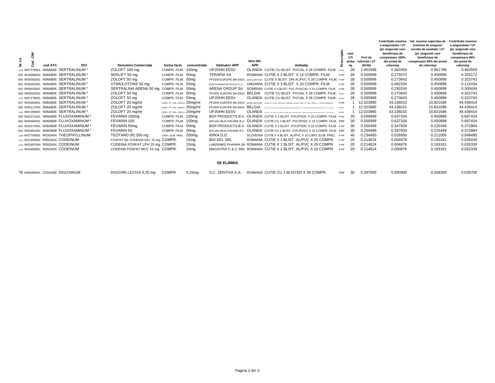|                                          |                                    |                              |                          |                              |            |                                                                                                                        |               |       |               | <b>Contributie maxima</b><br>a asiguratului / UT | Val. maxima suportata de<br>sistemul de asigurari | <b>Contributie maxima</b><br>a asiguratului / UT |
|------------------------------------------|------------------------------------|------------------------------|--------------------------|------------------------------|------------|------------------------------------------------------------------------------------------------------------------------|---------------|-------|---------------|--------------------------------------------------|---------------------------------------------------|--------------------------------------------------|
|                                          |                                    |                              |                          |                              |            |                                                                                                                        |               |       |               | (pt. asiguratii care                             | sociale de sanatate / UT                          | (pt. asiguratii care                             |
|                                          |                                    |                              |                          |                              |            |                                                                                                                        |               | cant. |               | beneficiaza de                                   | (pt. asiguratii care                              | beneficiaza de                                   |
| čΜ<br>ដូ                                 |                                    |                              |                          |                              |            |                                                                                                                        |               | UT/   | Pret de       | compensare 100%                                  | beneficiaza de                                    | compensare 90%                                   |
|                                          |                                    |                              |                          |                              | tara det.  |                                                                                                                        |               | amba  | eferinta / UT | din pretul de                                    | compensare 90% din pretul                         | din pretul de                                    |
| cod ATC<br>DCI<br>$\epsilon$             | <b>Denumire Comerciala</b>         |                              | forma farm. concentratie | <b>Detinator APP</b>         | <b>APP</b> | Ambalai                                                                                                                |               | lai   | (RON)         | referinta)                                       | de referinta)                                     | referinta)                                       |
| N06AB06 SERTRALINUM'<br>1.058 W6727900   | ZOLOFT 100 mg                      | COMPR. FILM. 100mg           |                          | <b>UPJOHN EESV</b>           |            | OLANDA CUTIE CU BLIST, PVC/AL X 28 COMPR, FILM.                                                                        |               | 28    | 1.001998      | 0.363359                                         | 0.901798                                          | 0.463559                                         |
| N06AB06 SERTRALINUM *<br>928 W44096001   | SERLIFT 50 mg                      | COMPR. FILM. 50mg            |                          | <b>TERAPIA SA</b>            |            | ROMANIA CUTIE X 2 BLIST, X 14 COMPR, FILM.                                                                             | P-RF          | 28    | 0.500999      | 0.275072                                         | 0.450899                                          | 0.325172                                         |
| N06AB06 SERTRALINUM *<br>930 W55562001   | ZOLOFT 50 mg                       | COMPR. FILM. 50mg            |                          |                              |            | PFIZER EUROPE MA EEIG MAREA BRITANIE CUTIE X BLIST, DIN AL/PVC X 28 COMPR, FILM. P-RF                                  |               | 28    | 0.500999      | 0.273643                                         | 0.450899                                          | 0.323743                                         |
| NO6ABO6 SERTRALINUM*<br>932 W59302001    | STIMULOTON® 50 mg                  | COMPR. FILM. 50mg            |                          |                              |            | EGIS PHARMACEUTICALS P.L.C. UNGARIA CUTIE X 3 BLIST, X 10 COMPR, FILM.                                                 | $P-RF$        | 30    | 0.500999      | 0.062334                                         | 0.450899                                          | 0.112434                                         |
| N06AB06 SERTRALINUM *<br>933 W60443001   | SERTRALINA ARENA 50 mg             | COMPR. FILM. 50mg            |                          | ARENA GROUP SA               |            | ROMANIA CUTIE X 3 BLIST. PVC-PVDC/AL X 10 COMPR. FILM. P-RF                                                            |               | 30    | 0.500999      | 0.250334                                         | 0.450899                                          | 0.300434                                         |
| N06AB06 SERTRALINUM *<br>936 W65052001   | ZOLOFT 50 ma                       | COMPR. FILM. 50mg            |                          |                              |            | PEIZER EUROPE MA FEIG BELGIA CUTIE CU BLIST, PVC/AL X 28 COMPR. FILM. PROBE                                            |               | 28    | 0.500999      | 0.273643                                         | 0.450899                                          | 0.323743                                         |
| N06AB06 SERTRALINUM *<br>1.059 W67278001 | ZOLOFT 50 ma                       | COMPR. FILM. 50mg            |                          | <b>UPJOHN EESV</b>           |            | OLANDA CUTIE CU BLIST, PVC/AL X 28 COMPR, FILM. PRPRE                                                                  |               | 28    | 0.500999      | 0.273643                                         | 0.450899                                          | 0.323743                                         |
| N06AB06 SERTRALINUM *<br>937 W55564001   | ZOLOFT 20 ma/ml                    | CONC. PT. SOL. ORALA 20mg/ml |                          |                              |            | PFIZER EUROPE MA EEIG MAREA BRITANIE CUTIE CU 1 FLAC. DIN STICLA BRUNA X 60 ML CONC. PT. SOL. ORALA + 1 PIPETA GRADATA | P-RF          |       | 12.023985     | 43.236015                                        | 10.821586                                         | 44.438414                                        |
| N06AB06 SERTRALINUM *<br>938 W65117001   | ZOLOFT 20 mg/ml                    | CONC. PT. SOL. ORALA 20mg/ml |                          | PFIZER EUROPE MA EEIG BELGIA |            | CUTE CU 1 FLAC, DIN STICLA BRUNA, AVAND CAPACITATEA DE 60 ML + 1 PIPETA GRADATA CARE CONTINE CONC. PT. SOL, ORALA      | <b>PR/PRE</b> |       | 12.023985     | 43.236015                                        | 10.821586                                         | 44.438414                                        |
| 1080 W67280001 N06AB06 SERTRALINUM *     | ZOLOFT 20 ma/ml                    | CONC. PT. SOL. ORALA 20mg/ml |                          | <b>UPJOHN EESV</b>           |            | OLANDA CUTECU I FAC ON STICLA BRUNA AVAND CARACTERIS EGO BA + 1 PERTA GRADATA CARE CONTINE CONC. PT. SOL ORALA PRIPRE  |               |       | 12.023985     | 43.236015                                        | 10.821586                                         | 44.438414                                        |
| N06AB08 FLUVOXAMINUM *<br>939 W62371001  | FEVARIN 100mg                      | COMPR. FILM. 100mg           |                          |                              |            | BGP PRODUCTS B.V. OLANDA CUTIE X 2 BLIST. PVC/PVDC X 15 COMPR. FILM. P-RF                                              |               | 30    | 0.500999      | 0.637334                                         | 0.450899                                          | 0.687434                                         |
| N06AB08 FLUVOXAMINUM *<br>940 W64560001  | FEVARIN 100                        | COMPR. FILM. 100mg           |                          |                              |            | MYLAN HEALTHCARE B.V. OLANDA CUTIE CU 2 BLIST. PVC/PVDC X 15 COMPR. FILM. PRF                                          |               | 30    | 0.500999      | 0.637334                                         | 0.450899                                          | 0.687434                                         |
| N06AB08 FLUVOXAMINUM *<br>941 W62372001  | FEVARIN 50mg                       | COMPR. FILM. 50mg            |                          |                              |            | BGP PRODUCTS B.V. OLANDA CUTIE X 2 BLIST, PVC/PVDC X 15 COMPR, FILM. P-RF                                              |               | 30    | 0.250499      | 0.347834                                         | 0.225449                                          | 0.372884                                         |
| N06AB08 FLUVOXAMINUM *<br>942 W64561001  | FEVARIN 50                         | COMPR. FILM. 50mg            |                          |                              |            | MYLAN HEALTHCARE B.V. OLANDA CUTIE CU 2 BLIST. PVC/PVDC X 15 COMPR. FILM. PRF                                          |               | 30    | 0.250499      | 0.347834                                         | 0.225449                                          | 0.372884                                         |
| 1.008 W07705001 R03DA04 THEOPHYLLINUM    | TEOTARD (R) 200 mg                 | CAPS, ELIB, PREL.            | 200ma                    | KRKA D.D.                    |            | SLOVENIA CUTIE X 4 BLIST, AL/PVC X 10 CAPS, ELIB, PREL. P-RF                                                           |               | 40    | 0.234450      | 0.026050                                         | 0.211005                                          | 0.049495                                         |
| 1.017 W01409002 R05DA04 CODEINUM         | FOSFAT DE CODEINA EEL 15 mg COMPR. |                              | 15 <sub>mq</sub>         | <b>BIO EEL SRL</b>           |            | ROMANIA CUTIE X 1 BLIST. AL/PVC X 25 COMPR.                                                                            | P-RF          | 25    | 0.214624      | 0.004976                                         | 0.193161                                          | 0.026439                                         |
| 1018 W01407004 R05DA04 CODEINUM          | CODEINA FOSFAT LPH 15 mg COMPR.    |                              | 15 <sub>mq</sub>         |                              |            | LABORMED PHARMA SA ROMANIA CUTIE X 1 BLIST, AL/PVC X 20 COMPR.                                                         | P-RF          | 20    | 0.214624      | 0.004876                                         | 0.193161                                          | 0.026339                                         |
| 1.019 W54406001 R05DA04 CODEINUM         | CODEINA FOSFAT MCC 15 mg COMPR.    |                              | 15 <sub>mq</sub>         |                              |            | MAGISTRA C & C SRL ROMANIA CUTIE X 2 BLIST, AL/PVC X 10 COMPR.                                                         | P-RF          | 20    | 0.214624      | 0.000876                                         | 0.193161                                          | 0.022339                                         |
|                                          |                                    |                              |                          |                              |            |                                                                                                                        |               |       |               |                                                  |                                                   |                                                  |
|                                          |                                    |                              |                          |                              |            |                                                                                                                        |               |       |               |                                                  |                                                   |                                                  |
|                                          |                                    |                              |                          | <b>SE ELIMINA</b>            |            |                                                                                                                        |               |       |               |                                                  |                                                   |                                                  |
| 78 W66390001 C01AA05 DIGOXINUM           | DIGOXIN LECIVA 0.25 mg             | COMPR.                       | $0,25$ mq                | S.C. ZENTIVA S.A.            |            | ROMANIA CUTIE CU 1 BLISTER X 30 COMPR.                                                                                 | PRF           | 30    | 0.287000      | 0.000000                                         | 0.258300                                          | 0.028700                                         |
|                                          |                                    |                              |                          |                              |            |                                                                                                                        |               |       |               |                                                  |                                                   |                                                  |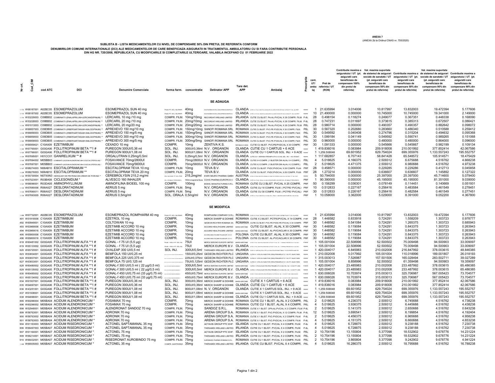**ANEXA 7** (ANEXA 2b la Ordinul CNAS nr. 755/2020)

## **SUBLISTA B - LISTA MEDICAMENTELOR CU NIVEL DE COMPENSARE 50% DIN PRETUL DE REFERINTA CONFORM** DENUMIRILOR COMUNE INTERNATIONALE (DCI) ALE MEDICAMENTELOR DE CARE BENEFICIAZA ASIGURATII N TRATAMENTLA AMBULATORIU CU SI FARA CONTRIBUTIE PERSONALA<br>DIR TERNATION DIN HG NR. 720/2008, REPUBLICATA, CU MODIFICARILE SI COMPLE

| 븀<br>ž. | ē,<br><b>G</b> | cod ATC | DCI                                                                                                                                                    | <b>Denumire Comerciala</b>                                     |                                                                | forma farm. concentratie             | <b>Detinator APP</b>                                                                    | <b>Tara det</b><br>APP | Ambalai                                                                                                                                                                                                                                       | Pres   | cant.<br>UT/<br>amba<br>lai      | Pret de<br>referinta / UT<br>(RON) | asiguratii care<br>beneficiaza de<br>compensare 100%<br>din pretul de<br>referinta) | Contributie maxima a Val. maxima suportata<br>asiguratului / UT (pt. de sistemul de asigurari Contributie maxima a de sistemul de asigurari Contributie maxima a<br>sociale de sanatate / UT asiguratului / UT (pt. sociale de sanatate / UT asiguratului / UT (pt.<br>(pt. asiguratii care<br>beneficiaza de<br>compensare 50% din<br>pretul de referinta) | asiguratii care<br>beneficiaza de<br>compensare 50% din<br>pretul de referinta) | Val. maxima suportata<br>(pt. asiguratii care<br>beneficiaza de<br>compensare 90% din<br>pretul de referinta) | asiguratii care<br>beneficiaza de<br>compensare 90% di<br>pretul de referinta) |
|---------|----------------|---------|--------------------------------------------------------------------------------------------------------------------------------------------------------|----------------------------------------------------------------|----------------------------------------------------------------|--------------------------------------|-----------------------------------------------------------------------------------------|------------------------|-----------------------------------------------------------------------------------------------------------------------------------------------------------------------------------------------------------------------------------------------|--------|----------------------------------|------------------------------------|-------------------------------------------------------------------------------------|-------------------------------------------------------------------------------------------------------------------------------------------------------------------------------------------------------------------------------------------------------------------------------------------------------------------------------------------------------------|---------------------------------------------------------------------------------|---------------------------------------------------------------------------------------------------------------|--------------------------------------------------------------------------------|
|         |                |         |                                                                                                                                                        |                                                                |                                                                |                                      | <b>SE ADAUGA</b>                                                                        |                        |                                                                                                                                                                                                                                               |        |                                  |                                    |                                                                                     |                                                                                                                                                                                                                                                                                                                                                             |                                                                                 |                                                                                                               |                                                                                |
|         |                |         | 1,112 W68187001 A02BC05 ESOMEPRAZOLUM<br>1,113 W68187002 A02BC05 ESOMEPRAZOLUM                                                                         | ESOMEPRAZOL SUN 40 mg<br>ESOMEPRAZOL SUN 40 mg                 | PULB. PT. SOL. INJ.PERF. 40mg<br>PULB. PT. SOL. INJ.PERF. 40mg |                                      | SUN PHARMACEUTICAL NOUSTRES EUROPE B.V.<br>SIN PHARMACEUTICAL INDUSTRIES ELIDODE B.V.   |                        | OLANDA CUTECUT FLAC DINSTICLA ROGORA CU CAPACTATEA DE S M. CUPLER PT. SCA. INLIFERE. PRIPRET<br>OLANDA CUSCUS FUNC ON STICLA NOGLOBA CU OPPICITATIA DE S NA CUPARE PT. SOL INLIFERE   PRIPRE                                                  |        | $\overline{1}$<br>10             | 21.635994<br>21.490000             | 3.014006<br>0.000000                                                                | 10.817997<br>10.745000                                                                                                                                                                                                                                                                                                                                      | 13.832003<br>10.745000                                                          | 19.472394<br>19.341000                                                                                        | 5.177606<br>2.149000                                                           |
|         |                |         | 1,114 W 53229003 C09BB02 COMBINATII (ENALAPRILUM+LERCANIDIPINUM) **                                                                                    | LERCARIL 10 mg /10 mg                                          |                                                                |                                      | COMPR. FILM. 10mg/10mg RECORDATI RELAND LIMITED                                         |                        | IRLANDA CUTIE CU BLIST. PA-AL-PVC/AL X 28 COMPR. FILM. P-6L                                                                                                                                                                                   |        | 28                               | 0.498154                           | 0.118274                                                                            | 0.249077                                                                                                                                                                                                                                                                                                                                                    | 0.367351                                                                        | 0.448338                                                                                                      | 0.168090                                                                       |
|         |                |         | 1,115 W 53228003 CO9BB02 COMBINATII (ENALAPRILUM+LERCANIDIPINUM) **                                                                                    | LERCARIL 20 mg /10 mg                                          |                                                                |                                      | COMPR. FILM. 20mg/10mg RECORDATI IRELAND LIMITED                                        |                        | IRLANDA CUTIE CU BLIST. PA-AL-PVC/AL X 28 COMPR. FILM. P-6L                                                                                                                                                                                   |        | 28                               | 0.747231                           | 0.011697                                                                            | 0.373615                                                                                                                                                                                                                                                                                                                                                    | 0.385313                                                                        | 0.672507                                                                                                      | 0.086421                                                                       |
|         |                |         | 1,116 W61013003 C09BB02 COMBINATII (ENALAPRILUM+LERCANIDIPINUM) ** LERCARIL 20 mg/20 mg                                                                |                                                                |                                                                |                                      | COMPR. FILM. 20mg/20mg RECORDATI IRELAND LIMITED                                        |                        | IRLANDA CUTIE CU BLIST. PA-AL-PVC/AL X 28 COMPR. FILM. P6L                                                                                                                                                                                    |        | -28                              | 0.980714                           | 0.000000                                                                            | 0.490357                                                                                                                                                                                                                                                                                                                                                    | 0.490357                                                                        | 0.882642                                                                                                      | 0.098072                                                                       |
|         |                |         | 1,117 W66857003 C09DB05 COMBINATII (IRBERSARTANUM+AMLODIPINUM) **                                                                                      | APREXEVO 150 mg/10 mg                                          |                                                                |                                      | COMPR. FILM. 150mg/10mg SANOFI ROMANIA SRL                                              |                        | ROMANIA CUTIE CU BLIST. PVC-PE-PVDC/AL X 30 COMPR. FILM. P6L                                                                                                                                                                                  |        | 30                               | 0.567320                           | 0.202680                                                                            | 0.283660                                                                                                                                                                                                                                                                                                                                                    | 0.486340                                                                        | 0.510588                                                                                                      | 0.259412                                                                       |
|         |                |         | 1,118 W66856003 C09DB05 COMBINATII (IRBERSARTANUM+AMLODIPINUM) **                                                                                      | APREXEVO 150 mg/5 mg                                           |                                                                |                                      | COMPR. FILM. 150mg/5mg SANOFI ROMANIA SRL                                               |                        | ROMANIA CUTIE CU BLIST. PVC-PE-PVDC/AL X 30 COMPR. FILM. P6L                                                                                                                                                                                  |        | -30<br>-30                       | 0.549592                           | 0.040408<br>0.041149                                                                | 0.274796                                                                                                                                                                                                                                                                                                                                                    | 0.315204                                                                        | 0.494632                                                                                                      | 0.095368<br>0.151068                                                           |
|         |                |         | 1.119 W66859003 C09DB05 COMBINATII (IRBERSARTANUM+AMLODIPINUM) **<br>1,120 W66858003 C09DB05 COMBINATII (IRBERSARTANUM+AMLODIPINUM) **                 | APREXEVO 300 mg/10 mg<br>APREXEVO 300 mg/5 mg                  |                                                                |                                      | COMPR. FILM. 300mg/10mg SANOFI ROMANIA SRL<br>COMPR. FILM. 300mg/5mg SANOFI ROMANIA SRL |                        | ROMANIA CUTIE CU BLIST. PVC-PE-PVDC/AL X 30 COMPR. FILM. P6L<br>ROMANIA CUTIE CU BLIST. PVC-PE-PVDC/AL X 30 COMPR. FILM. P6L                                                                                                                  |        | 30                               | 1.099184<br>0.960000               | 0.000000                                                                            | 0.549592<br>0.480000                                                                                                                                                                                                                                                                                                                                        | 0.590741<br>0.480000                                                            | 0.989265<br>0.864000                                                                                          | 0.096000                                                                       |
|         |                |         | 1,121 W66959021 C10AX09 EZETIMIBUM                                                                                                                     | CEXADO 10 mg                                                   | COMPR.                                                         | 10 <sub>ma</sub>                     | ZENTIVA K.S.                                                                            |                        | REPUBLICA CEHA CUTIE CU BLIST. PVC/PE/PVDC/AL X 30 COMPR. PRF                                                                                                                                                                                 |        | -30                              | 1.091333                           | 0.000000                                                                            | 0.545666                                                                                                                                                                                                                                                                                                                                                    | 0.545667                                                                        | 0.982199                                                                                                      | 0.109134                                                                       |
|         |                |         | 1,122 W67765001 G03GA06 FOLLITROPINUM BETA ** 1 #                                                                                                      | PUREGON 300UI/0.36 ml                                          | SOL. INJ.                                                      |                                      | 300UI/0,36ml N.V. ORGANON                                                               |                        | OLANDA CUTIE CU 1 CARTUS + 6 ACE                                                                                                                                                                                                              | PRIVE  |                                  | 1 419,836016                       | 0.083984                                                                            | 209.918008                                                                                                                                                                                                                                                                                                                                                  | 210.001992                                                                      | 377.852414                                                                                                    | 42.067586                                                                      |
|         |                |         | 1.123 W67766001 G03GA06 FOLLITROPINUM BETA **1 #                                                                                                       | PUREGON 900UI/1.08 ml                                          | SOL. INJ.                                                      |                                      | 900UI/1.08ml N.V. ORGANON                                                               |                        | OLANDA CUTIE CU 1 CARTUS SOL. INJ. + 9 ACE mone                                                                                                                                                                                               |        |                                  | 1 1.259.508048                     | 69.601952                                                                           | 629.754024                                                                                                                                                                                                                                                                                                                                                  | 699.355976                                                                      | 1.133.557243                                                                                                  | 195.552757                                                                     |
|         |                |         | 1.124 W67695001 H01CC01 GANIRELIXUM ** #                                                                                                               | ORGALUTRAN 0.25mg/0,5ml                                        | SOL. INJ.                                                      |                                      | 0,25mg/0,5ml N.V. ORGANON                                                               |                        | OLANDA CUTIE CU 1 SERINGA PREUMPLUTA X 0,5 ML SOL. INJ. + AC ATABAT PRIPRE                                                                                                                                                                    |        |                                  | 1 117,682857                       | 6.707143                                                                            | 58.841428                                                                                                                                                                                                                                                                                                                                                   | 65.548572                                                                       | 105.914571                                                                                                    | 18.475429                                                                      |
|         |                |         | 1,125 W67694002 M05BB03 COMBINATII (ACIDUM ALENDRONICUM+COLECALCIFEROLUM)<br>1,126 W67697001 M05BB03 COMBINATII (ACIDUM ALENDRONICUM-COLECALCIFEROLUM) | FOSAVANCE 70mg/2800UI<br>FOSAVANCE 70mg/5600UI                 | COMPR.<br>COMPR.                                               |                                      | 70mg/2800UI N.V. ORGANON<br>70mg/5600UI N.V. ORGANON                                    |                        | OLANDA CUTIE X 4 COMPR. (1 BLISTER DIN AL/AL X 4 COMPR.) P6L<br>OLANDA CUTIE X 2 COMPR. (1 BLISTER DIN AL/AL X 2 COMPR.) P6L                                                                                                                  |        | $\overline{4}$<br>$\overline{2}$ | 5.018625<br>5.018625               | 4.166375<br>4.471375                                                                | 2.509312<br>2.509312                                                                                                                                                                                                                                                                                                                                        | 6.675688<br>6.980688                                                            | 4.516762<br>4.516762                                                                                          | 4.668238<br>4.973238                                                           |
|         |                |         | 1.127 W68274003 N06AB10 ESCITALOPRAMUM **                                                                                                              | ESCITALOPRAM TEVA 10 mg                                        | COMPR. FILM. 10mg                                              |                                      | TEVA B.V.                                                                               |                        | OLANDA CUTIE CU BLIST. PVDC/PVDC/AL X 28 COMPR. FILM. PRF                                                                                                                                                                                     |        | 28                               | 0.458571                           | 0.000000                                                                            | 0.229285                                                                                                                                                                                                                                                                                                                                                    | 0.229286                                                                        | 0.412713                                                                                                      | 0.045858                                                                       |
|         |                |         | 1.128 W68276003 N06AB10 ESCITALOPRAMUM **                                                                                                              | ESCITALOPRAM TEVA 20 mg                                        | COMPR. FILM. 20mg                                              |                                      | TEVA B.V.                                                                               |                        | OLANDA CUTIE CU BLIST. PVDC/PVDC/AL X 28 COMPR. FILM. PRF                                                                                                                                                                                     |        | 28                               | 1.273214                           | 0.000000                                                                            | 0.636607                                                                                                                                                                                                                                                                                                                                                    | 0.636607                                                                        | 1.145892                                                                                                      | 0.127322                                                                       |
|         |                |         | 1.129 W 55730004 NO7XXN3 HIDROLIZAT DE PROTEINA DIN CREIER DE PORCINA **                                                                               | CEREBROLYSIN 215,2 mg/ml                                       |                                                                |                                      |                                                                                         |                        | SOL NUCONC. PT. SOL PERF. 215,2mg/ml EVER NEURO PHARMA GMBH AUSTRIA (DIN GU POLA BRANCHA DEMONDERATION ALLEGENCE PLAGE PURP. PREPRE                                                                                                           |        | $\overline{5}$                   | 50.794000                          | 0.000000                                                                            | 25.397000                                                                                                                                                                                                                                                                                                                                                   | 25.397000                                                                       | 45.714600                                                                                                     | 5.079400                                                                       |
|         |                |         | 1,130 W67523001 R03BA08 CICLESONIDUM *                                                                                                                 | ALVESCO 160 INHALER                                            | SOL DE NHALAT PRESURENTA                                       |                                      | 160micrograme/doza COVIS PHARMA EUROPE B.V.                                             |                        | OLANDA CUTECUT FLAC DIN A CU VAVADOZATOAREX REDOZE SOL DE INVAAT PRESIDENTA                                                                                                                                                                   | PRF    | $\overline{1}$                   | 90.390000                          | 0.000000                                                                            | 45.195000                                                                                                                                                                                                                                                                                                                                                   | 45.195000                                                                       | 81.351000                                                                                                     | 9.039000                                                                       |
|         |                |         | 1,131 W68096001 R03DA05 AMINOPHYLLINUM                                                                                                                 | AMINOFILINA BIOEEL 100 mg                                      | COMPR.                                                         | 100mg                                | BIOEEL MANUFACTURING S.R.L.                                                             |                        | ROMANIA CUTIE CU 2 BLIST. PVC/AL X 25 COMPR. PRF                                                                                                                                                                                              |        | 50                               | 0.156299                           | 0.036301                                                                            | 0.078149                                                                                                                                                                                                                                                                                                                                                    | 0.114451                                                                        | 0.140669                                                                                                      | 0.051931                                                                       |
|         |                |         | 1,132 W67690006 R06AX27 DESLORATADINUM<br>1,133 W67690011 R06AX27 DESLORATADINUM                                                                       | AERIUS 5 mg<br>AERIUS 5 mg                                     | COMPR. FILM. 5mg<br>COMPR. FILM. 5mg                           |                                      | N.V. ORGANON<br>N.V. ORGANON                                                            |                        | OLANDA CUTIE CU 10 COMPR. FILM. ( PCTFE/ PVC/AL) PRF<br>OLANDA CUTIE CU 30 COMPR. FILM. ( PCTFE/ PVC/AL) PRF                                                                                                                                  |        | 10<br>30                         | 0.512833<br>0.512833               | 0.227167<br>0.226167                                                                | 0.256416<br>0.256416                                                                                                                                                                                                                                                                                                                                        | 0.483584<br>0.482584                                                            | 0.461549<br>0.461549                                                                                          | 0.278451<br>0.277451                                                           |
|         |                |         | 1.134 W67693005 R06AX27 DESLORATADINUM                                                                                                                 | AERIUS 0,5mg/ml                                                | SOL. ORALA 0,5mg/ml                                            |                                      | N.V. ORGANON                                                                            |                        | OLANDA CATIS CAT FLAC DINSTICLA X 122 ML SOL COMA + LINGURTADOZATOANS DE 2.5 ML SIS ML                                                                                                                                                        | PRE    | $\overline{1}$                   | 10.058000                          | 3.362000                                                                            | 5.029000                                                                                                                                                                                                                                                                                                                                                    | 8.391000                                                                        | 9.052200                                                                                                      | 4.367800                                                                       |
|         |                |         |                                                                                                                                                        |                                                                |                                                                |                                      |                                                                                         |                        |                                                                                                                                                                                                                                               |        |                                  |                                    |                                                                                     |                                                                                                                                                                                                                                                                                                                                                             |                                                                                 |                                                                                                               |                                                                                |
|         |                |         |                                                                                                                                                        |                                                                |                                                                |                                      | <b>SE MODIFICA</b>                                                                      |                        |                                                                                                                                                                                                                                               |        |                                  |                                    |                                                                                     |                                                                                                                                                                                                                                                                                                                                                             |                                                                                 |                                                                                                               |                                                                                |
|         |                |         |                                                                                                                                                        |                                                                |                                                                |                                      |                                                                                         |                        |                                                                                                                                                                                                                                               |        |                                  |                                    |                                                                                     |                                                                                                                                                                                                                                                                                                                                                             |                                                                                 |                                                                                                               |                                                                                |
|         |                |         | 1.086 W67732001 A02BC05 ESOMEPRAZOLUM                                                                                                                  | ESOMEPRAZOL ROMPHARM 40 mg                                     | PULB. PT. SOL. INJ.PERF. 40mg                                  |                                      |                                                                                         |                        | ROMPHARM COMPANY S.R.L. ROMANIA CUTECUT FAC DINSTICA INCOLORADE TIP ICARE CONTINE PLEA PT. SOL INLIFERE                                                                                                                                       | popper | $\overline{1}$                   | 21.635994                          | 3.014006                                                                            | 10.817997                                                                                                                                                                                                                                                                                                                                                   | 13.832003                                                                       | 19.472394                                                                                                     | 5.177606                                                                       |
|         |                |         | 491 W51918006 C10AX09 EZETIMIBUM                                                                                                                       | EZETROL 10 mg                                                  | COMPR.                                                         | 10mg                                 |                                                                                         |                        | MERCK SHARP & DOHME ROMANIA CUTIE X 2 BLIST, PCTFE/PVC/AL X 14 COMPR. P-RF                                                                                                                                                                    |        | 28                               | 1.448582                           | 0.833918                                                                            | 0.724291                                                                                                                                                                                                                                                                                                                                                    | 1.558209                                                                        | 1.303723                                                                                                      | 0.978777                                                                       |
|         |                |         | 492 W60949001 C10AX09 EZETIMIBUM                                                                                                                       | COLTOWAN 10 mg                                                 | COMPR.                                                         | 10 <sub>mg</sub>                     |                                                                                         |                        | GEDEON RICHTER ROMANIA SA ROMANIA CUTIE CU BLIST. PVC-PE-PVDC-PE-PVC/AL X 30 COMPR. PRF                                                                                                                                                       |        | 30                               | 1.448582                           | 0.541084                                                                            | 0.724291                                                                                                                                                                                                                                                                                                                                                    | 1.265375                                                                        | 1.303723                                                                                                      | 0.685943                                                                       |
|         |                |         | 493 W63969006 C10AX09 EZETIMIBUM<br>494 W63969016 C10AX09 EZETIMIBUM                                                                                   | EZETIMIB ACCORD 10 mg<br>EZETIMIB ACCORD 10 mg                 | COMPR.<br>COMPR.                                               | 10 <sub>mg</sub><br>10 <sub>mg</sub> |                                                                                         |                        | ACCORD HEALTHCARE LIMITED MAREA BRITANE CUTIE CU BLIST. AL/AL X 30 COMPR. PRF                                                                                                                                                                 |        | 30<br>30                         | 1.448582<br>1.448582               | 0.119084<br>0.119084                                                                | 0.724291<br>0.724291                                                                                                                                                                                                                                                                                                                                        | 0.843375<br>0.843375                                                            | 1.303723<br>1.303723                                                                                          | 0.263943<br>0.263943                                                           |
|         |                |         | 495 W65800006 C10AX09 EZETIMIBUM                                                                                                                       | EZETIMIB ACCORD 10 mg                                          | COMPR.                                                         | 10 <sub>mg</sub>                     |                                                                                         |                        | ACCORD HEALTHCARE LIMITED MAREA BRITANE CUTIE CU BLIST. AL-PVC/ACLAR X 30 COMPR. PRF<br>ACCORD HEALTHCARE POLSKA SP. ZO.O. POLONIA CUTIE CU BLIST. AL/AL X 30 COMPR. PRF                                                                      |        | 30                               | 1.448582                           | 0.119084                                                                            | 0.724291                                                                                                                                                                                                                                                                                                                                                    | 0.843375                                                                        | 1.303723                                                                                                      | 0.263943                                                                       |
|         |                |         | 496 W65800016 C10AX09 EZETIMIBUM                                                                                                                       | EZETIMIB ACCORD 10 mg                                          | COMPR.                                                         | 10mg                                 |                                                                                         |                        | ACCORD HEALTHCARE POLSKA SP. Z O.O. POLONIA CUTIE CU BLIST. AL-PVC/ACLAR X 30 COMPR. PRF                                                                                                                                                      |        | 30                               | 1.448582                           | 0.119084                                                                            | 0.724291                                                                                                                                                                                                                                                                                                                                                    | 0.843375                                                                        | 1.303723                                                                                                      | 0.263943                                                                       |
|         |                |         | 618 W60481002 G03GA05 FOLLITROPINUM ALFA ** 1 #                                                                                                        | GONAL - f 75 UI (5,5 µg)                                       | PULB. + SOLV. PT. SOL. INJ. 75UI                               |                                      |                                                                                         |                        | MERCK SERONO EUROPE LIMITED MAREA BRITANE CONSTITUTE INTERNATIONAL PERSENS FOR DISTURBANCE PRODUCTION SERVICE                                                                                                                                 |        |                                  | 1 105.001004                       | 22.508996                                                                           | 52.500502                                                                                                                                                                                                                                                                                                                                                   | 75.009498                                                                       | 94.500903                                                                                                     | 33.009097                                                                      |
|         |                |         | 619 W65133002 G03GA05 FOLLITROPINUM ALFA ** 1 #                                                                                                        | GONAL - f 75 UI (5,5 µg)                                       | PULB. + SOLV. PT. SOL. NJ. 75U                                 |                                      |                                                                                         |                        | MERCK EUROPE B.V. OLANDA OMIXINAC DINTELA REGION CUPAR PER AL - INVISIONMENTALIZIONIC PRIPER                                                                                                                                                  |        |                                  | 1 105,001004                       | 22.508996                                                                           | 52.500502                                                                                                                                                                                                                                                                                                                                                   | 75.009498                                                                       | 94.500903                                                                                                     | 33.009097                                                                      |
|         |                |         | 620 W65720001 G03GA05 FOLLITROPINUM ALFA ** 1 #                                                                                                        | OVALEAP 300 UI/0.5 ml                                          | SOL INJ.                                                       |                                      |                                                                                         |                        | 300UI/0.5ml THERAMEX IRELAND LIMITED IRLANDA CUTEX 1 ONTHA TELATP IN XIS AND AND RECEIVELA - 19 ASS PENTRU NIECTE PREPERT                                                                                                                     |        |                                  | 1 420,004017                       | 6.845983                                                                            | 210.002008                                                                                                                                                                                                                                                                                                                                                  | 216.847992                                                                      | 378.003615                                                                                                    | 48.846385                                                                      |
|         |                |         | 623 W63834001 G03GA05 FOLLITROPINUM ALFA ** 1 #                                                                                                        | BEMFOLA 150 UI/0.25 ml                                         |                                                                |                                      |                                                                                         |                        | 150UI/0.25ml GEDEON RICHTER PLC UNGARIA CUTTEX1 STILOU INJECTOR (PEN) PREUMPLUT X 1 AC PT. INJECTARE PREVE                                                                                                                                    |        |                                  | 1 210,002008                       | 5.017992                                                                            | 105.001004                                                                                                                                                                                                                                                                                                                                                  | 110.018996                                                                      | 189.001807                                                                                                    | 26.018193                                                                      |
|         |                |         | 624 W63837001 G03GA05 FOLLITROPINUM ALFA ** 1 #                                                                                                        | BEMFOLA 225 UI/0,375 ml                                        |                                                                |                                      |                                                                                         |                        | 225UI/0,375ml GEDEON RICHTER PLC UNGARIA CUTTEX 1 STILOU INJECTOR (PEN) PREUMPLUT X 1 AC PT. INJECTARE PRIMI                                                                                                                                  |        |                                  | 1 315.003013                       | 7.526987                                                                            | 157.501506                                                                                                                                                                                                                                                                                                                                                  | 165.028494                                                                      | 283.502711                                                                                                    | 39.027289                                                                      |
|         |                |         | 627 W63833001 G03GA05 FOLLITROPINUM ALFA ** 1 #<br>628 W60480002 G03GA05 FOLLITROPINUM ALFA ** 1 #                                                     | BEMFOLA 75 UI/0,125 ml<br>GONAL-f 300 UI/0,5 ml (22 µg/0,5 ml) | <b>IS N NTG NETS WAY</b>                                       |                                      |                                                                                         |                        | 75UI/0,125ml GEDEON RICHTER PLC UNGARIA CUTTEX 1 STILOU INJECTOR (PEN) PREUMPLUT X 1 AC PT. INJECTARE PRIPRE<br>300UI/0,5ml MERCK SERONO EUROPE LIMITED MAREA BRITANE CUTIEX I STUDU INDECTOR PRIMPLUT X 0,5 M. SCL INL + B ACEPT. ADM. PHYVR |        |                                  | 1 105.001004<br>1 420.004017       | 8.858996<br>23.485983                                                               | 52.500502<br>210.002008                                                                                                                                                                                                                                                                                                                                     | 61.359498<br>233.487992                                                         | 94.500903<br>378.003615                                                                                       | 19.359097<br>65.486385                                                         |
|         |                |         | 629 W65135002 G03GA05 FOLLITROPINUM ALFA ** 1 #                                                                                                        | GONAL-f 300 UI/0,5 ml (22 µg/0,5 ml)                           |                                                                |                                      |                                                                                         |                        | 300UI/0.5ml MERCK EUROPE B.V. OLANDA GUTE X1 STLCUINECTOR PERIMPLUT XGS M. SCL. INL + B ACE PT. ADM. PREYER                                                                                                                                   |        |                                  | 1 420,004017                       | 23.485983                                                                           | 210.002008                                                                                                                                                                                                                                                                                                                                                  | 233.487992                                                                      | 378,003615                                                                                                    | 65.486385                                                                      |
|         |                |         | 630 W60485002 G03GA05 FOLLITROPINUM ALFA ** 1 #                                                                                                        |                                                                |                                                                |                                      |                                                                                         |                        | 450UI/0.75ml MERCK SERONO EUROPE LIMITED MAREA BRITANE CONFITTIOU NACCH PENTANZISCH NG 12 AGE PLACE SUL SULPANZA                                                                                                                              |        |                                  | 1 630,006026                       | 10.703974                                                                           | 315.003013                                                                                                                                                                                                                                                                                                                                                  | 325.706987                                                                      | 567.005423                                                                                                    | 73.704577                                                                      |
|         |                |         | 631 W65134002 G03GA05 FOLLITROPINUM ALFA ** 1 #                                                                                                        | GONAL-f 450 UI/0,75 ml (33 µg/0,75 ml)                         |                                                                |                                      |                                                                                         |                        | 450UI/0.75mI MERCK EUROPE B.V. OLANDA GUER START DES EN 1974 EL 1974 EL SEL DEL DEL DEL CONTRADICTION DE CARL EL CONTRADICTION DEL CONTRA CONTRA CONTRA CONTRA CONTRA CONTRA CONTRA CONTRA CONTRA CONTRA CONTRA CONTRA CONTRA                 | PRIPR  |                                  | 1 630.006026                       | 10.703974                                                                           | 315.003013                                                                                                                                                                                                                                                                                                                                                  | 325.706987                                                                      | 567.005423                                                                                                    | 73.704577                                                                      |
|         |                |         | 634 W61937001 G03GA06 FOLLITROPINUM BETA **1 #                                                                                                         | PUREGON 300UI/0,36 ml                                          | SOL. INJ.                                                      |                                      |                                                                                         |                        | 300UI/0,36mI MERCK SHARP & DOHME MAREA BRITANE CUTIE X 1 CARTUS + 6 ACE                                                                                                                                                                       |        |                                  | 1 419.836016                       | 0.083984                                                                            | 209.918008                                                                                                                                                                                                                                                                                                                                                  | 210.001992                                                                      | 377.852414                                                                                                    | 42.067586                                                                      |
|         |                |         | 635 W64697001 G03GA06 FOLLITROPINUM BETA **1 #                                                                                                         | PUREGON 300UI/0,36 ml                                          | SOL. INJ.                                                      |                                      |                                                                                         |                        | 300UI/0,36ml MERCK SHARP & DOHME OLANDA CUTIE CU 1 CARTUS + 6 ACE                                                                                                                                                                             | PRETO  |                                  | 1 419.836016                       | 0.083984                                                                            | 209.918008                                                                                                                                                                                                                                                                                                                                                  | 210.001992                                                                      | 377.852414                                                                                                    | 42.067586                                                                      |
|         |                |         | 636 W43251001 G03GA06 FOLLITROPINUM BETA ** 1 #<br>637 W61938001 G03GA06 FOLLITROPINUM BETA ** 1 #                                                     | PUREGON 900UI/1,08 ml<br>PUREGON 900UI/1,08 ml                 | SOL. INJ.<br>SOL. INJ.                                         |                                      | 900UI/1,08ml N. V. ORGANON                                                              |                        | OLANDA CUTIE X 1 CARTUS SOL. INJ. + 9 ACE move<br>900UI/1,08ml MERCK SHARP & DOHME MAREA BRITANE CUTIE X 1 CARTUS SOL. INJ. + 9 ACE PREVE                                                                                                     |        |                                  | 1 1,259.508048                     | 69.601952<br>69.601952                                                              | 629.754024<br>629.754024                                                                                                                                                                                                                                                                                                                                    | 699.355976<br>699.355976                                                        | 1,133.557243<br>1,133.557243                                                                                  | 195.552757<br>195.552757                                                       |
|         |                |         | 638 W64696001 G03GA06 FOLLITROPINUM BETA ** 1 #                                                                                                        | PUREGON 900UI/1,08 ml                                          | SOL. INJ.                                                      |                                      |                                                                                         |                        | 900UI/1,08ml MERCK SHARP & DOHME OLANDA CUTIE CU 1 CARTUS SOL. INJ. + 9 ACE mere                                                                                                                                                              |        |                                  | 1 1,259.508048<br>1 1 259 508048   | 69.601952                                                                           | 629.754024                                                                                                                                                                                                                                                                                                                                                  | 699.355976                                                                      | 1,133.557243                                                                                                  | 195.552757                                                                     |
|         |                |         | 895 W60296004 M05BA04 ACIDUM ALENDRONICUM *                                                                                                            | FOSAMAX 70 mg                                                  | COMPR.                                                         | 70 <sub>ma</sub>                     |                                                                                         |                        | MERCK SHARP & DOHME ROMANIA CUTIE CU 1 BLIST. AL/AL X 2 COMPR. P6L                                                                                                                                                                            |        | $\overline{2}$                   | 5.018625                           | 4.236375                                                                            | 2.509312                                                                                                                                                                                                                                                                                                                                                    | 6.745688                                                                        | 4.516762                                                                                                      | 4.738238                                                                       |
|         |                |         | 896 W60296002 M05BA04 ACIDUM ALENDRONICUM *                                                                                                            | FOSAMAX 70 mg                                                  | COMPR.                                                         | 70 <sub>mg</sub>                     |                                                                                         |                        | MERCK SHARP & DOHME ROMANIA CUTIE CU 1 BLIST. AL/AL X 4 COMPR. P6L                                                                                                                                                                            |        | $\overline{4}$                   | 5.018625                           | 3.936375                                                                            | 2.509312                                                                                                                                                                                                                                                                                                                                                    | 6.445688                                                                        | 4.516762                                                                                                      | 4.438238                                                                       |
|         |                |         | 898 W52948001 M05BA04 ACIDUM ALENDRONICUM *                                                                                                            | ALENDRONAT SANDOZ 70 mg                                        | COMPR. FILM. 70mg                                              |                                      | SANDOZ S.R.L.                                                                           |                        | ROMANIA CUTIE X 1 BLIST. OPA-AL-PVC/AL X 2 COMPR. FILM P-6L                                                                                                                                                                                   |        | $\overline{2}$                   | 5.018625                           | 0.141375                                                                            | 2.509312                                                                                                                                                                                                                                                                                                                                                    | 2.650688                                                                        | 4.516762                                                                                                      | 0.643238                                                                       |
|         |                |         | 899 W56763001 M05BA04 ACIDUM ALENDRONICUM *                                                                                                            | ADRONIK 70 mg                                                  | COMPR. FILM. 70mg                                              |                                      |                                                                                         |                        | ARENA GROUP S.A. ROMANIA CUTIE X 1 BLIST. PVC-PVDC/AL X 12 COMPR. FILM. P-6L                                                                                                                                                                  |        | 12                               | 5.018625                           | 3.690541                                                                            | 2.509312                                                                                                                                                                                                                                                                                                                                                    | 6.199854                                                                        | 4.516762                                                                                                      | 4.192404                                                                       |
|         |                |         | 900 W56763002 M05BA04 ACIDUM ALENDRONICUM *                                                                                                            | ADRONIK 70 mg                                                  | COMPR. FILM. 70mg                                              |                                      |                                                                                         |                        | ARENA GROUP S.A. ROMANIA CUTIE X 1 BLIST. PVC-PVDC/AL X 2 COMPR. FILM. P-6L                                                                                                                                                                   |        | $\overline{2}$                   | 5.018625                           | 4.456375                                                                            | 2.509312                                                                                                                                                                                                                                                                                                                                                    | 6.965688                                                                        | 4.516762                                                                                                      | 4.958238                                                                       |
|         |                |         | 901 W56763003 M05BA04 ACIDUM ALENDRONICUM<br>904 W61163003 M05BA07 ACIDUM RISEDRONICUM *                                                               | ADRONIK 70 mg<br>ACTONEL SAPTAMANAL 35 mg                      | COMPR. FILM. 70mg<br>COMPR. FILM. 35mg                         |                                      |                                                                                         |                        | ARENA GROUP S.A. ROMANIA CUTIE X 1 BLIST. PVC-PVDC/AL X 4 COMPR. FILM. P-6L<br>ACTAVIS GROUP PTC EHF. ISLANDA CUTIE CU 1 BLIST, PVC/AL X 4 COMPR. FILM. P-6L                                                                                  |        | $\overline{4}$<br>$\overline{4}$ | 5.018625<br>5.018625               | 4.151375<br>6.728875                                                                | 2.509312<br>2.509312                                                                                                                                                                                                                                                                                                                                        | 6.660688<br>9.238188                                                            | 4.516762<br>4.516762                                                                                          | 4.653238<br>7.230738                                                           |
|         |                |         | 906 W66497003 M05BA07 ACIDUM RISEDRONICUM *                                                                                                            | ACTONEL SAPTAMANAL 35 mg                                       | COMPR. FILM. 35mg                                              |                                      |                                                                                         |                        | THERAMEX IRELAND LIMITED <b>IRLANDA</b> CUTIE CU 1 BLIST. PVC/AL X 4 COMPR. FILM. P-6L                                                                                                                                                        |        | $\overline{4}$                   | 5.018625                           | 6.728875                                                                            | 2.509312                                                                                                                                                                                                                                                                                                                                                    | 9.238188                                                                        | 4.516762                                                                                                      | 7.230738                                                                       |
|         |                |         | 907 W61164001 M05BA07 ACIDUM RISEDRONICUM *                                                                                                            | ACTONEL 75 mg                                                  | COMPR. FILM. 75mg                                              |                                      |                                                                                         |                        | ACTAVIS GROUP PTC EHF. ISLANDA CUTIE CU 1 BLIST, PVC/AL X 2 COMPR. FILM. P6L                                                                                                                                                                  |        | 2                                | 10.754196                          | 13.155804                                                                           | 5.377098                                                                                                                                                                                                                                                                                                                                                    | 18.532902                                                                       | 9.678776                                                                                                      | 14.231224                                                                      |
|         |                |         | 909 W66214001 M05BA07 ACIDUM RISEDRONICUM *                                                                                                            | ACTONEL 75 mg                                                  | COMPR. FILM. 75mg                                              |                                      |                                                                                         |                        | THERAMEX IRELAND LIMITED IRLANDA CUTIE CU 1 BLIST. PVC/AL X 2 COMPR. FILM. P6L                                                                                                                                                                |        | $\overline{2}$                   | 10.754196                          | 13.155804                                                                           | 5.377098                                                                                                                                                                                                                                                                                                                                                    | 18.532902                                                                       | 9.678776                                                                                                      | 14.231224                                                                      |
|         |                |         | 910 W66432001 M05BA07 ACIDUM RISEDRONICUM *                                                                                                            | RISEDRONAT AUROBINDO 75 mg                                     | COMPR. FILM. 75mg                                              |                                      |                                                                                         |                        | AUROBINDO PHARMA ROMANIA S.R.L. ROMANÍA CUTIE CU 1 BLIST. PVC/AL X 2 COMPR. FILM. P6L                                                                                                                                                         |        | $\overline{2}$                   | 10.754196                          | 3.865804                                                                            | 5.377098                                                                                                                                                                                                                                                                                                                                                    | 9.242902                                                                        | 9.678776                                                                                                      | 4.941224                                                                       |
|         |                |         | 1,348 W66935003 M05BA07 ACIDUM RISEDRONICUM *                                                                                                          | ACTONEL 35 mg                                                  | COMPR. GASTROREZ. 35mg                                         |                                      |                                                                                         |                        | THERAMEX IRELAND LIMITED RLANDA CUTIE CU BLIST. PVC/AL X 4 COMPR. P6L                                                                                                                                                                         |        | $\overline{4}$                   | 5.018625                           | 16.286375                                                                           | 2.509312                                                                                                                                                                                                                                                                                                                                                    | 18.795688                                                                       | 4.516762                                                                                                      | 16.788238                                                                      |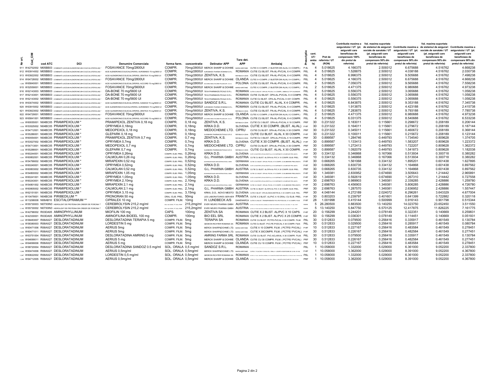|    |    |                                           |                                                                            |                                                       |                           |                    |                                                |                |                                                                                                                                                |                 |                |                | Contributie maxima a              | Val. maxima suportata                  |                                   | Val. maxima suportata                                                                                            |                                   |
|----|----|-------------------------------------------|----------------------------------------------------------------------------|-------------------------------------------------------|---------------------------|--------------------|------------------------------------------------|----------------|------------------------------------------------------------------------------------------------------------------------------------------------|-----------------|----------------|----------------|-----------------------------------|----------------------------------------|-----------------------------------|------------------------------------------------------------------------------------------------------------------|-----------------------------------|
|    |    |                                           |                                                                            |                                                       |                           |                    |                                                |                |                                                                                                                                                |                 |                |                |                                   |                                        |                                   | asiguratului / UT (pt. de sistemul de asigurari Contributie maxima a de sistemul de asigurari Contributie maxima |                                   |
|    |    |                                           |                                                                            |                                                       |                           |                    |                                                |                |                                                                                                                                                |                 |                |                | asiguratii care                   | sociale de sanatate / UT               | asiguratului / UT (pt.            | sociale de sanatate / UT                                                                                         | asiguratului / UT (pt             |
|    | ē, |                                           |                                                                            |                                                       |                           |                    |                                                |                |                                                                                                                                                |                 | cant.<br>UT/   | Pret de        | beneficiaza de<br>compensare 100% | (pt. asiguratii care<br>beneficiaza de | asiguratii care<br>beneficiaza de | (pt. asiguratii care<br>beneficiaza de                                                                           | asiguratii care<br>beneficiaza de |
| 焦  |    |                                           |                                                                            |                                                       |                           |                    |                                                | Tara det.      |                                                                                                                                                |                 | amba           | referinta / UT | din pretul de                     | compensare 50% din                     | compensare 50% din                | compensare 90% din                                                                                               | compensare 90% dir                |
| ž. | g  | cod ATC                                   | DCI                                                                        | <b>Denumire Comerciala</b>                            | forma farm.               | concentratie       | <b>Detinator APP</b>                           | <b>APP</b>     | Ambalai                                                                                                                                        | ō               | laj            | (RON)          | referinta)                        | pretul de referinta)                   | pretul de referinta)              | pretul de referinta)                                                                                             | pretul de referinta)              |
|    |    |                                           | 911 W42702002 M05BB03 COMBINATII (ACIDUM ALENDRONICUM+COLECALCIFEROLUM)    | FOSAVANCE 70mg/2800UI                                 | COMPR.                    |                    | 70mg/2800UI MERCK SHARP & DOHME                |                | MAREA BRITANIE CUTIE X 4 COMPR. (1 BLISTER DIN AL/AL X 4 COMPR.) P-6L                                                                          |                 | $\overline{4}$ | 5.018625       | 4.166375                          | 2.509312                               | 6.675688                          | 4.516762                                                                                                         | 4.668238                          |
|    |    |                                           | 912 W63914002 M05BB03 COMBINATI (ACIDUM ALENDRONICUM+COLECALCIFEROLUM)     | ACID ALENDRONIC/COLECALCIFEROL AUROBINDO 70 ma/2800 U | COMPR.                    |                    | 70mg/2800UI AUROBINDO PHARMA ROMANIA S.R.L.    |                | ROMANIA CUTIE CU BLIST. PA-AL-PVC/AL X 4 COMPR. P6L                                                                                            |                 | $\overline{4}$ | 5.018625       | 1.528875                          | 2.509312                               | 4.038188                          | 4.516762                                                                                                         | 2.030738                          |
|    |    |                                           | 913 W63922002 M05BB03 COMBINATII (ACIDUM ALENDRONICUM+COLECALCIFEROLUM) *  | ACID ALENDRONIC/COLECALCIFEROL ZENTIVA 70 ma/2800 UI  | COMPR.                    |                    | 70mg/2800UI ZENTIVA, K.S.                      |                | REPUBLICA CEHA CUTIE CU BLIST, PA-AL-PVC/AL X 4 COMPR. P6L                                                                                     |                 | $\mathbf{A}$   | 5.018625       | 6.996375                          | 2.509312                               | 9.505688                          | 4.516762                                                                                                         | 7.498238                          |
|    |    |                                           | 914 W64728002 M05BB03 COMBINATI (ACIDUM ALENDRONICUM+COLECALCIFEROLUM) *   | FOSAVANCE 70mg/2800UI                                 | COMPR.                    |                    |                                                |                | 70mg/2800UI MERCK SHARP & DOHME OLANDA CUTIEX 4 COMPR. (1 BLISTER DIN AL/AL X 4 COMPR.) P6L                                                    |                 | $\overline{4}$ | 5.018625       | 4.166375                          | 2.509312                               | 6.675688                          | 4.516762                                                                                                         | 4.668238                          |
|    |    |                                           |                                                                            |                                                       |                           |                    |                                                |                |                                                                                                                                                |                 |                |                |                                   |                                        |                                   |                                                                                                                  |                                   |
|    |    |                                           | 1,282 W65840001 M05BB03 COMBINATI (ACIDUM ALENDRONICUM+COLECALCIFEROLUM) * | ACID ALENDRONIC/COLECALCIFEROL ACCORD 70 mg/2800 UI   | COMPR.<br>COMPR.          |                    | 70mg/2800UI ACCORD HEALTHCARE POLSKA SP. ZO.O. |                | POLONIA CUTIE CU BLIST. PA-AL-PVC/AL X 4 COMPR. P6L                                                                                            |                 | $\overline{4}$ | 5.018625       | 7.056375                          | 2.509312                               | 9.565688                          | 4.516762                                                                                                         | 7.558238                          |
|    |    |                                           | 915 W52559001 M05BB03 COMBINATII (ACIDUM ALENDRONICUM+COLECALCIFEROLUM)    | FOSAVANCE 70mg/5600UI                                 |                           |                    | 70mg/5600UI MERCK SHARP & DOHME                |                | MAREA BRITANIE CUTIE X 2 COMPR. (1 BLISTER DIN AL/AL X 2 COMPR.) P-6L                                                                          |                 | 2              | 5.018625       | 4.471375                          | 2.509312                               | 6.980688                          | 4.516762                                                                                                         | 4.973238                          |
|    |    |                                           | 916 W62143003 M05BB03 COMBINATI (ACIDUM ALENDRONICUM-COLECALCIFEROLUM)     | DA-BONE 70 mg/5600 UI                                 | COMPR.                    |                    | 70mg/5600UI TEVA PHARMACEUTICALS S.R.L.        |                | ROMANIA CUTTE CUBLIST. OPA-AL-PVC/ALX 4 COMPR, AMBALAJ TIP CALENDAR P6L                                                                        |                 | $\overline{4}$ | 5.018625       | 0.556375                          | 2.509312                               | 3.065688                          | 4.516762                                                                                                         | 1.058238                          |
|    |    |                                           | 917 W62143001 M05BB03 COMBINATI (ACIDUM ALENDRONICUM+COLECALCIFEROLUM)     | DA-BONE 70 mg/5600 UI                                 | COMPR.                    |                    | 70mg/5600UI TEVA PHARMACEUTICALS S.R.L.        |                | ROMANIA CUTIE CU BLIST, OPA-AL-PVC/AL X 4 COMPR. P6L                                                                                           |                 | $\overline{4}$ | 5.018625       | 0.556375                          | 2.509312                               | 3.065688                          | 4.516762                                                                                                         | 1.058238                          |
|    |    |                                           | 918 W62143002 M05BB03 COMBINATII (ACIDUM ALENDRONICUM+COLECALCIFEROLUM) *  | DA-BONE 70 mg/5600 UI                                 | COMPR.                    |                    | 70mg/5600UI TEVA PHARMACEUTICALS S.R.L.        |                | ROMANIA CUTIE CU BLIST, OPA-AL-PVC/AL X 4X1 COMPR. P6L                                                                                         |                 | $\mathbf{A}$   | 5.018625       | 0.556375                          | 2.509312                               | 3.065688                          | 4.516762                                                                                                         | 1.058238                          |
|    |    |                                           | 919 W63074002 M05BB03 COMBINATII (ACIDUM ALENDRONICUM+COLECALCIFEROLUM) *  | ACID ALENDRONIC/COLECALCIFEROL SANDOZ 70 mg/5600 UI   | COMPR.                    |                    | 70mg/5600UI SANDOZ S.R.L.                      |                | ROMANIA CUTIE CU BLIST, AL/AL X 4 COMPR. P6L                                                                                                   |                 | $\overline{4}$ | 5.018625       | 6.843875                          | 2.509312                               | 9.353188                          | 4.516762                                                                                                         | 7.345738                          |
|    |    |                                           | 920 W63915002 M05BB03 COMBINATI (ACIDUM ALENDRONICUM+COLECALCIFEROLUM) *   | ACID ALENDRONIC/COLECALCIFEROL AUROBINDO 70 mg/5600 U | COMPR.                    |                    | 70mg/5600UI AUROBINDO PHARMA ROMANIA S.R.L.    |                | ROMANIA CUTIE CU BLIST. PA-AL-PVC/AL X 4 COMPR. P6L                                                                                            |                 | $\overline{4}$ | 5.018625       | 1.913875                          | 2.509312                               | 4.423188                          | 4.516762                                                                                                         | 2.415738                          |
|    |    |                                           | 921 W63923002 M05BB03 COMBINATI (ACIDUM ALENDRONICUM+COLECALCIFEROLUM) *   | ACID ALENDRONIC/COLECALCIFEROL ZENTIVA 70 mg/5600 UI  | COMPR.                    |                    | 70mg/5600UI ZENTIVA, K.S.                      |                | REPUBLICA CEHA CUTIE CU BLIST. PA-AL-PVC/AL X 4 COMPR. P6L                                                                                     |                 | $\overline{4}$ | 5.018625       | 7.283875                          | 2.509312                               | 9.793188                          | 4.516762                                                                                                         | 7.785738                          |
|    |    |                                           | 922 W64729001 M05BB03 COMBINATI (ACIDUM ALENDRONICUM+COLECALCIFEROLUM)     | FOSAVANCE 70mg/5600U                                  | COMPR.                    |                    |                                                |                | 70mg/5600UI MERCK SHARP & DOHME OLANDA CUTIEX 2 COMPR. (1 BLISTER DIN AL/AL X 2 COMPR.) P6L                                                    |                 | $\overline{2}$ | 5.018625       | 4.471375                          | 2.509312                               | 6.980688                          | 4.516762                                                                                                         | 4.973238                          |
|    |    |                                           | 923 W65841001 M05BB03 COMBINATII (ACIDUM ALENDRONICUM+COLECALCIFEROLUM)    | ACID ALENDRONIC/COLECALCIFEROL ACCORD 70 mg/5600 U    | COMPR.                    | 70mg/5600UI        | ACCORD HEALTHCARE POLSKA SP. Z O.O.            |                | POLONIA CUTIE CU BLIST. PA-AL-PVC/AL X 4 COMPR. P6L                                                                                            |                 | $\overline{4}$ | 5.018625       | 6.031375                          | 2.509312                               | 8.540688                          | 4.516762                                                                                                         | 6.533238                          |
|    |    | 1.032 W60055001 N04BC05 PRAMIPEXOLUM *    |                                                                            | PRAMIPEXOL ZENTIVA 0,18 mg                            | COMPR.                    | $0,18$ mg          | ZENTIVA, K.S.                                  |                | REPUBLICA CEHA CUTIE CU 3 BLIST. OPA-AL-PVC/AL X 10 COMPR. PRF                                                                                 |                 | 30             | 0.231322       | 0.183011                          | 0.115661                               | 0.298672                          | 0.208189                                                                                                         | 0.206144                          |
|    |    | 1033 W53525002 N04BC05 PRAMIPEXOLUM '     |                                                                            | OPRYMEA 0.18mg                                        | COMPR.                    | 0.18 <sub>ma</sub> | KRKA D.D.                                      |                | SLOVENIA CUTIE X 30 COMPR. (BLIST, AL/AL) P-RF                                                                                                 |                 | 30             | 0.231322       | 0.164011                          | 0.115661                               | 0.279672                          | 0.208189                                                                                                         | 0.187144                          |
|    |    | 1,034 W54712001 N04BC05 PRAMIPEXOLUM *    |                                                                            | MEDOPEXOL 0,18 mg                                     | COMPR.                    | $0,18$ mg          | MEDOCHEMIE LTD. CIPRU                          |                | CUTIE CU BLIST. OPA-AL-PVC/AL X 30 COMPR. PRF                                                                                                  |                 | 30             | 0.231322       | 0.345011                          | 0.115661                               | 0.460672                          | 0.208189                                                                                                         | 0.368144                          |
|    |    | 1,035 W55286001 N04BC05 PRAMIPEXOLUM *    |                                                                            | GLEPARK 0,18 mg                                       | COMPR.                    | $0,18$ mg          | GLENMARK PHARMACEUTICALS S.R.O.                |                | REPUBLICA CEHA CUTIE CU BLIST. AL/AL X 30 COMPR. P-RF                                                                                          |                 | 30             | 0.231322       | 0.100011                          | 0.115661                               | 0.215672                          | 0.208189                                                                                                         | 0.123144                          |
|    |    | 1.036 W60054001 N04BC05 PRAMIPEXOLUM *    |                                                                            | PRAMIPEXOL ZENTIVA 0,7 mg                             | COMPR.                    | 0.7 <sub>ma</sub>  | ZENTIVA, K.S.                                  |                | REPUBLICA CEHA CUTIE CU 3 BLIST, OPA-AL-PVC/AL X 10 COMPR. PRF                                                                                 |                 | 30             | 0.899587       | 1.284746                          | 0.449793                               | 1.734540                          | 0.809628                                                                                                         | 1.374705                          |
|    |    | 1,037 W53527002 N04BC05 PRAMIPEXOLUM *    |                                                                            | OPRYMEA 0,7mg                                         | COMPR.                    | 0.7 <sub>mg</sub>  | KRKA D.D.                                      |                | SLOVENIA CUTIE X 30 COMPR. (BLIST. AL/AL) P-RF                                                                                                 |                 | 30             | 0.899587       | 1.133413                          | 0.449793                               | 1.583207                          | 0.809628                                                                                                         | 1.223372                          |
|    |    | 1.038 W54713001 N04BC05 PRAMIPEXOLUM *    |                                                                            | MEDOPEXOL 0,7 mg                                      | COMPR.                    | 0.7 <sub>mg</sub>  | MEDOCHEMIE LTD. CIPRU                          |                | CUTIE CU BLIST. OPA-AL-PVC/AL X 30 COMPR. PRF                                                                                                  |                 | 30             | 0.899587       | 1.272413                          | 0.449793                               | 1.722207                          | 0.809628                                                                                                         | 1.362372                          |
|    |    | 1.039 W55288001 N04BC05 PRAMIPEXOLUM *    |                                                                            | GLEPARK 0.7 mg                                        | COMPR.                    | 0.7 <sub>ma</sub>  | GLENMARK PHARMACEUTICALS S.R.O.                |                | REPUBLICA CEHA CUTIE CU BLIST, AL/AL X 30 COMPR. P-RF                                                                                          |                 | 30             | 0.899587       | 1.092079                          | 0.449793                               | 1.541873                          | 0.809628                                                                                                         | 1.182038                          |
|    |    | 1.040 W60244001 N04BC05 PRAMIPEXOLUM *    |                                                                            | OPRYMEA 0.26mg                                        | COMPR. ELIB. PREL. 0.26mg |                    | KRKA D.D.                                      |                | SLOVENIA CUTE CUBLISTERE (OPANLOESPE-M.) X 20 COMPRIMITE CUELBERARE PRELIMENTA                                                                 | P-RF            | 30             | 0.334132       | 0.346868                          | 0.167066                               | 0.513934                          | 0.300718                                                                                                         | 0.380282                          |
|    |    | 1,041 W60802001 N04BC05 PRAMIPEXOLUM *    |                                                                            | CALMOLAN 0.26 mg                                      | COMPR. ELIB. PREL. 0.26mg |                    |                                                |                | G.L. PHARMA GMBH AUSTRIA CUTIE CU BLIST. ALIOPA AL-PVC X 10 COMPR. ELIB. PREL. PRF                                                             |                 | 10             | 0.334132       | 0.346868                          | 0.167066                               | 0.513934                          | 0.300718                                                                                                         | 0.380282                          |
|    |    | 1.042 W54799002 N04BC05 PRAMIPEXOLUM '    |                                                                            | MIRAPEXIN 0,52 mg                                     | COMPR. ELIB. PREL. 0,52mg |                    | BOEHRINGER INGELHEIM INTERNATIONAL GMBH        |                | GERMANIA CUTE CU3 BLIST. OPA-AL-PVCIAL X 10 COMPR. CU ELIBERARE PRELUNGITA P-RF                                                                |                 | 30             | 0.668265       | 1.561068                          | 0.334132                               | 1.895201                          | 0.601438                                                                                                         | 1.627895                          |
|    |    | 1,043 W60240001 N04BC05 PRAMIPEXOLUM *    |                                                                            | OPRYMEA 0,52mg                                        | COMPR. ELIB. PREL. 0,52mg |                    | KRKA D.D.                                      |                | SLOVENIA CUTE CUBLISTERS (OPAIRLOES/PE-MAX 20 COMPRANTE CUELBERARE PRELINGITA                                                                  | P-RF            | 30             | 0.668265       | 0.830735                          | 0.334132                               | 1.164868                          | 0.601438                                                                                                         | 0.897562                          |
|    |    | 1.044 W60803002 N04BC05 PRAMIPEXOLUM *    |                                                                            | CALMOLAN 0,52 mg                                      | COMPR. ELIB. PREL. 0.52mg |                    |                                                |                | G.L. PHARMA GMBH AUSTRIA CUTIE CU BLIST, ALIOPA-AL-PVC X 30 COMPR. ELIB. PREL. PRF                                                             |                 | 30             | 0.668265       | 0.830735                          | 0.334132                               | 1.164868                          | 0.601438                                                                                                         | 0.897562                          |
|    |    | 1.045 W54800002 N04BC05 PRAMIPEXOLUM *    |                                                                            | MIRAPEXIN 1.05 mg                                     | COMPR. ELIB. PREL. 1.05mg |                    | RODARNICE RACELIAEM INTERNATIONAL CARDA        |                | GERMANIA CUTE CU 3 BLIST. OPA/AL-PVC/AL X 10 COMPR. CU ELEERARE PRELUNGITA P-RF                                                                |                 | 30             | 1.349381       | 2.830952                          | 0.674690                               | 3.505643                          | 1.214442                                                                                                         | 2.965891                          |
|    |    | 1.046 W60241001 N04BC05 PRAMIPEXOLUM *    |                                                                            | OPRYMEA 1.05mg                                        |                           |                    | KRKA D.D.                                      |                |                                                                                                                                                |                 | 30             | 1.349381       | 0.592619                          | 0.674690                               | 1.267310                          | 1.214442                                                                                                         | 0.727558                          |
|    |    |                                           |                                                                            |                                                       | COMPR. ELIB. PREL. 1,05mg |                    |                                                |                | SLOVENIA CUTE CUBLISTERS (OPAIRLOESPE-M.) X 20 COMPRIMITE CUELERENGE PRELINGITA                                                                | P-RF            |                |                |                                   |                                        |                                   |                                                                                                                  |                                   |
|    |    | 1,047 W60243001 N04BC05 PRAMIPEXOLUM *    |                                                                            | OPRYMEA 2.10mg                                        | COMPR. ELIB. PREL. 2.10mg |                    | KRKA D.D.                                      |                | SLOVENIA CUTE CUBLISTERS (OPAUL DESPE-AL) X 30 COMPRANTE CUELBERARE PRELINGITA                                                                 | P-RF            | 30             | 2.698763       | 0.989903                          | 1.349381                               | 2.339285                          | 2.428886                                                                                                         | 1.259780                          |
|    |    | 1,048 W54801002 N04BC05 PRAMIPEXOLUM *    |                                                                            | MIRAPEXIN 2,1 mg                                      | COMPR. ELIB. PREL. 2,1mg  |                    | BOEHRINGER INGELHEIM INTERNATIONAL GMBH        |                | GERMANIA CUTE CUS BLIST. OPA-AL-PVC/AL X 10 COMPR. CU ELEERARE PRELUNGITA P-RF                                                                 |                 | 30             | 2.698763       | 4.456903                          | 1.349381                               | 5.806285                          | 2.428886                                                                                                         | 4.726780                          |
|    |    | 1.049 W60805002 N04BC05 PRAMIPEXOLUM '    |                                                                            | CALMOLAN 2,1 mg                                       | COMPR. ELIB. PREL. 2,1mg  |                    |                                                |                | G.L. PHARMA GMBH AUSTRIA CUTE CU BLIST, ALIOPA-AL-PVC X 30 COMPR. ELIB. PREL. PRF                                                              |                 | 30             | 2.698763       | 1.287570                          | 1.349381                               | 2.636952                          | 2.428886                                                                                                         | 1.557447                          |
|    |    | 1,050 W62151001 N04BC05 PRAMIPEXOLUM *    |                                                                            | OPRYMEA 3,15 mg                                       | COMPR. ELIB. PREL. 3,15mg |                    |                                                |                | KRKA, D.D., NOVO MESTO SLOVENIA CUTEX BLIST, OPA ALIDESICANTIPE/AL X 30 COMPR. ELIB. PREL. PRF                                                 |                 | 30             | 4.048144       | 4.272189                          | 2.024072                               | 6.296261                          | 3.643329                                                                                                         | 4.677004                          |
|    |    | 1,051 W10479001 N04BC08 PIRIBEDILUM **    |                                                                            | PRONORAN 50 mg                                        | DRAJ. ELIB. PREL. 50mg    |                    |                                                |                | LES LABORATOIRES SERVIER FRANTA CUTIE X 2 BLIST, AL/PVC X 15 DRAJ, CU ELIB, PREL. P-RF                                                         |                 | 30             | 0.803203       | 0.239797                          | 0.401601                               | 0.641399                          | 0.722882                                                                                                         | 0.320118                          |
|    |    | 1.057 W13298008 N06AB10 ESCITALOPRAMUM ** |                                                                            | CIPRALEX 10 mg                                        | COMPR. FILM. 10mg         |                    | H. LUNDBECK A/S                                |                | DANEMARCA CUTIE X 2 BLIST. TRANSPARENTE PVC-PE-PVDCIAL X 14 COMPR. FILM. P-RF                                                                  |                 | 28             | 1.001998       | 0.415144                          | 0.500999                               | 0.916143                          | 0.901798                                                                                                         | 0.515344                          |
|    |    |                                           | 1,141 W 55730003 NO7XXN3 HIDROLIZAT DE PROTEINA DIN CREIER DE PORCINA      | CEREBROLYSIN 215,2 mg/ml                              |                           |                    |                                                |                | SOL NUCONG, PT, SOL PERE 215,2mg/ml EVER NEURO PHARMA GMBH AUSTRIA OUR OUR FOUR DISTING ANNOU PARECEL RAPPER X19 ML SOL NUCONG PT, SOL PWP.    | PRIPRE          | 5              | 26.280500      | 0.883500                          | 13.140250                              | 14.023750                         | 23.652450                                                                                                        | 3.511550                          |
|    |    |                                           | 1.142 W 55730002 N 07XXN3 HIDROLIZAT DE PROTEINA DIN CREIER DE PORCINA *   | CEREBROLYSIN 215.2 mg/ml                              |                           |                    |                                                |                | 504 NUCONG, PT, SO4, PERF. 215,2mg/ml EVER NEURO PHARMA GMBH AUSTRIA QUI QUI PELEN STRANDARD PLACE IN FURN XIML BGL DGASINE PT. 2004. PR. 2004 | PRIVE           | 5              | 13.140250      | 5.847750                          | 6.570125                               | 12.417875                         | 11.826225                                                                                                        | 7.161775                          |
|    |    | 1.204 W42796002 R03DA05 AMINOPHYLLINUM    |                                                                            | MIOFILIN 100 mg                                       | CAPS.                     | 100 <sub>ma</sub>  | <b>ZENTIVA SA</b>                              |                | ROMANIA CUTIE X 2 BLIST, AL/PVC X 10 CAPS. P-RF                                                                                                |                 | 20             | 0.156299       | 0.244201                          | 0.078149                               | 0.322351                          | 0.140669                                                                                                         | 0.259831                          |
|    |    | 1,205 W42330001 R03DA05 AMINOPHYLLINUM    |                                                                            | AMINOFILINA BIOEEL 100 mg                             | COMPR.                    | 100mg              | <b>BIO EEL SRL</b>                             |                | ROMANIA CUTIE X 2 BLIST. AL/PVC X 25 COMPR. P-RF                                                                                               |                 | 50             | 0.156299       | 0.036301                          | 0.078149                               | 0.114451                          | 0.140669                                                                                                         | 0.051931                          |
|    |    | 1,237 W58483007 R06AX27 DESLORATADINUM    |                                                                            | DESLORATADINA TERAPIA 5 mg                            | COMPR. FILM. 5mg          |                    | <b>TERAPIA SA</b>                              |                | ROMANIA CUTIE CU BLIST. PCTFE-PVC/AL X 30 COMPR. FILM. P6L                                                                                     |                 | 30             | 0.512833       | 0.079500                          | 0.256416                               | 0.335917                          | 0.461549                                                                                                         | 0.130784                          |
|    |    | 1.238 W 58380003 R06AX27 DESLORATADINUM   |                                                                            | LORDESTIN 5 mg                                        | COMPR. FILM. 5mg          |                    | GEDEON RICHTER ROMANIA SA                      |                | ROMANIA CUTIE CU BLIST, PVC-PE-PVDC/AL X 30 COMPR, FILM. P6L                                                                                   |                 | 30             | 0.512833       | 0.029500                          | 0.256416                               | 0.285917                          | 0.461549                                                                                                         | 0.080784                          |
|    |    | 1.239 W60471006 R06AX27 DESLORATADINUM    |                                                                            | AERIUS 5mg                                            | COMPR. FILM. 5mg          |                    |                                                |                | MERCK SHARP&DOHME LTD. MAREA BRITANE CUTIE X 10 COMPR. FILM. ( PCTFE/ PVC/AL) P-RF                                                             |                 | 10             | 0.512833       | 0.227167                          | 0.256416                               | 0.483584                          | 0.461549                                                                                                         | 0.278451                          |
|    |    | 1.240 W60471011 R06AX27 DESLORATADINUM    |                                                                            | AERIUS 5mg                                            | COMPR. FILM. 5mg          |                    |                                                |                | MERCK SHARP&DOHME LTD. MAREA BRITANE CUTIE X 30COMPR. FILM. ( PCTFE/ PVC/AL) P-RF                                                              |                 | 30             | 0.512833       | 0.226167                          | 0.256416                               | 0.482584                          | 0.461549                                                                                                         | 0.277451                          |
|    |    | 1.241 W63751004 R06AX27 DESLORATADINUM    |                                                                            | DESLORATADINA AMRING 5 mg                             | COMPR. FILM. 5mg          |                    |                                                |                | AMRING FARMA SRL ROMANIA CUTIE CU BLIST. PVC-ACLAR/AL X 30 COMPR. FILM. P6L                                                                    |                 | 30             | 0.512833       | 0.079500                          | 0.256416                               | 0.335917                          | 0.461549                                                                                                         | 0.130784                          |
|    |    | 1,243 W64699011 R06AX27 DESLORATADINUM    |                                                                            | AERIUS 5 mg                                           | COMPR. FILM. 5mg          |                    |                                                |                | MERCK SHARP & DOHME OLANDA CUTIE CU 30 COMPR. FILM. ( PCTFE/ PVC/AL) PRF                                                                       |                 | 30             | 0.512833       | 0.226167                          | 0.256416                               | 0.482584                          | 0.461549                                                                                                         | 0.277451                          |
|    |    | 1.244 W64699006 R06AX27 DESLORATADINUM    |                                                                            | AERIUS 5 mg                                           | COMPR. FILM. 5mg          |                    |                                                |                | MERCK SHARP & DOHME OLANDA CUTIE CU 10 COMPR. FILM. ( PCTFE/ PVC/AL) PRF                                                                       |                 | 10             | 0.512833       | 0.227167                          | 0.256416                               | 0.483584                          | 0.461549                                                                                                         | 0.278451                          |
|    |    | 1.245 W58720004 R06AX27 DESLORATADINUM    |                                                                            | DESLORATADINA SANDOZ 0.5 mg/ml                        | SOL. ORALA 0,5 mg/ml      |                    | SANDOZ S.R.L.                                  | <b>ROMANIA</b> |                                                                                                                                                | P <sub>6L</sub> | $\overline{1}$ | 10.058000      | 1.332000                          | 5.029000                               | 6.361000                          | 9.052200                                                                                                         | 2.337800                          |
|    |    | 1.246 W60474006 R06AX27 DESLORATADINUM    |                                                                            | AERIUS 0,5mg/ml                                       | SOL. ORALA 0,5mg/ml       |                    |                                                |                | MERCK SHARP&DOHME LTD. MAREA BRITANIE CUTEX 1 FLACON X 120 ML SOL CRALA + LIGURITA DOZATOARE DE 2.5 ML SI SML P-RF                             |                 | $\overline{1}$ | 10.058000      | 3.362000                          | 5.029000                               | 8.391000                          | 9.052200                                                                                                         | 4.367800                          |
|    |    | 1.247 W60622002 R06AX27 DESLORATADINUM    |                                                                            | LORDESTIN 0,5 mg/ml                                   | SOL. ORALA 0,5mg/ml       |                    |                                                |                | GEDEON RICHTER ROMANIA SA ROMANIA QUEQUI FAC DESTRATIVAN QUO LINGUESI DOMETA LA 21 N. 21 N. X 199 N. 251 . P 6L                                |                 | $\overline{1}$ | 10.058000      | 1.332000                          | 5.029000                               | 6.361000                          | 9.052200                                                                                                         | 2.337800                          |
|    |    | 1.248 W64712005 R06AX27 DESLORATADINUM    |                                                                            | AERIUS 0,5mg/ml                                       | SOL. ORALA 0,5mg/ml       |                    |                                                |                | MERCK SHARP & DOHME OLANDA CUTECUT FLAC DINSTICLA X 133 MA GOLG PANA + LINGUREAD DONTONG IS 2.5 ML SIS M. PRF                                  |                 |                | 1 10.058000    | 3.362000                          | 5.029000                               | 8.391000                          | 9.052200                                                                                                         | 4.367800                          |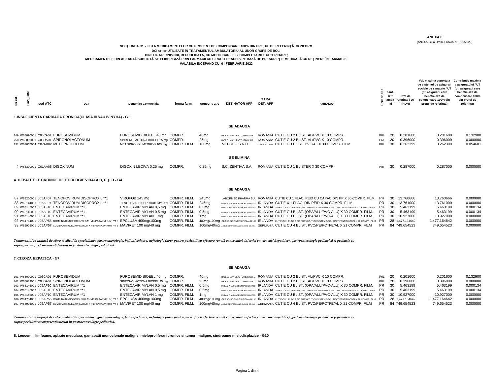(ANEXA 2c la Ordinul CNAS nr. 755/2020)

#### **SECŢIUNEA C1 - LISTA MEDICAMENTELOR CU PROCENT DE COMPENSARE 100% DIN PREŢUL DE REFERINŢĂ CONFORM DCI-urilor UTILIZATE ÎN TRATAMENTUL AMBULATORIU AL UNOR GRUPE DE BOLI DIN H.G. NR. 720/2008, REPUBLICATA, CU MODIFICARILE SI COMPLETARILE ULTERIOARE; MEDICAMENTELE DIN ACEASTĂ SUBLISTĂ SE ELIBEREAZĂ PRIN FARMACII CU CIRCUIT DESCHIS PE BAZĂ DE PRESCRIPŢIE MEDICALĂ CU REŢINERE ÎN FARMACIE VALABILĂ ÎNCEPÂND CU 01 FEBRUARIE 2022**

| ί,<br>ž | cod ATC                           | DCI                                                                         | 1.INSUFICIENTA CARDIACA CRONICA(CLASA III SAU IV NYHA) - G 1 | <b>Denumire Comerciala</b>                                                                                   | forma farm. | concentratie                                  | <b>DETINATOR APP</b>                                                        | <b>TARA</b><br>DET. APP                                                                                                                                 | <b>AMBALAJ</b> |                                                          | cant.<br>UT/<br>amba<br>laj | Pret de<br>referinta / U1<br>(RON) | Val. maxima suportata<br>de sistemul de asigurari<br>sociale de sanatate / UT<br>(pt. asiguratii care<br>beneficiaza de<br>compensare 100% din<br>pretul de referinta) | Contributie maxima<br>a asiguratului / UT<br>(pt. asiguratii care<br>beneficiaza de<br>compensare 100%<br>din pretul de<br>referinta) |
|---------|-----------------------------------|-----------------------------------------------------------------------------|--------------------------------------------------------------|--------------------------------------------------------------------------------------------------------------|-------------|-----------------------------------------------|-----------------------------------------------------------------------------|---------------------------------------------------------------------------------------------------------------------------------------------------------|----------------|----------------------------------------------------------|-----------------------------|------------------------------------|------------------------------------------------------------------------------------------------------------------------------------------------------------------------|---------------------------------------------------------------------------------------------------------------------------------------|
|         |                                   |                                                                             |                                                              |                                                                                                              |             |                                               | <b>SE ADAUGA</b>                                                            |                                                                                                                                                         |                |                                                          |                             |                                    |                                                                                                                                                                        |                                                                                                                                       |
|         | 249 W68090001 C03CA01 FUROSEMIDUM | 250 W68089001 C03DA01 SPIRONOLACTONUM<br>251 W67867004 C07AB02 METOPROLOLUM |                                                              | FUROSEMID BIOEEL 40 mg COMPR.<br>SPIRONOLACTONA BIOEEL 25 mg COMPR.<br>METOPROLOL MEDREG 100 mg COMPR. FILM. |             | 40mg<br>25 <sub>mg</sub><br>100 <sub>mg</sub> | BIOFFI MANUFACTURING S.R.I.<br>BIOFFL MANUFACTURING S.R.I.<br>MEDREG S.R.O. | ROMANIA CUTIE CU 2 BLIST. AL/PVC X 10 COMPR.<br>ROMANIA CUTIE CU 2 BLIST, AL/PVC X 10 COMPR.<br>REPUBLICA CEHA CUTIE CU BLIST, PVC/AL X 30 COMPR, FILM. |                | P <sub>6</sub> L<br>P <sub>6</sub> L<br>P <sub>6</sub> L | 20<br>20<br>30              | 0.201600<br>0.396000<br>0.262399   | 0.201600<br>0.396000<br>0.262399                                                                                                                                       | 0.132900<br>0.000000<br>0.054601                                                                                                      |
|         |                                   |                                                                             |                                                              |                                                                                                              |             |                                               | <b>SE ELIMINA</b>                                                           |                                                                                                                                                         |                |                                                          |                             |                                    |                                                                                                                                                                        |                                                                                                                                       |
|         | 4 W66390001 C01AA05 DIGOXINUM     |                                                                             |                                                              | DIGOXIN LECIVA 0,25 mg                                                                                       | COMPR.      | $0,25$ mg                                     | S.C. ZENTIVA S.A.                                                           | ROMANIA CUTIE CU 1 BLISTER X 30 COMPR.                                                                                                                  |                | PRF                                                      | 30                          | 0.287000                           | 0.287000                                                                                                                                                               | 0.000000                                                                                                                              |
|         |                                   |                                                                             |                                                              |                                                                                                              |             |                                               |                                                                             |                                                                                                                                                         |                |                                                          |                             |                                    |                                                                                                                                                                        |                                                                                                                                       |

#### **4. HEPATITELE CRONICE DE ETIOLOGIE VIRALA B, C şi D - G4**

#### **SE ADAUGA**

| 87 W68200001 J05AF07 TENOFOVIRUM DISOPROXIL **1                                             | VIROFOB 245 mg                            | COMPR. FILM.     | 245ma | LABORMED PHARMA S.A. ROMANIA CUTIE CU 1 FLAC. PEID CU CAPAC DIN PP X 30 COMPR. FILM. PR 30 13.760666                                                  |  |                 | 13.760666    | 0.000000 |
|---------------------------------------------------------------------------------------------|-------------------------------------------|------------------|-------|-------------------------------------------------------------------------------------------------------------------------------------------------------|--|-----------------|--------------|----------|
| 88 W68144001 J05AF07 TENOFOVIRUM DISOPROXIL **1                                             | TENOFOVIR DISOPROXIL MYLAN COMPR. FILM.   |                  | 245ma | MYLAN PHARMACEUTICALS LIMITED IRLANDA CUTIE X 1 FLAC. DIN PEID X 30 COMPR. FILM.                                                                      |  | PR 30 13.761000 | 13.761000    | 0.000000 |
| 89 W68145002 J05AF10 ENTECAVIRUM **1                                                        | ENTECAVIR MYLAN 0,5 mg COMPR. FILM. 0,5mg |                  |       | MYLAN PHARMACEUTICALS LIMITED IRLANDA CUTIE CU BLIST. PERFORATE PT. ELIBERAREA UNEI UNITATI DOZATE DIN (OPA/AL/PVC-AL) X 30X1 COMPR. PR $30$ 5.463199 |  |                 | 5.463199     | 0.000134 |
| 90 W68145001 J05AF10 ENTECAVIRUM **1                                                        | ENTECAVIR MYLAN 0,5 mg COMPR. FILM. 0,5mg |                  |       | MYLAN PHARMACEUTICALS LIMITED IRLANDA CUTIE CU BLIST. (OPA/ALU/PVC-ALU) X 30 COMPR. FILM. PR 30 5.463199                                              |  |                 | 5.463199     | 0.000134 |
| 91 W68146001 J05AF10 ENTECAVIRUM **1                                                        | ENTECAVIR MYLAN 1 mg                      | COMPR. FILM. 1ma |       | MYLAN PHARMACEUTICALS LIMITED IRLANDA CUTIE CU BLIST. (OPA/ALU/PVC-ALU) X 30 COMPR. FILM. PR 30 10.927000                                             |  |                 | 10.927000    | 0.000000 |
| 92 W64754001 J05AP55 COMBINATII (SOFOSBUVIRUM+VELPATASVIRUM) **1 B EPCLUSA 400mg/100mg      |                                           | COMPR. FILM.     |       | 400mg/100mg GILEAD SCIENCES IRELAND UC IRLANDA CUTIE CU 1 FLAC. PEID PREVAZUT CU SISTEM SECURIZAT PENTRU COPII X 28 COMPR. FILM. PR 28 1,477.164642   |  |                 | 1.477.164642 | 0.000000 |
| 93 W65905001 J05AP57 COMBINATII (GLECAPREVIRUM + PIBRENTASVIRUM) **1 B MAVIRET 100 mg/40 mg |                                           | COMPR. FILM.     |       | 100mg/40mg Abbviedeutschland Gmbh & Co. KG GERMANIA CUTIE CU 4 BLIST. PVC/PE/PCTFE/AL X 21 COMPR. FILM PR 84 749.654523                               |  |                 | 749.654523   | 0.000000 |

Tratamentul se inițiază de către medicul în specialitatea gastroenterologie, boli infecțioase, nefrologie (doar pentru pacienții cu afectare renală consecutivă infecției cu virusuri hepatitice), gastroenterologie pediatric *supraspecializare/competenţă/atestat în gastroenterologie pediatrică.*

## **7. CIROZA HEPATICA - G7**

| 101 W68090001 C03CA01 FUROSEMIDUM                                                            | FUROSEMID BIOEEL 40 mg COMPR.       |              | 40 <sub>ma</sub> | BIOEEL MANUFACTURING S.R.L. ROMANIA CUTIE CU 2 BLIST. AL/PVC X 10 COMPR.                                                                              | P6L 20 0.201600 | 0.201600     | 0.132900 |
|----------------------------------------------------------------------------------------------|-------------------------------------|--------------|------------------|-------------------------------------------------------------------------------------------------------------------------------------------------------|-----------------|--------------|----------|
| 102 W68089001 C03DA01 SPIRONOLACTONUM                                                        | SPIRONOLACTONA BIOEEL 25 mg COMPR.  |              | 25 <sub>ma</sub> | BIOEEL MANUFACTURING S.R.L. ROMANIA CUTIE CU 2 BLIST, AL/PVC X 10 COMPR,                                                                              | P6L 20 0.396000 | 0.396000     | 0.000000 |
| 103 W68145001 J05AF10 ENTECAVIRUM **1                                                        | ENTECAVIR MYLAN 0,5 mg COMPR. FILM. |              | 0.5ma            | MYLAN PHARMACEUTICALS LIMITED IRLANDA CUTIE CU BLIST. (OPA/ALU/PVC-ALU) X 30 COMPR. FILM. PR 30 5.463199                                              |                 | 5.463199     | 0.000134 |
| 104 W68145002 J05AF10 ENTECAVIRUM **1                                                        | ENTECAVIR MYLAN 0,5 mg COMPR. FILM. |              | 0.5ma            | MYLAN PHARMACEUTICALS LIMITED IRLANDA CUTIE CU BLIST. PERFORATE PT. ELIBERAREA UNEI UNITATI DOZATE DIN (OPA/AL/PVC-AL) X 30X1 COMPR. PR $30-5.463199$ |                 | 5.463199     | 0.000134 |
| 105 W68146001 J05AF10 ENTECAVIRUM **1                                                        | ENTECAVIR MYLAN 1 ma                | COMPR. FILM. | 1ma              | MYLAN PHARMACEUTICALS LIMITED IRLANDA CUTIE CU BLIST. (OPA/ALU/PVC-ALU) X 30 COMPR. FILM. PR 30 10.927000                                             |                 | 10.927000    | 0.000000 |
| 106 W64754001 J05AP55 COMBINATII (SOFOSBUVIRUM+VELPATASVIRUM) **1 ß EPCLUSA 400mg/100mg      |                                     | COMPR. FILM. |                  | 400mg/100mg Gilead Sciences ireland uc IRLANDA cutie cu 1 flac. Peid prevazut cu sistem securizat pentru copii x 28 compr. Film. PR 28 1,477.164642   |                 | 1.477.164642 | 0.000000 |
| 107 W65905001 J05AP57 COMBINATII (GLECAPREVIRUM + PIBRENTASVIRUM) **1 B MAVIRET 100 mg/40 mg |                                     | COMPR. FILM. |                  | 100mg/40mg AbbViedeutschland GmbH&CO. KG GERMANIA CUTIE CU 4 BLIST. PVC/PE/PCTFE/AL X 21 COMPR. FILM PR 84 749.654523                                 |                 | 749.654523   | 0.000000 |

**SE ADAUGA**

Tratamentul se inițiază de către medicul în specialitatea gastroenterologie, boli infecțioase, nefrologie (doar pentru pacienții cu afectare renală consecutivă infecției cu virusuri hepatitice), gastroenterologie pediatric *supraspecializare/competenţă/atestat în gastroenterologie pediatrică.*

**8. Leucemii, limfoame, aplazie medulara, gamapatii monoclonale maligne, mieloproliferari cronice si tumori maligne, sindroame mielodisplazice - G10**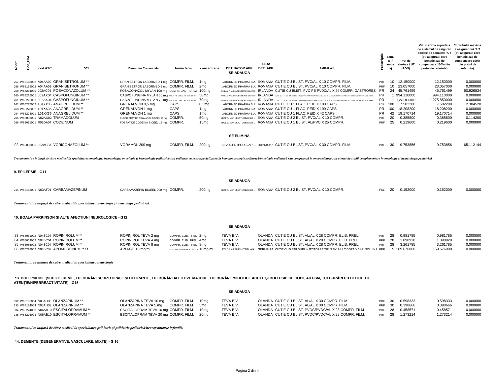| 흥<br>Ë,<br>ි<br>ර<br>ž. | cod ATC |                                                                                                                                                                                                                                                                                                                                                                                                              | <b>DCI</b>                                                                                     | <b>Denumire Comerciala</b>                                                                                                                                                                                                                                                                                                                                                                                | forma farm.                                                                                                      | concentratie                                                                                                      | <b>DETINATOR APP</b><br><b>SE ADAUGA</b>         | <b>TARA</b><br>DET. APP                                                                                                                                                                                                                                                                                                                                                                                                                                                                                                                                                                                                                                                                                                                                                                                                          | <b>AMBALAJ</b>                                                                                                                                                                                                                 | riptie                                       | cant.<br>UT/<br>lai                                         | Pret de<br>amba referinta / UT<br>(RON)                                                                                                | Val. maxima suportata<br>de sistemul de asigurari<br>sociale de sanatate / UT<br>(pt. asiguratii care<br>beneficiaza de<br>compensare 100% din<br>pretul de referinta) | <b>Contributie maxima</b><br>a asiguratului / UT<br>(pt. asiguratii care<br>beneficiaza de<br>compensare 100%<br>din pretul de<br>referinta) |
|-------------------------|---------|--------------------------------------------------------------------------------------------------------------------------------------------------------------------------------------------------------------------------------------------------------------------------------------------------------------------------------------------------------------------------------------------------------------|------------------------------------------------------------------------------------------------|-----------------------------------------------------------------------------------------------------------------------------------------------------------------------------------------------------------------------------------------------------------------------------------------------------------------------------------------------------------------------------------------------------------|------------------------------------------------------------------------------------------------------------------|-------------------------------------------------------------------------------------------------------------------|--------------------------------------------------|----------------------------------------------------------------------------------------------------------------------------------------------------------------------------------------------------------------------------------------------------------------------------------------------------------------------------------------------------------------------------------------------------------------------------------------------------------------------------------------------------------------------------------------------------------------------------------------------------------------------------------------------------------------------------------------------------------------------------------------------------------------------------------------------------------------------------------|--------------------------------------------------------------------------------------------------------------------------------------------------------------------------------------------------------------------------------|----------------------------------------------|-------------------------------------------------------------|----------------------------------------------------------------------------------------------------------------------------------------|------------------------------------------------------------------------------------------------------------------------------------------------------------------------|----------------------------------------------------------------------------------------------------------------------------------------------|
|                         |         | 257 W68168002 A04AA02 GRANISETRONUM **<br>258 W68169002 A04AA02 GRANISETRONUM **<br>259 W68234009 J02AC04 POSACONAZOLUM **<br>260 W68225001 J02AX04 CASPOFUNGINUM **<br>261 W68226001 J02AX04 CASPOFUNGINUM **<br>262 W68277002 L01XX35 ANAGRELIDUM **<br>263 W68278002 L01XX35 ANAGRELIDUM **<br>264 W68278001 L01XX35 ANAGRELIDUM **<br>265 W68093001 N02AX02 TRAMADOLUM<br>266 W68091001 R05DA04 CODEINUM |                                                                                                | GRANISETRON LABORMED 1 mg COMPR. FILM.<br>GRANISETRON LABORMED 2 mg COMPR. FILM.<br>POSACONAZOL MYLAN 100 mg COMPR. GASTROREZ. 100mg<br>CASPOFUNGINA MYLAN 50 mg PULB. PT. CONC. PT. SOL. PERF.<br>CASPOFUNGINA MYLAN 70 mg PULB. PT. CONC. PT. SOL. PERF.<br>GRENALVON 0,5 mg<br>GRENALVON 1 mg<br>GRENALVON 1 ma<br>CLORHIDRAT DE TRAMADOL BIOEEL 50 mg COMPR.<br>FOSFAT DE CODEINA BIOEEL 15 mg COMPR. | CAPS.<br>CAPS.<br>CAPS.                                                                                          | 1mg<br>2mg<br>50 <sub>mg</sub><br>70 <sub>mg</sub><br>0,5mg<br>1mg<br>1mg<br>50 <sub>mq</sub><br>15 <sub>mq</sub> |                                                  | LABORMED PHARMA S.A. ROMANIA CUTIE CU BLIST. PVC/AL X 10 COMPR. FILM.<br>LABORMED PHARMA S.A. ROMANIA CUTIE CU BLIST. PVC/AL X 10 COMPR. FILM<br>MYLAN PHARMACEUTICALS LIMITED IRLANDA CUTIE CU 1 FLAC. DIN STICLA TRANSPARENTA CU CAPACITATEA DE 10 ML CARE CONTINE PULB. PT. CONCENTRAT PT. SOL. PERF.<br>MYLAN PHARMACEUTICALS LIMITED IRLANDA CUTIE CU 1 FLAC. DIN STICLA TRANSPARENTA CU CAPACITATEA DE 10 ML CARE CONTINE PULB. PT. CONCENTRAT PT. SOL. PERF.<br>LABORMED PHARMA S.A. ROMANIA CUTIE CU 1 FLAC. PEID X 100 CAPS.<br>LABORMED PHARMA S.A. ROMANIA CUTIE CU 1 FLAC. PEID X 100 CAPS.<br>LABORMED PHARMA S.A. ROMANIA CUTIE CU 1 FLAC. PEID X 42 CAPS.<br>BIOEEL MANUFACTURING S.R.L. ROMANIA CUTIE CU 2 BLIST. PVC/AL X 10 COMPR.<br>BIOEEL MANUFACTURING S.R.L. ROMANIA CUTIE CU 1 BLIST. AL/PVC X 25 COMPR. | MYLAN PHARMACEUTICALS LIMITED IRLANDA CUTIE CU BLIST. PVC-PE-PVDC/AL X 24 COMPR. GASTROREZ. PR                                                                                                                                 | PRF<br>PRF<br>PR<br>PR.<br>PR.<br>PRF<br>PRF | 10 <sup>1</sup><br>24<br>PR 100<br>PR 100<br>42<br>20<br>25 | 10 12.150000<br>23.057000<br>45.761499<br>1 994.110000<br>1 1.275.850000<br>7.502280<br>18.208200<br>19.170714<br>0.385800<br>0.219600 | 12.150000<br>23.057000<br>45.761499<br>994.110000<br>1.275.850000<br>7.502280<br>18.208200<br>19.170714<br>0.385800<br>0.219600                                        | 0.000000<br>0.000000<br>50.926834<br>0.000000<br>0.000000<br>2.304520<br>0.000000<br>0.000000<br>0.114200<br>0.000000                        |
|                         |         |                                                                                                                                                                                                                                                                                                                                                                                                              |                                                                                                |                                                                                                                                                                                                                                                                                                                                                                                                           |                                                                                                                  |                                                                                                                   | <b>SE ELIMINA</b>                                |                                                                                                                                                                                                                                                                                                                                                                                                                                                                                                                                                                                                                                                                                                                                                                                                                                  |                                                                                                                                                                                                                                |                                              |                                                             |                                                                                                                                        |                                                                                                                                                                        |                                                                                                                                              |
|                         |         | 92 W62033006 J02AC03 VORICONAZOLUM **                                                                                                                                                                                                                                                                                                                                                                        |                                                                                                | VORAMOL 200 ma                                                                                                                                                                                                                                                                                                                                                                                            | COMPR. FILM. 200mg                                                                                               |                                                                                                                   |                                                  | ALVOGEN IPCO S.AR.L. LUXEMBURG CUTIE CU BLIST, PVC/AL X 30 COMPR, FILM.                                                                                                                                                                                                                                                                                                                                                                                                                                                                                                                                                                                                                                                                                                                                                          |                                                                                                                                                                                                                                | PRF                                          | 30                                                          | 9.753856                                                                                                                               | 9.753856                                                                                                                                                               | 65.112144                                                                                                                                    |
| 9. EPILEPSIE - G11      |         |                                                                                                                                                                                                                                                                                                                                                                                                              |                                                                                                |                                                                                                                                                                                                                                                                                                                                                                                                           |                                                                                                                  |                                                                                                                   |                                                  |                                                                                                                                                                                                                                                                                                                                                                                                                                                                                                                                                                                                                                                                                                                                                                                                                                  | Tratamentul se inițiază de către medicul în specialitatea oncologie, hematologie, oncologie si hematologie pediatrică sau pediatrică sau pediatrică sau pediatrică oncologie pediatrică/oncologie pediatrică sau competență în |                                              |                                                             |                                                                                                                                        |                                                                                                                                                                        |                                                                                                                                              |
|                         |         |                                                                                                                                                                                                                                                                                                                                                                                                              |                                                                                                |                                                                                                                                                                                                                                                                                                                                                                                                           |                                                                                                                  |                                                                                                                   | <b>SE ADAUGA</b>                                 |                                                                                                                                                                                                                                                                                                                                                                                                                                                                                                                                                                                                                                                                                                                                                                                                                                  |                                                                                                                                                                                                                                |                                              |                                                             |                                                                                                                                        |                                                                                                                                                                        |                                                                                                                                              |
|                         |         | 214 W68153001 N03AF01 CARBAMAZEPINUM                                                                                                                                                                                                                                                                                                                                                                         |                                                                                                | CARBAMAZEPIN BIOEEL 200 mg COMPR.                                                                                                                                                                                                                                                                                                                                                                         |                                                                                                                  | 200 <sub>mg</sub>                                                                                                 |                                                  | BIOEEL MANUFACTURING S.R.L. ROMANIA CUTIE CU 2 BLIST. PVC/AL X 10 COMPR.                                                                                                                                                                                                                                                                                                                                                                                                                                                                                                                                                                                                                                                                                                                                                         |                                                                                                                                                                                                                                | P6L                                          | 20                                                          | 0.152000                                                                                                                               | 0.152000                                                                                                                                                               | 0.000000                                                                                                                                     |
|                         |         |                                                                                                                                                                                                                                                                                                                                                                                                              | Tratamentul se inițiază de către medicul în specialitatea neurologie și neurologie pediatrică. |                                                                                                                                                                                                                                                                                                                                                                                                           |                                                                                                                  |                                                                                                                   |                                                  |                                                                                                                                                                                                                                                                                                                                                                                                                                                                                                                                                                                                                                                                                                                                                                                                                                  |                                                                                                                                                                                                                                |                                              |                                                             |                                                                                                                                        |                                                                                                                                                                        |                                                                                                                                              |
|                         |         |                                                                                                                                                                                                                                                                                                                                                                                                              | 10. BOALA PARKINSON SI ALTE AFECTIUNI NEUROLOGICE - G12                                        |                                                                                                                                                                                                                                                                                                                                                                                                           |                                                                                                                  |                                                                                                                   |                                                  |                                                                                                                                                                                                                                                                                                                                                                                                                                                                                                                                                                                                                                                                                                                                                                                                                                  |                                                                                                                                                                                                                                |                                              |                                                             |                                                                                                                                        |                                                                                                                                                                        |                                                                                                                                              |
|                         |         |                                                                                                                                                                                                                                                                                                                                                                                                              |                                                                                                |                                                                                                                                                                                                                                                                                                                                                                                                           |                                                                                                                  |                                                                                                                   | <b>SE ADAUGA</b>                                 |                                                                                                                                                                                                                                                                                                                                                                                                                                                                                                                                                                                                                                                                                                                                                                                                                                  |                                                                                                                                                                                                                                |                                              |                                                             |                                                                                                                                        |                                                                                                                                                                        |                                                                                                                                              |
|                         |         | 83 W68051002 N04BC04 ROPINIROLUM **<br>84 W68053002 N04BC04 ROPINIROLUM **<br>85 W68055002 N04BC04 ROPINIROLUM **<br>86 W66228002 N04BC07 APOMORFINUM ** Ω                                                                                                                                                                                                                                                   |                                                                                                | ROPINIROL TEVA 2 mg<br>ROPINIROL TEVA 4 mg<br>ROPINIROL TEVA 8 mg<br>APO-GO 10 mg/ml                                                                                                                                                                                                                                                                                                                      | COMPR. ELIB. PREL. 2mg<br>COMPR. ELIB. PREL. 4mg<br>COMPR. ELIB. PREL. 8mg<br>SOL. INJ. IN PEN MULTIDOZA 10mg/ml |                                                                                                                   | TEVA B.V.<br>TEVA B.V.<br>TEVA B.V.              | OLANDA CUTIE CU BLIST, AL/AL X 28 COMPR, ELIB, PREL.<br>OLANDA CUTIE CU BLIST. AL/AL X 28 COMPR. ELIB. PREL.<br>OLANDA CUTIE CU BLIST. AL/AL X 28 COMPR. ELIB. PREL.                                                                                                                                                                                                                                                                                                                                                                                                                                                                                                                                                                                                                                                             | STADA ARZNEIMITTEL AG GERMANIA CUTIE CU 5 STILOURI INJECTOARE TIP "PEN" MULTIDOZA X 3 ML SOL, INJ. PRF                                                                                                                         | PRF<br>PRF<br>PRF                            | 28<br>28<br>28                                              | 0.981785<br>1.898928<br>3.261785<br>5 169,676000                                                                                       | 0.981785<br>1.898928<br>3.261785<br>169.676000                                                                                                                         | 0.000000<br>0.000000<br>0.000000<br>0.000000                                                                                                 |
|                         |         |                                                                                                                                                                                                                                                                                                                                                                                                              | Tratamentul se initiaza de catre medicul in specialitatea neurologie                           |                                                                                                                                                                                                                                                                                                                                                                                                           |                                                                                                                  |                                                                                                                   |                                                  |                                                                                                                                                                                                                                                                                                                                                                                                                                                                                                                                                                                                                                                                                                                                                                                                                                  |                                                                                                                                                                                                                                |                                              |                                                             |                                                                                                                                        |                                                                                                                                                                        |                                                                                                                                              |
|                         |         | ATENTIE/HIPERREACTIVITATE) - G15                                                                                                                                                                                                                                                                                                                                                                             |                                                                                                |                                                                                                                                                                                                                                                                                                                                                                                                           |                                                                                                                  |                                                                                                                   | <b>SE ADAUGA</b>                                 | 13. BOLI PSIHICE (SCHIZOFRENIE, TULBURĂRI SCHIZOTIPALE ȘI DELIRANTE, TULBURĂRI AFECTIVE MAJORE, TULBURĂRI PSIHOTICE ACUTE ȘI BOLI PSIHICE COPII, AUTISM, TULBURĂRI CU DEFICIT DE                                                                                                                                                                                                                                                                                                                                                                                                                                                                                                                                                                                                                                                 |                                                                                                                                                                                                                                |                                              |                                                             |                                                                                                                                        |                                                                                                                                                                        |                                                                                                                                              |
|                         |         | 332 W68186004 N05AH03 OLANZAPINUM **<br>333 W68184004 N05AH03 OLANZAPINUM **<br>334 W68274003 N06AB10 ESCITALOPRAMUM **<br>335 W68276003 N06AB10 ESCITALOPRAMUM **                                                                                                                                                                                                                                           |                                                                                                | OLANZAPINA TEVA 10 mg<br>OLANZAPINA TEVA 5 mg<br>ESCITALOPRAM TEVA 10 mg COMPR. FILM.<br>ESCITALOPRAM TEVA 20 mg COMPR. FILM.                                                                                                                                                                                                                                                                             | COMPR. FILM.<br>COMPR. FILM.                                                                                     | 10ma<br>5 <sub>mq</sub><br>10 <sub>mq</sub><br>20 <sub>mq</sub>                                                   | TEVA B.V.<br>TEVA B.V.<br>TEVA B.V.<br>TEVA B.V. | OLANDA CUTIE CU BLIST. AL/AL X 30 COMPR. FILM.<br>OLANDA CUTIE CU BLIST, AL/AL X 30 COMPR, FILM.<br>OLANDA CUTIE CU BLIST. PVDC/PVDC/AL X 28 COMPR. FILM.<br>OLANDA CUTIE CU BLIST. PVDC/PVDC/AL X 28 COMPR. FILM.                                                                                                                                                                                                                                                                                                                                                                                                                                                                                                                                                                                                               |                                                                                                                                                                                                                                | PRF<br>PRF<br>PRF<br>PRF                     | 30<br>30<br>28<br>28                                        | 0.598333<br>0.398666<br>0.458571<br>1.273214                                                                                           | 0.598333<br>0.398666<br>0.458571<br>1.273214                                                                                                                           | 0.000000<br>0.000000<br>0.000000<br>0.000000                                                                                                 |

*Tratamentul se iniţiază de către medicul în specialitatea psihiatrie şi psihiatrie pediatrică/neuropsihiatrie infantilă.*

 **14. DEMENŢE (DEGENERATIVE, VASCULARE, MIXTE) - G 16**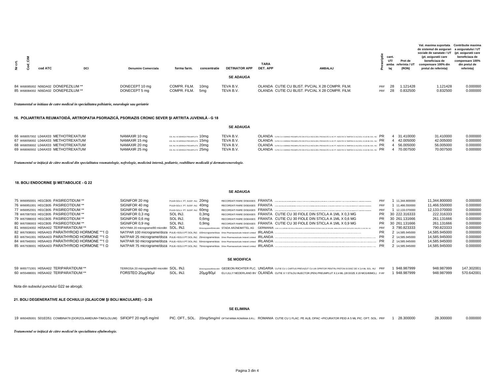| Ë<br>ž. | cod ATC                                                                    | <b>DCI</b> | <b>Denumire Comerciala</b>      | forma farm.                  | concentratie            | <b>DETINATOR APP</b><br><b>SE ADAUGA</b> | <b>TARA</b><br>DET. APP | <b>AMBALAJ</b>                                                                                     |            | cant.<br>UT/<br>laj | Pret de<br>amba referinta / UT<br>(RON) | Val. maxima suportata Contributie maxima<br>de sistemul de asigurari a asiguratului / UT<br>sociale de sanatate / UT (pt. asiguratii care<br>(pt. asiguratii care<br>beneficiaza de<br>compensare 100% din<br>pretul de referinta) | beneficiaza de<br>compensare 100%<br>din pretul de<br>referinta) |
|---------|----------------------------------------------------------------------------|------------|---------------------------------|------------------------------|-------------------------|------------------------------------------|-------------------------|----------------------------------------------------------------------------------------------------|------------|---------------------|-----------------------------------------|------------------------------------------------------------------------------------------------------------------------------------------------------------------------------------------------------------------------------------|------------------------------------------------------------------|
|         | 84 W68085002 N06DA02 DONEPEZILUM **<br>85 W68084002 N06DA02 DONEPEZILUM ** |            | DONECEPT 10 mg<br>DONECEPT 5 mg | COMPR. FILM.<br>COMPR. FILM. | 10 <sub>ma</sub><br>5ma | TEVA B.V.<br>TEVA B.V.                   |                         | OLANDA CUTIE CU BLIST, PVC/AL X 28 COMPR, FILM.<br>OLANDA CUTIE CU BLIST, PVC/AL X 28 COMPR, FILM. | PRF<br>PRF | 28<br>28            | 1.121428<br>0.832500                    | 1.121428<br>0.832500                                                                                                                                                                                                               | 0.000000<br>0.000000                                             |

*Tratamentul se initiaza de catre medicul in specialitatea psihiatrie, neurologie sau geriatrie*

#### **16. POLIARTRITA REUMATOIDĂ, ARTROPATIA PSORIAZICĂ, PSORIAZIS CRONIC SEVER ŞI ARTRITA JUVENILĂ - G 18**

## **SE ADAUGA**

| 66 W68057002 L04AX03 METHOTREXATUM | NAMAXIR 10 mg | SOL INJ. IN SERINGA PREUMPLUTA 10MQ            | TEVA B.V. | OLANDA CUTIE CU 4 SERINGI PREUMPLUTE DIN STICLA INCOLORA. PREVAZUTE CU AC PT. INJECTIE SI TAMPON CU ALCOOL A 0.40 ML SOL. INJ. PR 4 31.410000 |  | 31.410000 | 0.000000 |
|------------------------------------|---------------|------------------------------------------------|-----------|-----------------------------------------------------------------------------------------------------------------------------------------------|--|-----------|----------|
| 67 W68058002 L04AX03 METHOTREXATUM | NAMAXIR 15 ma | SOL INJ. IN SERINGA PREUMPLUTA 15MQ            | TEVA B.V. | OLANDA CUTIE CU 4 SERINGI PREUMPLUTE DIN STICLA INCOLORA. PREVAZUTE CU AC PT. INJECTIE SI TAMPON CU ALOGOLA 0.38 ML SOL. INJ. PR 42.005000    |  | 42.005000 | 0.000000 |
| 68 W68059002 L04AX03 METHOTREXATUM | NAMAXIR 20 ma | SOL INJ. IN SERINGA PREUMPLUTA 20MC            | TEVA B.V. | OLANDA GUTE QUA SERINGLERE INNEGLAIRCO ORA PREVAZUTE QUACET INJECTE SUTAMPON QUALOOLA 650 M. SOLINU PR 456.005000                             |  | 56,005000 | 0.000000 |
| 69 W68060002 L04AX03 METHOTREXATUM | NAMAXIR 25 ma | SOL INJ. IN SERINGA PREUMPLUTA $25\mathrm{ma}$ | TEVA B.V. | OLANDA CUTIE CU 4 SERINGI PREUMPLUTE DIN STICLA INCOLORA. PREVAZUTE CU AC PT. INJECTIE SI TAMPON CU ALCOOL A 0.63 ML SOL. INJ. PR 4 70.007500 |  | 70.007500 | 0.000000 |

*Tratamentul se iniţiază de către medicul din specialitatea reumatologie, nefrologie, medicină internă, pediatrie, reabilitare medicală şi dermatovenerologie.*

#### **18. BOLI ENDOCRINE ŞI METABOLICE - G 22**

## **SE ADAUGA**

| 75 W66950001 H01CB05 PASIREOTIDUM **            | SIGNIFOR 20 mg                                | PULB+SOLV. PT. SUSP. INJ. 20mg |          |  | RECORDATI RARE DISEASES FRANTA (FAG ERATEA DE CLOAN MARCHI, CLYLLA FE SUR FOR ALBO BROGA ERATELLA CHANGER FAG EN UND AND PRESENTE RACEVAE RECOVERED AND                                                                        | PRF       | 11.344.800000    | 11.344.800000 | 0.000000 |
|-------------------------------------------------|-----------------------------------------------|--------------------------------|----------|--|--------------------------------------------------------------------------------------------------------------------------------------------------------------------------------------------------------------------------------|-----------|------------------|---------------|----------|
| 76 W66951001 H01CB05 PASIREOTIDUM **            | SIGNIFOR 40 mg                                | PULB+SOLV. PT. SUSP. INJ. 40mg |          |  | RECORDATI RARE DISEASES FRANTA 1764 DINTELADE CLANA BANDA EN LE A PE BAR AT BANDA DE DENORMATION PRIGNATO LA PRODUCTI ANCHE TANCE IN UNICODE PROBINATO IN REGINAL BERGADES                                                     | PRF       | 1 11.466.550000  | 11.466.550000 | 0.000000 |
| 77 W66952001 H01CB05 PASIREOTIDUM **            | SIGNIFOR 60 mg                                | PULB+SOLV. PT. SUSP. INJ. 60mg |          |  | RECORDATI RARE DISEASES FRANTA (THAC ORITELA DE CARANTADORE DE PARA PERSONAL DES DERMAS EN EN CONTRA CONTRA DE CONTRA DE CONTRA DE CONTRA DE CONTRA DE DE CONTRA DEL DE CONTRA DEL DE CONTRA DEL DE CONTRA DEL DE CONTRA DEL D | PRF       | 12.133.070000    | 12.133.070000 | 0.000000 |
| 78 W67087003 H01CB05 PASIREOTIDUM **            | SIGNIFOR 0,3 mg                               | SOL INJ.                       | 0,3mg    |  | RECORDATI RARE DISEASES FRANTA CUTIE CU 30 FIOLE DIN STICLA A 1ML X 0,3 MG                                                                                                                                                     |           | PR 30 222.316333 | 222.316333    | 0.000000 |
| 79 W67088003 H01CB05 PASIREOTIDUM **            | SIGNIFOR 0.6 mg                               | SOL INJ.                       | $0,6$ mg |  | RECORDATI RARE DISEASES FRANTA CUTIE CU 30 FIOLE DIN STICLA A 1ML X 0.6 MG                                                                                                                                                     |           | PR 30 261,131666 | 261.131666    | 0.000000 |
| 80 W67090003 H01CB05 PASIREOTIDUM **            | SIGNIFOR 0,9 mg                               | SOL INJ.                       | 0.9ma    |  | RECORDATI RARE DISEASES FRANTA CUTIE CU 30 FIOLE DIN STICLA A 1ML X 0,9 MG                                                                                                                                                     |           | PR 30 261.131666 | 261.131666    | 0.000000 |
| 81 W66024002 H05AA02 TERIPARATIDUM **           | MOVYMIA 20 micrograme/80 microlitri SOL, INJ, |                                |          |  | 20micrograme/80microlitri STADA ARZNEIMITTEL AG GERMANIA cure cui carruse din stica prevazure cu opertor pentru piston si desc de siglare, annalate in tavite de plastic siglate x 2,4 ML scl. inl                             | PRF       | 3 790.823333     | 790.823333    | 0.000000 |
| 82 W67938001 H05AA03 PARATHYROID HORMONE **1 Ω  |                                               |                                |          |  | NATPAR 100 micrograme/doza PULB.+SOLV.PT.SOL.INJ. 100micrograme/doza Shire Pharmaceuticals Ireland Limited IRLANDA                                                                                                             | <b>PR</b> | 2 14.585.945000  | 14.585.945000 | 0.000000 |
| 83 W67941001 H05AA03 PARATHYROID HORMONE **1 Ω  |                                               |                                |          |  | NATPAR 25 micrograme/doza PULB.+SOLV.PT.SOL.INJ. 25micrograme/doza Shire Pharmaceuticals Ireland Limited IRLANDA                                                                                                               | PR        | 2 14.585.945000  | 14.585.945000 | 0.000000 |
| 84 W67940001 H05AA03 PARATHYROID HORMONE ** 1 Ω |                                               |                                |          |  | NATPAR 50 micrograme/doza PULB.+SOLV.PT.SOL.INJ. 50micrograme/doza Shire Pharmaceuticals Ireland Limited IRLANDA                                                                                                               | PR        | 2 14.585.945000  | 14.585.945000 | 0.000000 |
| 85 W67939001 H05AA03 PARATHYROID HORMONE **1 Ω  |                                               |                                |          |  | NATPAR 75 micrograme/doza PULB.+SOLV.PT.SOL.INJ. 75micrograme/doza Shire Pharmaceuticals Ireland Limited IRLANDA                                                                                                               | PR        | 2 14.585.945000  | 14.585.945000 | 0.000000 |

#### **SE MODIFICA**

| 59 W65771001 H05AA02 TERIPARATIDUM ** | TERROSA 20 micrograme/80 microlitri SOL. INJ. |  | 20micrograme/B0microlixi GEDEON RICHTER PLC. UNGARIA CUTIE CU 1 CARTUS PREVAZUT CU UN OPRITOR PENTRU PISTON SI DISC DE X 2,4 ML SOL. INJ PRF 1948.987999 | 948.987999   147.302001 |  |
|---------------------------------------|-----------------------------------------------|--|----------------------------------------------------------------------------------------------------------------------------------------------------------|-------------------------|--|
| 60 W55488001 H05AA02 TERIPARATIDUM ** | FORSTEO 20µg/80µl SOL. INJ.                   |  | 20µg/80µ  ELILILLY NEDERLAND BV OLANDA CUTIE X 1 STILOU INJECTOR (PEN) PREUMPLUT X 2,4 ML (28 DOZE X 20 MCG/80MCL) P-RF 1948.987999                      | 948.987999 570.642001   |  |

Nota din subsolul punctului G22 se abrogă;

**21. BOLI DEGENERATIVE ALE OCHIULUI (GLAUCOM ŞI BOLI MACULARE) - G 26** 

#### **SE ELIMINA**

## 19 W60405001 S01ED51 COMBINATII (DORZOLAMIDUM+TIMOLOLUM) SIFIOPT 20 mg/5 mg/ml PIC. OFT., SOL. 20mg/5mg/ml ortaFARMA ROMANAS.R.L. ROMANIA CUTIE CU 1 FLAC. PE ALB, OPAC +PICURATOR PEID A 5 ML PIC. OFT. SOL. PRF 1 28.300000

*Tratamentul se iniţiază de către medicul în specialitatea oftalmologie.*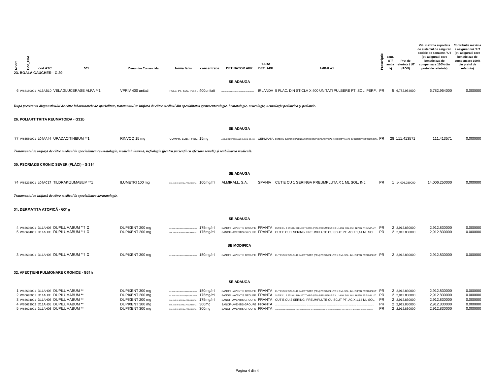| $\tilde{5}$<br>$\ddot{5}$<br><b>Cod</b><br>ž.                                                                                                                                                                                 | cod ATC<br>23. BOALA GAUCHER - G 29                                                                                                                                                        | DCI |                                                                         | <b>Denumire Comerciala</b>                                                                  |  | forma farm.                                                                                                                                                                                                                       | concentratie | <b>DETINATOR APP</b>                                                                                                                                                 | TARA<br>DET. APP |  | <b>AMBALAJ</b>                                                                                                                                                                                                                                                                                                                                                                                                                                                                                                                                                                                                                                                                                                                                  |  | scriptie<br>cant.<br>UT/<br>ě<br>laj | Pret de<br>amba referinta / UT<br>(RON)                                                | Val. maxima suportata Contributie maxima<br>de sistemul de asigurari a asiguratului / UT<br>sociale de sanatate / UT<br>(pt. asiguratii care<br>beneficiaza de<br>compensare 100% din<br>pretul de referinta) | (pt. asiguratii care<br>beneficiaza de<br>compensare 100%<br>din pretul de<br>referinta) |
|-------------------------------------------------------------------------------------------------------------------------------------------------------------------------------------------------------------------------------|--------------------------------------------------------------------------------------------------------------------------------------------------------------------------------------------|-----|-------------------------------------------------------------------------|---------------------------------------------------------------------------------------------|--|-----------------------------------------------------------------------------------------------------------------------------------------------------------------------------------------------------------------------------------|--------------|----------------------------------------------------------------------------------------------------------------------------------------------------------------------|------------------|--|-------------------------------------------------------------------------------------------------------------------------------------------------------------------------------------------------------------------------------------------------------------------------------------------------------------------------------------------------------------------------------------------------------------------------------------------------------------------------------------------------------------------------------------------------------------------------------------------------------------------------------------------------------------------------------------------------------------------------------------------------|--|--------------------------------------|----------------------------------------------------------------------------------------|---------------------------------------------------------------------------------------------------------------------------------------------------------------------------------------------------------------|------------------------------------------------------------------------------------------|
|                                                                                                                                                                                                                               |                                                                                                                                                                                            |     |                                                                         |                                                                                             |  |                                                                                                                                                                                                                                   |              | <b>SE ADAUGA</b>                                                                                                                                                     |                  |  |                                                                                                                                                                                                                                                                                                                                                                                                                                                                                                                                                                                                                                                                                                                                                 |  |                                      |                                                                                        |                                                                                                                                                                                                               |                                                                                          |
|                                                                                                                                                                                                                               | 6 W68150001 A16AB10 VELAGLUCERASE ALFA **1                                                                                                                                                 |     |                                                                         | VPRIV 400 unitati                                                                           |  | PULB. PT. SOL. PERF. 400unitati                                                                                                                                                                                                   |              | .<br>MCCI TICA S INTERNATIONAL AG IDEI AND BR                                                                                                                        |                  |  | IRLANDA 5 FLAC. DIN STICLA X 400 UNITATI PULBERE PT. SOL. PERF. PR                                                                                                                                                                                                                                                                                                                                                                                                                                                                                                                                                                                                                                                                              |  |                                      | 5 6.782.954000                                                                         | 6,782.954000                                                                                                                                                                                                  | 0.000000                                                                                 |
| După precizarea diagnosticului de către laboratoarele de specialitate, tratamentul se inițiază de către medicul din specialitatea gastroenterologie, hematologie, neurologie, neurologie, neurologie pediatrică și pediatrie. |                                                                                                                                                                                            |     |                                                                         |                                                                                             |  |                                                                                                                                                                                                                                   |              |                                                                                                                                                                      |                  |  |                                                                                                                                                                                                                                                                                                                                                                                                                                                                                                                                                                                                                                                                                                                                                 |  |                                      |                                                                                        |                                                                                                                                                                                                               |                                                                                          |
| 26. POLIARTITRITA REUMATOIDA - G31b                                                                                                                                                                                           |                                                                                                                                                                                            |     |                                                                         |                                                                                             |  |                                                                                                                                                                                                                                   |              |                                                                                                                                                                      |                  |  |                                                                                                                                                                                                                                                                                                                                                                                                                                                                                                                                                                                                                                                                                                                                                 |  |                                      |                                                                                        |                                                                                                                                                                                                               |                                                                                          |
|                                                                                                                                                                                                                               |                                                                                                                                                                                            |     |                                                                         |                                                                                             |  |                                                                                                                                                                                                                                   |              | <b>SE ADAUGA</b>                                                                                                                                                     |                  |  |                                                                                                                                                                                                                                                                                                                                                                                                                                                                                                                                                                                                                                                                                                                                                 |  |                                      |                                                                                        |                                                                                                                                                                                                               |                                                                                          |
|                                                                                                                                                                                                                               | 77 W66589001 L04AA44 UPADACITINIBUM **1                                                                                                                                                    |     |                                                                         | RINVOQ 15 mg                                                                                |  | COMPR. ELIB. PREL. 15mg                                                                                                                                                                                                           |              |                                                                                                                                                                      |                  |  | ABBVIE DEUTSCHLAND GMBH & CO. KG GERMANIA CUTIE CU BLISTERE CALENDARISTICE DIN PVC/PE/PCTFE/AL X 28 COMPRIMATE CU ELIBERARE PRELUNGITA $\ PR$                                                                                                                                                                                                                                                                                                                                                                                                                                                                                                                                                                                                   |  |                                      | 28 111.413571                                                                          | 111.413571                                                                                                                                                                                                    | 0.000000                                                                                 |
|                                                                                                                                                                                                                               |                                                                                                                                                                                            |     |                                                                         |                                                                                             |  |                                                                                                                                                                                                                                   |              | Tratamentul se inițiază de către medicul în specialitatea reumatologie, medicină internă, nefrologie (pentru pacienții cu afectare renală) și reabilitarea medicală. |                  |  |                                                                                                                                                                                                                                                                                                                                                                                                                                                                                                                                                                                                                                                                                                                                                 |  |                                      |                                                                                        |                                                                                                                                                                                                               |                                                                                          |
|                                                                                                                                                                                                                               | 30. PSORIAZIS CRONIC SEVER (PLĂCI) - G 31f                                                                                                                                                 |     |                                                                         |                                                                                             |  |                                                                                                                                                                                                                                   |              |                                                                                                                                                                      |                  |  |                                                                                                                                                                                                                                                                                                                                                                                                                                                                                                                                                                                                                                                                                                                                                 |  |                                      |                                                                                        |                                                                                                                                                                                                               |                                                                                          |
|                                                                                                                                                                                                                               |                                                                                                                                                                                            |     |                                                                         |                                                                                             |  |                                                                                                                                                                                                                                   |              | <b>SE ADAUGA</b>                                                                                                                                                     |                  |  |                                                                                                                                                                                                                                                                                                                                                                                                                                                                                                                                                                                                                                                                                                                                                 |  |                                      |                                                                                        |                                                                                                                                                                                                               |                                                                                          |
|                                                                                                                                                                                                                               | 74 W66238001 L04AC17 TILDRAKIZUMABUM ** 1                                                                                                                                                  |     |                                                                         | ILUMETRI 100 mg                                                                             |  | SOL INJ. IN SERINGA PREUMPLUTA 100mg/ml                                                                                                                                                                                           |              | ALMIRALL, S.A.                                                                                                                                                       |                  |  | SPANIA CUTIE CU 1 SERINGA PREUMPLUTA X 1 ML SOL. INJ.                                                                                                                                                                                                                                                                                                                                                                                                                                                                                                                                                                                                                                                                                           |  | PR.                                  | 1 14.006.250000                                                                        | 14,006.250000                                                                                                                                                                                                 | 0.000000                                                                                 |
|                                                                                                                                                                                                                               |                                                                                                                                                                                            |     | Tratamentul se inițiază de către medicul în specialitatea dermatologie. |                                                                                             |  |                                                                                                                                                                                                                                   |              |                                                                                                                                                                      |                  |  |                                                                                                                                                                                                                                                                                                                                                                                                                                                                                                                                                                                                                                                                                                                                                 |  |                                      |                                                                                        |                                                                                                                                                                                                               |                                                                                          |
|                                                                                                                                                                                                                               | 31. DERMATITA ATOPICĂ - G31g                                                                                                                                                               |     |                                                                         |                                                                                             |  |                                                                                                                                                                                                                                   |              |                                                                                                                                                                      |                  |  |                                                                                                                                                                                                                                                                                                                                                                                                                                                                                                                                                                                                                                                                                                                                                 |  |                                      |                                                                                        |                                                                                                                                                                                                               |                                                                                          |
|                                                                                                                                                                                                                               |                                                                                                                                                                                            |     |                                                                         |                                                                                             |  |                                                                                                                                                                                                                                   |              | <b>SE ADAUGA</b>                                                                                                                                                     |                  |  |                                                                                                                                                                                                                                                                                                                                                                                                                                                                                                                                                                                                                                                                                                                                                 |  |                                      |                                                                                        |                                                                                                                                                                                                               |                                                                                          |
|                                                                                                                                                                                                                               | 4 W66695001 D11AH05 DUPILUMABUM ** 1 Ω<br>5 W66694001 D11AH05 DUPILUMABUM ** 1 Ω                                                                                                           |     |                                                                         | DUPIXENT 200 mg<br>DUPIXENT 200 mg                                                          |  | SOLAL IN STECULARIZERS/PREUMPLUT 175mg/ml<br>SOL. INJ. IN SERINGA PREUMPLUTA 175mg/ml                                                                                                                                             |              |                                                                                                                                                                      |                  |  | SANOFI - AVENTIS GROUPE FRANTA CUTIE CU 2 STILOURI INJECTOARE (PEN) PREUMPLUTE X 1,14 ML SOL. INJ. IN PEN PREUMPLUT<br>SANOFI-AVENTIS GROUPE FRANTA CUTIE CU 2 SERINGI PREUMPLUTE CU SCUT PT. AC X 1,14 ML SOL. PR                                                                                                                                                                                                                                                                                                                                                                                                                                                                                                                              |  | PR.                                  | 2 2,912.830000<br>2 2,912.830000                                                       | 2,912.830000<br>2,912.830000                                                                                                                                                                                  | 0.000000<br>0.000000                                                                     |
|                                                                                                                                                                                                                               |                                                                                                                                                                                            |     |                                                                         |                                                                                             |  |                                                                                                                                                                                                                                   |              | <b>SE MODIFICA</b>                                                                                                                                                   |                  |  |                                                                                                                                                                                                                                                                                                                                                                                                                                                                                                                                                                                                                                                                                                                                                 |  |                                      |                                                                                        |                                                                                                                                                                                                               |                                                                                          |
|                                                                                                                                                                                                                               | 3 W66535001 D11AH05 DUPILUMABUM ** 1 Ω                                                                                                                                                     |     |                                                                         | DUPIXENT 300 mg                                                                             |  | SOL NU IN STECURAL COR (PEN) PREUMPLUT 150 Mg/ MI                                                                                                                                                                                 |              |                                                                                                                                                                      |                  |  | SANOFI - AVENTIS GROUPE FRANTA CUTIE CU 2 STILOURI INJECTOARE (PEN) PREUMPLUTE X 2 ML SOL. INJ. IN PEN PREUMPLUT PR                                                                                                                                                                                                                                                                                                                                                                                                                                                                                                                                                                                                                             |  |                                      | 2 2.912.830000                                                                         | 2,912.830000                                                                                                                                                                                                  | 0.000000                                                                                 |
| 32. AFECTIUNI PULMONARE CRONICE - G31h                                                                                                                                                                                        |                                                                                                                                                                                            |     |                                                                         |                                                                                             |  |                                                                                                                                                                                                                                   |              |                                                                                                                                                                      |                  |  |                                                                                                                                                                                                                                                                                                                                                                                                                                                                                                                                                                                                                                                                                                                                                 |  |                                      |                                                                                        |                                                                                                                                                                                                               |                                                                                          |
|                                                                                                                                                                                                                               |                                                                                                                                                                                            |     |                                                                         |                                                                                             |  |                                                                                                                                                                                                                                   |              | <b>SE ADAUGA</b>                                                                                                                                                     |                  |  |                                                                                                                                                                                                                                                                                                                                                                                                                                                                                                                                                                                                                                                                                                                                                 |  |                                      |                                                                                        |                                                                                                                                                                                                               |                                                                                          |
|                                                                                                                                                                                                                               | 1 W66535001 D11AH05 DUPILUMABUM **<br>2 W66695001 D11AH05 DUPILUMABUM **<br>3 W66694001 D11AH05 DUPILUMABUM **<br>4 W65623002 D11AH05 DUPILUMABUM **<br>5 W65623001 D11AH05 DUPILUMABUM ** |     |                                                                         | DUPIXENT 300 mg<br>DUPIXENT 200 mg<br>DUPIXENT 200 mg<br>DUPIXENT 300 mg<br>DUPIXENT 300 mg |  | SOL NU IN STECULAR CORPORATION DESCRIPTION 150 MM 150 MM<br>SOLAL IN STECULARIZERS/PREUMPLUT 175mg/ml<br>SOL INJ. IN SERINGA PREUMPLUTA 175mg/ml<br>SOL. INJ. IN SERINGA PREUMPLUTA 300MQ<br>SOL INJ. IN SERINGA PREUMPLUTA 300MQ |              |                                                                                                                                                                      |                  |  | SANOFI - AVENTIS GROUPE FRANTA CUTIE CU 2 STILOURI INJECTOARE (PEN) PREUMPLUTE X 2 ML SOL. INJ. IN PEN PREUMPLUT PR<br>SANOFI - AVENTIS GROUPE FRANTA CUTIE CU 2 STILOURI INJECTOARE (PEN) PREUMPLUTE X 1,14 ML SOL. INJ. IN PEN PREUMPLUT PR<br>SANOFI-AVENTIS GROUPE FRANTA CUTIE CU 2 SERINGI PREUMPLUTE CU SCUT PT. AC X 1,14 ML SOL.<br>SANOFI-AVENTIS GROUPE FRANTA <sub>outh of a semi-presentation transported to the construction of the construction of the construction of the construction of the construction of the construction of the construction of the const</sub><br>SANOFI-AVENTIS GROUPE FRANTA QUE QUI SERRELIPER DESTELA TEMBERARIA DE TP 1 SALCONTA CULINAC FRON OTEL INGIDENTE SAN ESPA LISOL DEL IN SERRIA FREUNDUTA |  | PR.<br>PR<br>PR                      | 2 2,912.830000<br>2 2,912.830000<br>2 2,912.830000<br>2 2.912.830000<br>2 2,912.830000 | 2,912.830000<br>2,912.830000<br>2,912.830000<br>2,912.830000<br>2,912.830000                                                                                                                                  | 0.000000<br>0.000000<br>0.000000<br>0.000000<br>0.000000                                 |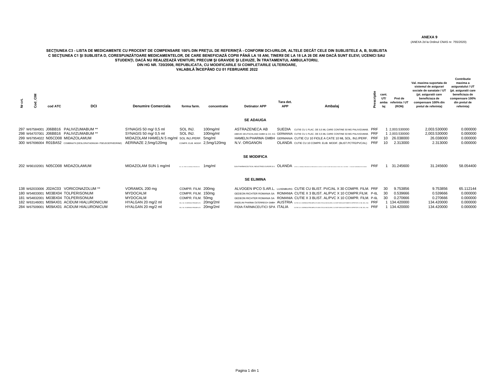(ANEXA 2d la Ordinul CNAS nr. 755/2020)

# SECȚIUNEA C3 - LISTA DE MEDICAMENTE CU PROCENT DE COMPENSARE 100% DIN PREȚUL DE REFERINȚĂ - CONFORM DCI-URILOR, ALTELE DECĂT CELE DIN SUBLISTELE A, B, SUBLISTA<br>C SECȚIUNEA C1 ȘI SUBLISTA D, CORESPUNZĂTOARE MEDICAMENTELOR,

**VALABILĂ ÎNCEPÂND CU 01 FEBRUARIE 2022**

| t, | 릉             | cod ATC | DCI                                                                                                                                                                                                                | <b>Denumire Comerciala</b>                                                                                                  | forma farm.                                                                                                                          | concentratie                                                         | <b>Detinator APP</b>                                                                                                                                                                                                      | Tara det.<br><b>APP</b> | Ambalai                                                                                                                                                                                                                                                                                                                                                                                                                                                                                                            | riptie     | cant.<br>UT/<br>amba<br>lai | Pret de<br>referinta / U1<br>(RON)                                     | Val. maxima suportata de<br>sistemul de asigurari<br>sociale de sanatate / UT<br>(pt. asiguratii care<br>beneficiaza de<br>compensare 100% din<br>pretul de referinta) | Contributie<br>maxima a<br>asiguratului / UT<br>(pt. asiguratii care<br>beneficiaza de<br>compensare 100%<br>din pretul de<br>referinta) |
|----|---------------|---------|--------------------------------------------------------------------------------------------------------------------------------------------------------------------------------------------------------------------|-----------------------------------------------------------------------------------------------------------------------------|--------------------------------------------------------------------------------------------------------------------------------------|----------------------------------------------------------------------|---------------------------------------------------------------------------------------------------------------------------------------------------------------------------------------------------------------------------|-------------------------|--------------------------------------------------------------------------------------------------------------------------------------------------------------------------------------------------------------------------------------------------------------------------------------------------------------------------------------------------------------------------------------------------------------------------------------------------------------------------------------------------------------------|------------|-----------------------------|------------------------------------------------------------------------|------------------------------------------------------------------------------------------------------------------------------------------------------------------------|------------------------------------------------------------------------------------------------------------------------------------------|
|    |               |         |                                                                                                                                                                                                                    |                                                                                                                             |                                                                                                                                      |                                                                      | <b>SE ADAUGA</b>                                                                                                                                                                                                          |                         |                                                                                                                                                                                                                                                                                                                                                                                                                                                                                                                    |            |                             |                                                                        |                                                                                                                                                                        |                                                                                                                                          |
|    | 298 W64707001 |         | 297 W67584001 J06BB16 PALIVIZUMABUM **<br>J06BB16 PALIVIZUMABUM **<br>299 W67954022 N05CD08 MIDAZOLAMUM<br>300 W67696004 R01BA52 COMBINATII (DESLORATADINUM+ PSEUDOEPHEDRINE)<br>202 W66102001 N05CD08 MIDAZOLAMUM | SYNAGIS 50 mg/ 0,5 ml<br>SYNAGIS 50 mg/ 0,5 ml<br>MIDAZOLAM HAMELN 5 mg/ml<br>AERINAZE 2,5mg/120mg<br>MIDAZOLAM SUN 1 mg/ml | SOL INJ.<br>SOL INJ.<br>SOL INJ./PERF. 5mg/ml<br>SCL. Bu PERF, IN SERIOUS PRESERVATIV                                                | 100mg/ml<br>100mg/ml<br>COMPR. ELIB. MODIF. 2,5mg/120mg<br>$1ma$ /ml | <b>ASTRAZENECA AB</b><br>N.V. ORGANON<br><b>SE MODIFICA</b><br>SUN PHARMACEUTICAL INDUSTRIES EUROPE B.V. OLANDA QUE QU'ILINGGA PREMANUEN PREVAZION QU'ANTILIGOP EN CAUCHA XISTA, DEL RUPERT, 1 EAGLAIT MAGNEMANT EN CORRE |                         | SUEDIA CUTIE CU 1 FLAC. DE 0.5 ML CARE CONTINE 50 MG PALIVIZUMAB. PRF<br>ABBVIE DEUTSCHLAND GMBH & CO. KG GERMANIA CUTIE CU 1 FLAC. DE 0.5 ML CARE CONTINE 50 MG PALIVIZUMAB. PRF<br>HAMELN PHARMA GMBH GERMANIA CUTIE CU 10 FIOLE A CATE 10 ML SOL. INJ./PERF. PRF<br>OLANDA CUTIE CU 10 COMPR. ELIB. MODIF. (BLIST.PCTFE/PVC/AL)                                                                                                                                                                                 | <b>PRF</b> | 10<br>10                    | 1 2.003.530000<br>1 2.003.530000<br>26.038000<br>2.313000<br>31.245600 | 2.003.530000<br>2,003.530000<br>26.038000<br>2.313000<br>31.245600                                                                                                     | 0.000000<br>0.000000<br>0.000000<br>0.000000<br>58.054400                                                                                |
|    |               |         |                                                                                                                                                                                                                    |                                                                                                                             |                                                                                                                                      |                                                                      | <b>SE ELIMINA</b>                                                                                                                                                                                                         |                         |                                                                                                                                                                                                                                                                                                                                                                                                                                                                                                                    |            |                             |                                                                        |                                                                                                                                                                        |                                                                                                                                          |
|    |               |         | 138 W62033006 J02AC03 VORICONAZOLUM **<br>180 W54833001 M03BX04 TOLPERISONUM<br>181 W54832001 M03BX04 TOLPERISONUM<br>182 W63146001 M09AX01 ACIDUM HIALURONICUM<br>284 W67509001 M09AX01 ACIDUM HIALURONICUM       | VORAMOL 200 mg<br><b>MYDOCALM</b><br><b>MYDOCALM</b><br>HYALGAN 20 mg/2 ml<br>HYALGAN 20 mg/2 ml                            | COMPR. FILM. 200mg<br>COMPR. FILM. 150mg<br>COMPR. FILM. 50mg<br>SOL. INJ. IN SERINGA PRELIMPLUTA<br>SOL. INJ. IN SERINGA PREUMPLUTA | 20mg/2ml<br>20mg/2ml                                                 | FIDIA FARMACEUTICI SPA ITALIA                                                                                                                                                                                             |                         | ALVOGEN IPCO S.AR.L. LUXEMBURG CUTIE CU BLIST, PVC/AL X 30 COMPR, FILM. PRF<br>GEDEON RICHTER ROMANIA SA ROMANIA CUTIE X 3 BLIST, AL/PVC X 10 COMPR.FILM. P-6L<br>GEDEON RICHTER ROMANIA SA ROMANIA CUTIE X 3 BLIST, AL/PVC X 10 COMPR. FILM. P-6L<br>ANGELINI PHARMA ÖSTERREICH GMBH AUSTRIA cute cu 1 sernga preumplutadn sticla incolora, cu dop din elastomer si opritor x2 ml. sol. nu. PRF<br>CUTE CU 1 SERINGA PREUMPLUTA DIN STICLA INCOLORA CU DOP DIN ELASTOMER SI OPRITOR X 2 ML SOL. INL. $\text{PRF}$ |            | -30<br>30                   | 9.753856<br>0.539666<br>0.270666<br>134.420000<br>134.420000           | 9.753856<br>0.539666<br>0.270666<br>134.420000<br>134.420000                                                                                                           | 65.112144<br>0.000000<br>0.000000<br>0.000000<br>0.000000                                                                                |